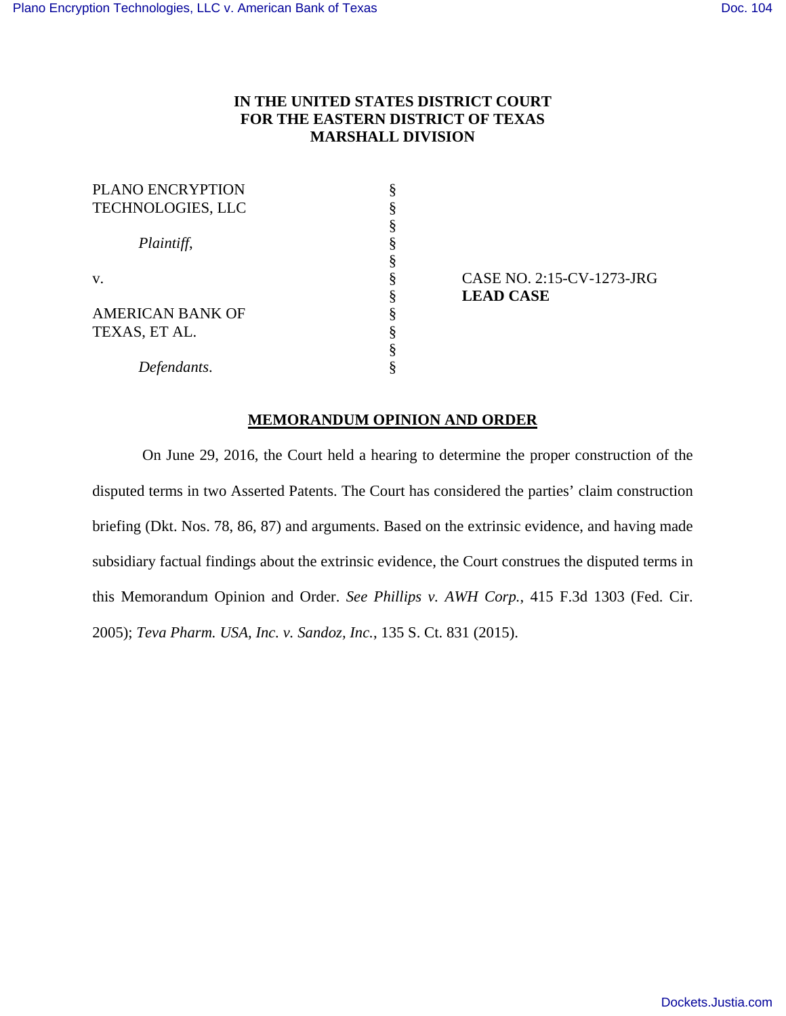# **IN THE UNITED STATES DISTRICT COURT FOR THE EASTERN DISTRICT OF TEXAS MARSHALL DIVISION**

| ş |
|---|
|   |
|   |
|   |
| ş |
|   |
| 8 |
|   |

v. § CASE NO. 2:15-CV-1273-JRG § **LEAD CASE**

# **MEMORANDUM OPINION AND ORDER**

 On June 29, 2016, the Court held a hearing to determine the proper construction of the disputed terms in two Asserted Patents. The Court has considered the parties' claim construction briefing (Dkt. Nos. 78, 86, 87) and arguments. Based on the extrinsic evidence, and having made subsidiary factual findings about the extrinsic evidence, the Court construes the disputed terms in this Memorandum Opinion and Order. *See Phillips v. AWH Corp.*, 415 F.3d 1303 (Fed. Cir. 2005); *Teva Pharm. USA, Inc. v. Sandoz, Inc.*, 135 S. Ct. 831 (2015).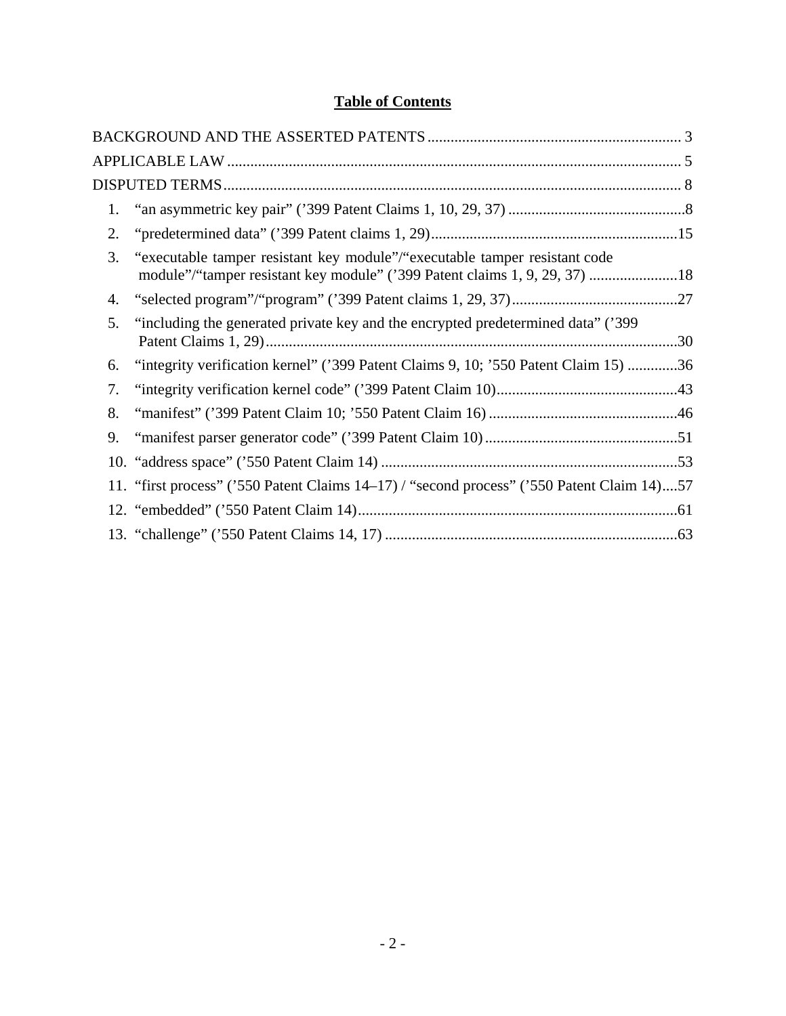# **Table of Contents**

| 1. |                                                                                                                                                          |  |
|----|----------------------------------------------------------------------------------------------------------------------------------------------------------|--|
| 2. |                                                                                                                                                          |  |
| 3. | "executable tamper resistant key module"/"executable tamper resistant code<br>module"/"tamper resistant key module" ('399 Patent claims 1, 9, 29, 37) 18 |  |
| 4. |                                                                                                                                                          |  |
| 5. | "including the generated private key and the encrypted predetermined data" ('399)                                                                        |  |
| 6. | "integrity verification kernel" ('399 Patent Claims 9, 10; '550 Patent Claim 15) 36                                                                      |  |
| 7. |                                                                                                                                                          |  |
| 8. |                                                                                                                                                          |  |
| 9. |                                                                                                                                                          |  |
|    |                                                                                                                                                          |  |
|    | 11. "first process" ('550 Patent Claims 14–17) / "second process" ('550 Patent Claim 14)57                                                               |  |
|    |                                                                                                                                                          |  |
|    |                                                                                                                                                          |  |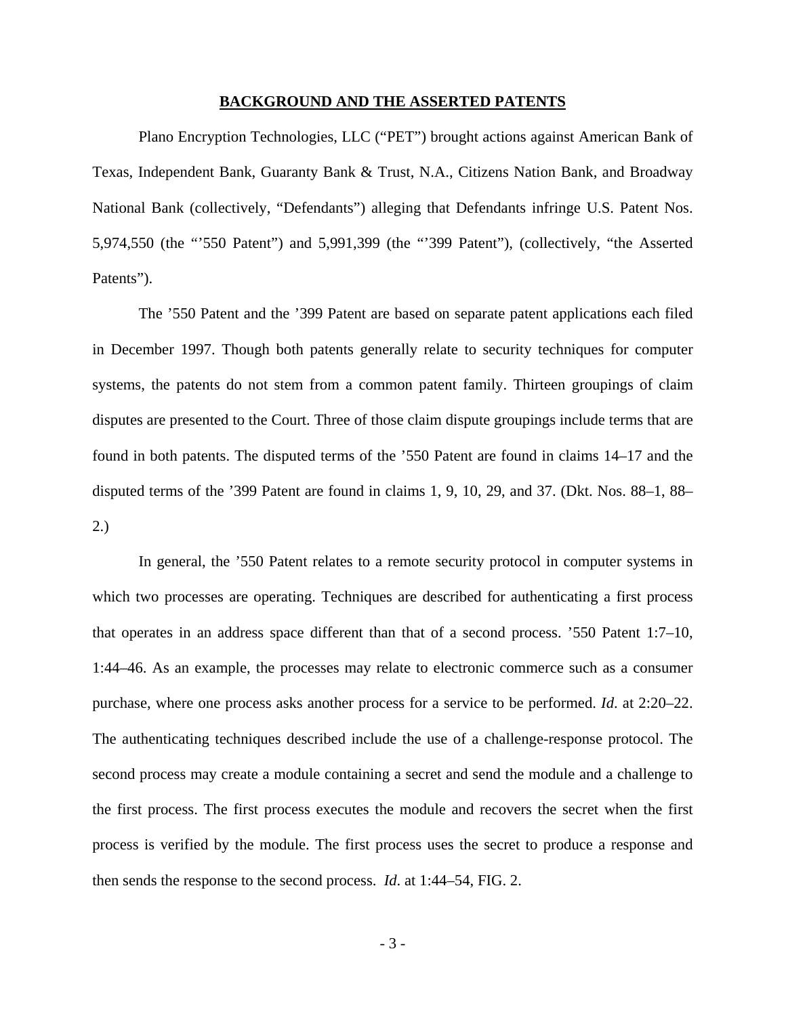#### **BACKGROUND AND THE ASSERTED PATENTS**

Plano Encryption Technologies, LLC ("PET") brought actions against American Bank of Texas, Independent Bank, Guaranty Bank & Trust, N.A., Citizens Nation Bank, and Broadway National Bank (collectively, "Defendants") alleging that Defendants infringe U.S. Patent Nos. 5,974,550 (the "'550 Patent") and 5,991,399 (the "'399 Patent"), (collectively, "the Asserted Patents").

The '550 Patent and the '399 Patent are based on separate patent applications each filed in December 1997. Though both patents generally relate to security techniques for computer systems, the patents do not stem from a common patent family. Thirteen groupings of claim disputes are presented to the Court. Three of those claim dispute groupings include terms that are found in both patents. The disputed terms of the '550 Patent are found in claims 14–17 and the disputed terms of the '399 Patent are found in claims 1, 9, 10, 29, and 37. (Dkt. Nos. 88–1, 88– 2.)

 In general, the '550 Patent relates to a remote security protocol in computer systems in which two processes are operating. Techniques are described for authenticating a first process that operates in an address space different than that of a second process. '550 Patent 1:7–10, 1:44–46. As an example, the processes may relate to electronic commerce such as a consumer purchase, where one process asks another process for a service to be performed. *Id*. at 2:20–22. The authenticating techniques described include the use of a challenge-response protocol. The second process may create a module containing a secret and send the module and a challenge to the first process. The first process executes the module and recovers the secret when the first process is verified by the module. The first process uses the secret to produce a response and then sends the response to the second process. *Id*. at 1:44–54, FIG. 2.

- 3 -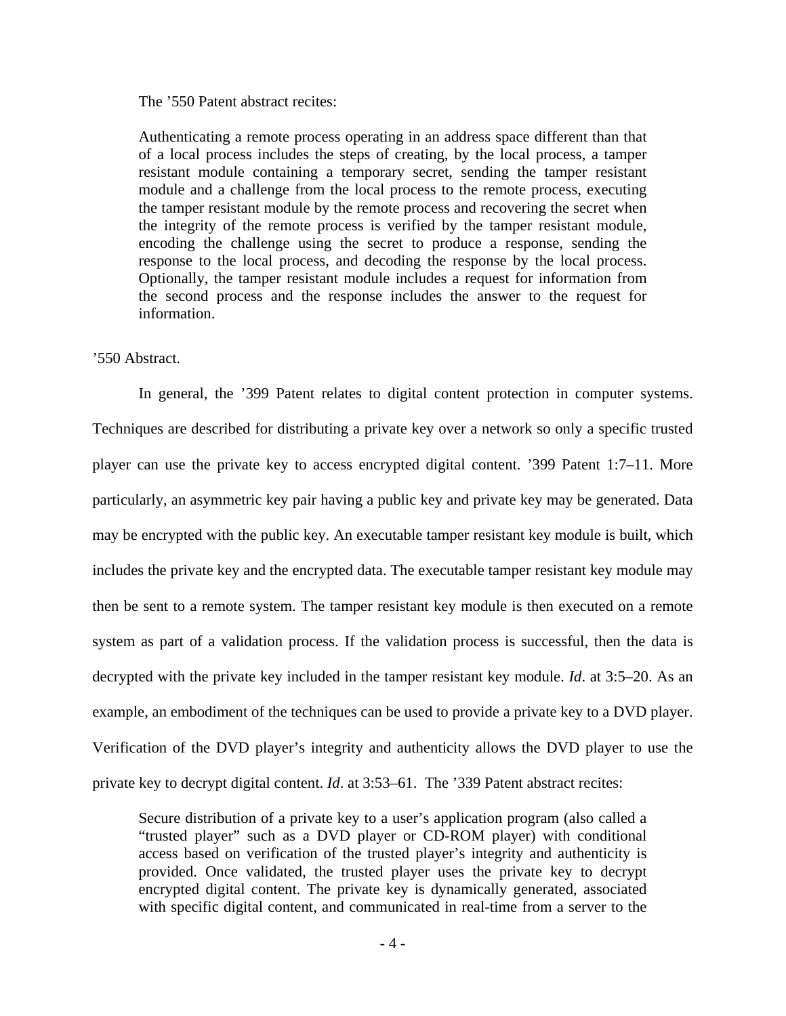## The '550 Patent abstract recites:

Authenticating a remote process operating in an address space different than that of a local process includes the steps of creating, by the local process, a tamper resistant module containing a temporary secret, sending the tamper resistant module and a challenge from the local process to the remote process, executing the tamper resistant module by the remote process and recovering the secret when the integrity of the remote process is verified by the tamper resistant module, encoding the challenge using the secret to produce a response, sending the response to the local process, and decoding the response by the local process. Optionally, the tamper resistant module includes a request for information from the second process and the response includes the answer to the request for information.

### '550 Abstract.

In general, the '399 Patent relates to digital content protection in computer systems. Techniques are described for distributing a private key over a network so only a specific trusted player can use the private key to access encrypted digital content. '399 Patent 1:7–11. More particularly, an asymmetric key pair having a public key and private key may be generated. Data may be encrypted with the public key. An executable tamper resistant key module is built, which includes the private key and the encrypted data. The executable tamper resistant key module may then be sent to a remote system. The tamper resistant key module is then executed on a remote system as part of a validation process. If the validation process is successful, then the data is decrypted with the private key included in the tamper resistant key module. *Id*. at 3:5–20. As an example, an embodiment of the techniques can be used to provide a private key to a DVD player. Verification of the DVD player's integrity and authenticity allows the DVD player to use the private key to decrypt digital content. *Id*. at 3:53–61. The '339 Patent abstract recites:

Secure distribution of a private key to a user's application program (also called a "trusted player" such as a DVD player or CD-ROM player) with conditional access based on verification of the trusted player's integrity and authenticity is provided. Once validated, the trusted player uses the private key to decrypt encrypted digital content. The private key is dynamically generated, associated with specific digital content, and communicated in real-time from a server to the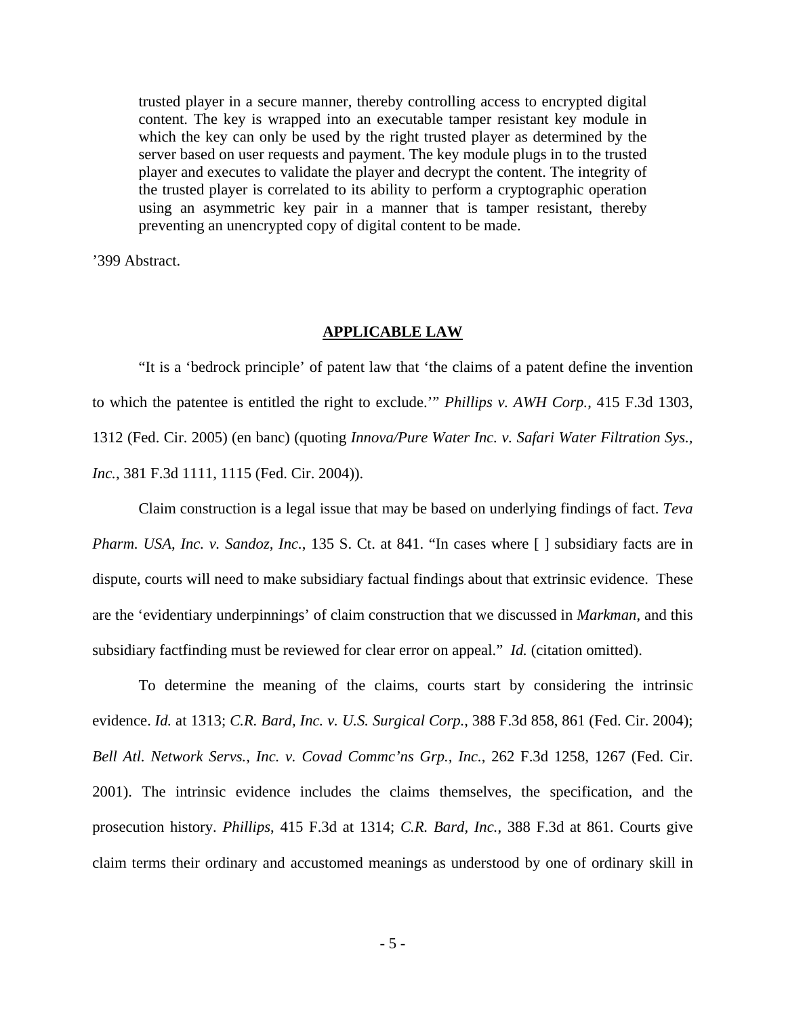trusted player in a secure manner, thereby controlling access to encrypted digital content. The key is wrapped into an executable tamper resistant key module in which the key can only be used by the right trusted player as determined by the server based on user requests and payment. The key module plugs in to the trusted player and executes to validate the player and decrypt the content. The integrity of the trusted player is correlated to its ability to perform a cryptographic operation using an asymmetric key pair in a manner that is tamper resistant, thereby preventing an unencrypted copy of digital content to be made.

'399 Abstract.

# **APPLICABLE LAW**

"It is a 'bedrock principle' of patent law that 'the claims of a patent define the invention to which the patentee is entitled the right to exclude.'" *Phillips v. AWH Corp.*, 415 F.3d 1303, 1312 (Fed. Cir. 2005) (en banc) (quoting *Innova/Pure Water Inc. v. Safari Water Filtration Sys., Inc.*, 381 F.3d 1111, 1115 (Fed. Cir. 2004)).

Claim construction is a legal issue that may be based on underlying findings of fact. *Teva Pharm. USA, Inc. v. Sandoz, Inc., 135 S. Ct. at 841.* "In cases where [ ] subsidiary facts are in dispute, courts will need to make subsidiary factual findings about that extrinsic evidence. These are the 'evidentiary underpinnings' of claim construction that we discussed in *Markman*, and this subsidiary factfinding must be reviewed for clear error on appeal." *Id.* (citation omitted).

To determine the meaning of the claims, courts start by considering the intrinsic evidence. *Id.* at 1313; *C.R. Bard, Inc. v. U.S. Surgical Corp.*, 388 F.3d 858, 861 (Fed. Cir. 2004); *Bell Atl. Network Servs., Inc. v. Covad Commc'ns Grp., Inc.*, 262 F.3d 1258, 1267 (Fed. Cir. 2001). The intrinsic evidence includes the claims themselves, the specification, and the prosecution history. *Phillips*, 415 F.3d at 1314; *C.R. Bard, Inc.*, 388 F.3d at 861. Courts give claim terms their ordinary and accustomed meanings as understood by one of ordinary skill in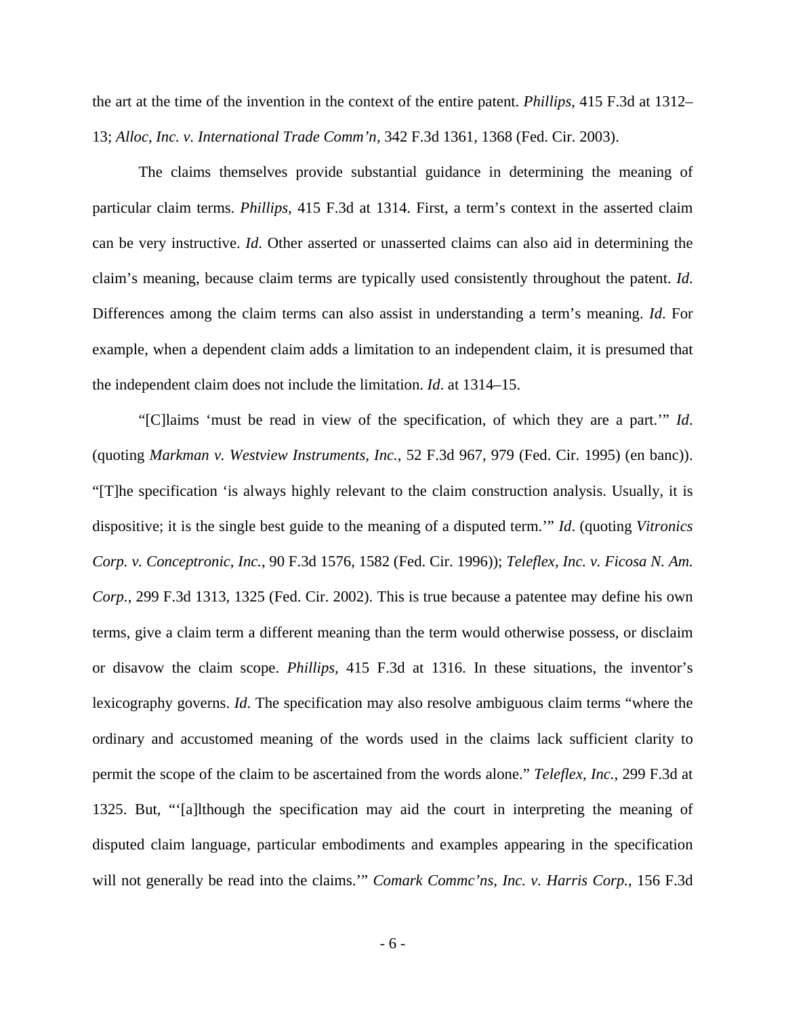the art at the time of the invention in the context of the entire patent. *Phillips*, 415 F.3d at 1312– 13; *Alloc, Inc. v. International Trade Comm'n*, 342 F.3d 1361, 1368 (Fed. Cir. 2003).

The claims themselves provide substantial guidance in determining the meaning of particular claim terms. *Phillips*, 415 F.3d at 1314. First, a term's context in the asserted claim can be very instructive. *Id*. Other asserted or unasserted claims can also aid in determining the claim's meaning, because claim terms are typically used consistently throughout the patent. *Id*. Differences among the claim terms can also assist in understanding a term's meaning. *Id*. For example, when a dependent claim adds a limitation to an independent claim, it is presumed that the independent claim does not include the limitation. *Id*. at 1314–15.

"[C]laims 'must be read in view of the specification, of which they are a part.'" *Id*. (quoting *Markman v. Westview Instruments, Inc.*, 52 F.3d 967, 979 (Fed. Cir. 1995) (en banc)). "[T]he specification 'is always highly relevant to the claim construction analysis. Usually, it is dispositive; it is the single best guide to the meaning of a disputed term.'" *Id*. (quoting *Vitronics Corp. v. Conceptronic, Inc.*, 90 F.3d 1576, 1582 (Fed. Cir. 1996)); *Teleflex, Inc. v. Ficosa N. Am. Corp.*, 299 F.3d 1313, 1325 (Fed. Cir. 2002). This is true because a patentee may define his own terms, give a claim term a different meaning than the term would otherwise possess, or disclaim or disavow the claim scope. *Phillips*, 415 F.3d at 1316. In these situations, the inventor's lexicography governs. *Id*. The specification may also resolve ambiguous claim terms "where the ordinary and accustomed meaning of the words used in the claims lack sufficient clarity to permit the scope of the claim to be ascertained from the words alone." *Teleflex, Inc.*, 299 F.3d at 1325. But, "'[a]lthough the specification may aid the court in interpreting the meaning of disputed claim language, particular embodiments and examples appearing in the specification will not generally be read into the claims.'" *Comark Commc'ns, Inc. v. Harris Corp.*, 156 F.3d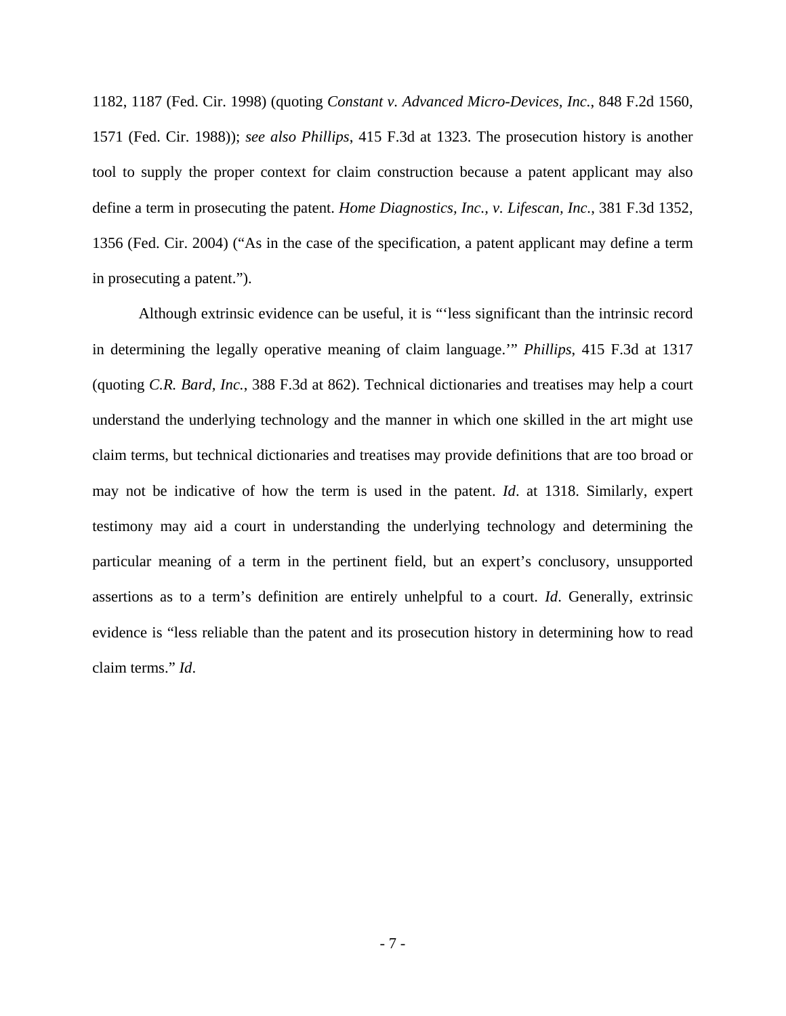1182, 1187 (Fed. Cir. 1998) (quoting *Constant v. Advanced Micro-Devices, Inc.*, 848 F.2d 1560, 1571 (Fed. Cir. 1988)); *see also Phillips*, 415 F.3d at 1323. The prosecution history is another tool to supply the proper context for claim construction because a patent applicant may also define a term in prosecuting the patent. *Home Diagnostics, Inc., v. Lifescan, Inc.*, 381 F.3d 1352, 1356 (Fed. Cir. 2004) ("As in the case of the specification, a patent applicant may define a term in prosecuting a patent.").

Although extrinsic evidence can be useful, it is "'less significant than the intrinsic record in determining the legally operative meaning of claim language.'" *Phillips*, 415 F.3d at 1317 (quoting *C.R. Bard, Inc.*, 388 F.3d at 862). Technical dictionaries and treatises may help a court understand the underlying technology and the manner in which one skilled in the art might use claim terms, but technical dictionaries and treatises may provide definitions that are too broad or may not be indicative of how the term is used in the patent. *Id*. at 1318. Similarly, expert testimony may aid a court in understanding the underlying technology and determining the particular meaning of a term in the pertinent field, but an expert's conclusory, unsupported assertions as to a term's definition are entirely unhelpful to a court. *Id*. Generally, extrinsic evidence is "less reliable than the patent and its prosecution history in determining how to read claim terms." *Id*.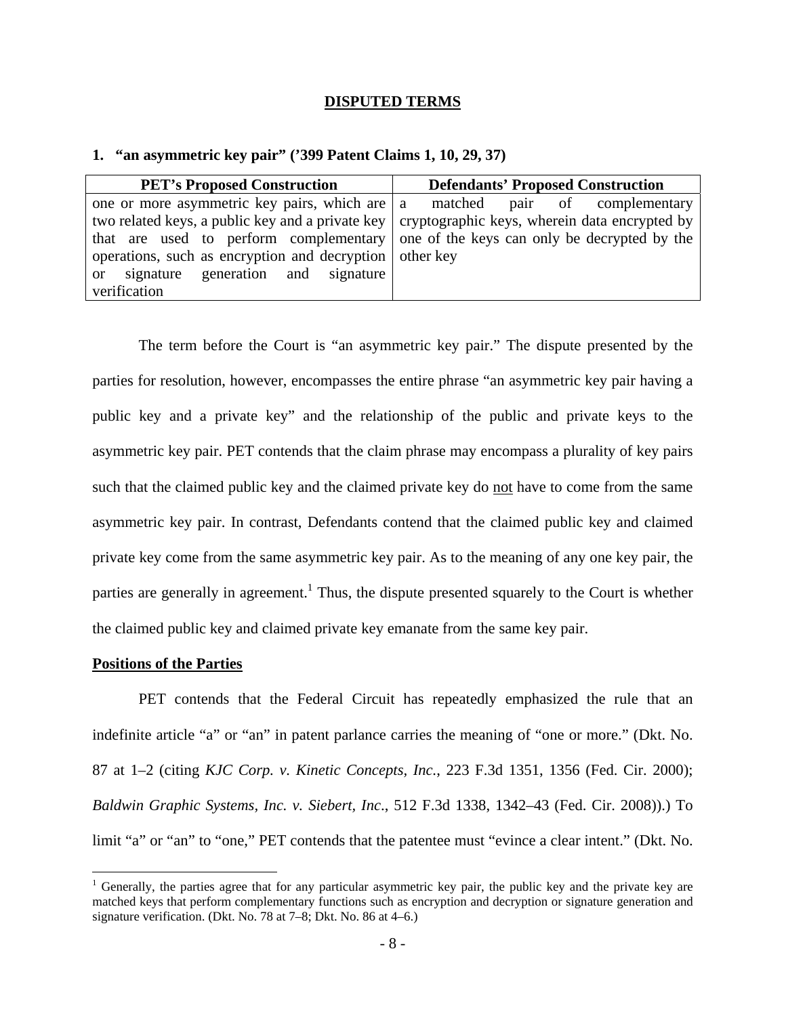#### **DISPUTED TERMS**

| <b>PET's Proposed Construction</b>                                                               | <b>Defendants' Proposed Construction</b>     |
|--------------------------------------------------------------------------------------------------|----------------------------------------------|
| one or more asymmetric key pairs, which are $ a $                                                | matched<br>pair of complementary             |
| two related keys, a public key and a private key   cryptographic keys, wherein data encrypted by |                                              |
| that are used to perform complementary                                                           | one of the keys can only be decrypted by the |
| operations, such as encryption and decryption other key                                          |                                              |
| generation and signature<br>signature<br>$\alpha$                                                |                                              |
| verification                                                                                     |                                              |

#### **1. "an asymmetric key pair" ('399 Patent Claims 1, 10, 29, 37)**

 The term before the Court is "an asymmetric key pair." The dispute presented by the parties for resolution, however, encompasses the entire phrase "an asymmetric key pair having a public key and a private key" and the relationship of the public and private keys to the asymmetric key pair. PET contends that the claim phrase may encompass a plurality of key pairs such that the claimed public key and the claimed private key do not have to come from the same asymmetric key pair. In contrast, Defendants contend that the claimed public key and claimed private key come from the same asymmetric key pair. As to the meaning of any one key pair, the parties are generally in agreement.<sup>1</sup> Thus, the dispute presented squarely to the Court is whether the claimed public key and claimed private key emanate from the same key pair.

#### **Positions of the Parties**

 $\overline{a}$ 

 PET contends that the Federal Circuit has repeatedly emphasized the rule that an indefinite article "a" or "an" in patent parlance carries the meaning of "one or more." (Dkt. No. 87 at 1–2 (citing *KJC Corp. v. Kinetic Concepts, Inc.*, 223 F.3d 1351, 1356 (Fed. Cir. 2000); *Baldwin Graphic Systems, Inc. v. Siebert, Inc*., 512 F.3d 1338, 1342–43 (Fed. Cir. 2008)).) To limit "a" or "an" to "one," PET contends that the patentee must "evince a clear intent." (Dkt. No.

<sup>&</sup>lt;sup>1</sup> Generally, the parties agree that for any particular asymmetric key pair, the public key and the private key are matched keys that perform complementary functions such as encryption and decryption or signature generation and signature verification. (Dkt. No. 78 at 7–8; Dkt. No. 86 at 4–6.)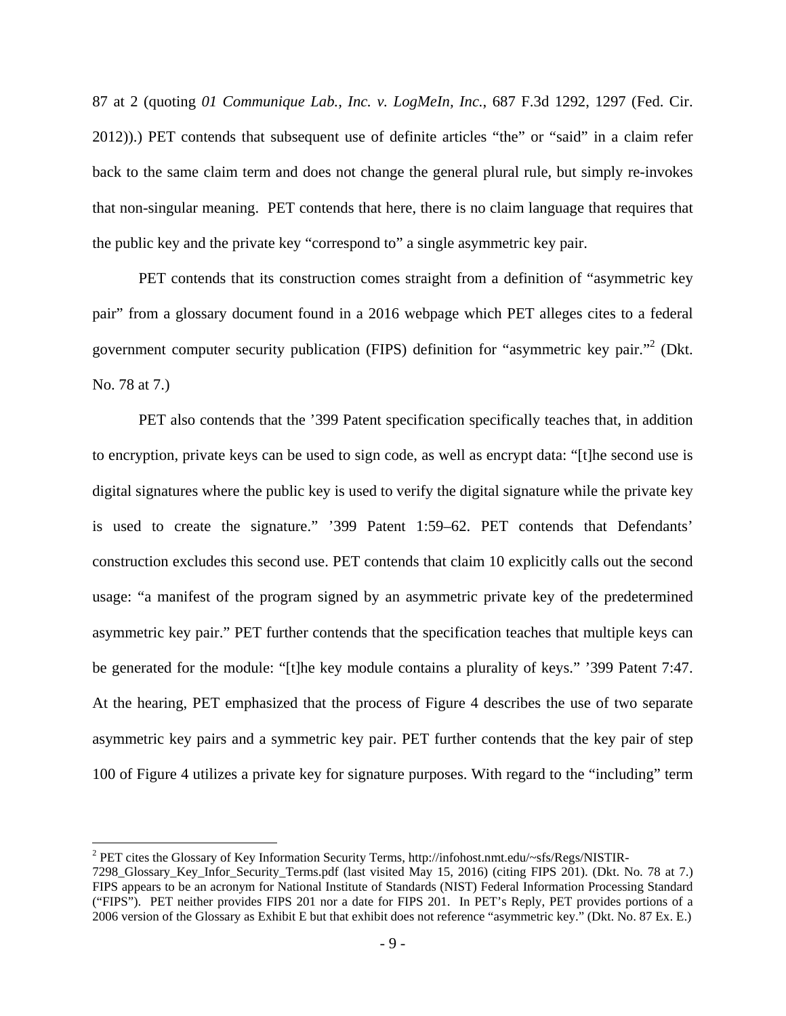87 at 2 (quoting *01 Communique Lab., Inc. v. LogMeIn, Inc.*, 687 F.3d 1292, 1297 (Fed. Cir. 2012)).) PET contends that subsequent use of definite articles "the" or "said" in a claim refer back to the same claim term and does not change the general plural rule, but simply re-invokes that non-singular meaning. PET contends that here, there is no claim language that requires that the public key and the private key "correspond to" a single asymmetric key pair.

PET contends that its construction comes straight from a definition of "asymmetric key pair" from a glossary document found in a 2016 webpage which PET alleges cites to a federal government computer security publication (FIPS) definition for "asymmetric key pair."<sup>2</sup> (Dkt. No. 78 at 7.)

 PET also contends that the '399 Patent specification specifically teaches that, in addition to encryption, private keys can be used to sign code, as well as encrypt data: "[t]he second use is digital signatures where the public key is used to verify the digital signature while the private key is used to create the signature." '399 Patent 1:59–62. PET contends that Defendants' construction excludes this second use. PET contends that claim 10 explicitly calls out the second usage: "a manifest of the program signed by an asymmetric private key of the predetermined asymmetric key pair." PET further contends that the specification teaches that multiple keys can be generated for the module: "[t]he key module contains a plurality of keys." '399 Patent 7:47. At the hearing, PET emphasized that the process of Figure 4 describes the use of two separate asymmetric key pairs and a symmetric key pair. PET further contends that the key pair of step 100 of Figure 4 utilizes a private key for signature purposes. With regard to the "including" term

<u>.</u>

 $^{2}$  PET cites the Glossary of Key Information Security Terms, http://infohost.nmt.edu/~sfs/Regs/NISTIR-

<sup>7298</sup>\_Glossary\_Key\_Infor\_Security\_Terms.pdf (last visited May 15, 2016) (citing FIPS 201). (Dkt. No. 78 at 7.) FIPS appears to be an acronym for National Institute of Standards (NIST) Federal Information Processing Standard ("FIPS"). PET neither provides FIPS 201 nor a date for FIPS 201. In PET's Reply, PET provides portions of a 2006 version of the Glossary as Exhibit E but that exhibit does not reference "asymmetric key." (Dkt. No. 87 Ex. E.)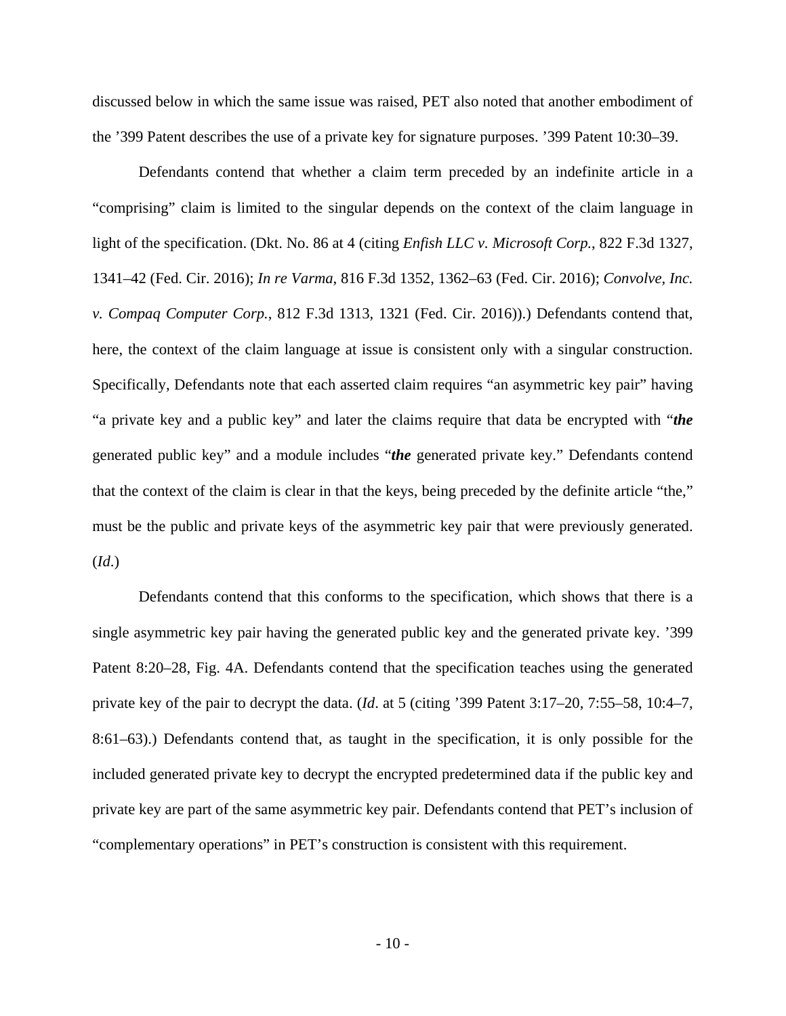discussed below in which the same issue was raised, PET also noted that another embodiment of the '399 Patent describes the use of a private key for signature purposes. '399 Patent 10:30–39.

Defendants contend that whether a claim term preceded by an indefinite article in a "comprising" claim is limited to the singular depends on the context of the claim language in light of the specification. (Dkt. No. 86 at 4 (citing *Enfish LLC v. Microsoft Corp.*, 822 F.3d 1327, 1341–42 (Fed. Cir. 2016); *In re Varma*, 816 F.3d 1352, 1362–63 (Fed. Cir. 2016); *Convolve, Inc. v. Compaq Computer Corp.*, 812 F.3d 1313, 1321 (Fed. Cir. 2016)).) Defendants contend that, here, the context of the claim language at issue is consistent only with a singular construction. Specifically, Defendants note that each asserted claim requires "an asymmetric key pair" having "a private key and a public key" and later the claims require that data be encrypted with "*the*  generated public key" and a module includes "*the* generated private key." Defendants contend that the context of the claim is clear in that the keys, being preceded by the definite article "the," must be the public and private keys of the asymmetric key pair that were previously generated. (*Id*.)

Defendants contend that this conforms to the specification, which shows that there is a single asymmetric key pair having the generated public key and the generated private key. '399 Patent 8:20–28, Fig. 4A. Defendants contend that the specification teaches using the generated private key of the pair to decrypt the data. (*Id*. at 5 (citing '399 Patent 3:17–20, 7:55–58, 10:4–7, 8:61–63).) Defendants contend that, as taught in the specification, it is only possible for the included generated private key to decrypt the encrypted predetermined data if the public key and private key are part of the same asymmetric key pair. Defendants contend that PET's inclusion of "complementary operations" in PET's construction is consistent with this requirement.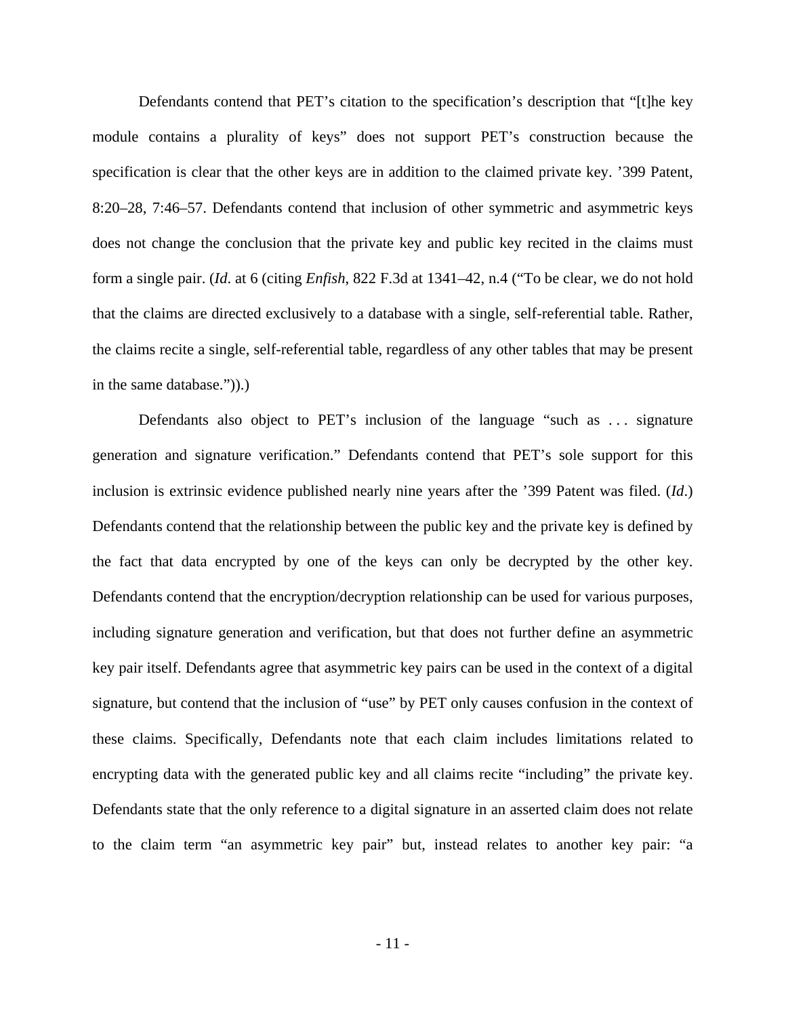Defendants contend that PET's citation to the specification's description that "[t]he key module contains a plurality of keys" does not support PET's construction because the specification is clear that the other keys are in addition to the claimed private key. '399 Patent, 8:20–28, 7:46–57. Defendants contend that inclusion of other symmetric and asymmetric keys does not change the conclusion that the private key and public key recited in the claims must form a single pair. (*Id*. at 6 (citing *Enfish*, 822 F.3d at 1341–42, n.4 ("To be clear, we do not hold that the claims are directed exclusively to a database with a single, self-referential table. Rather, the claims recite a single, self-referential table, regardless of any other tables that may be present in the same database.")).)

Defendants also object to PET's inclusion of the language "such as . . . signature generation and signature verification." Defendants contend that PET's sole support for this inclusion is extrinsic evidence published nearly nine years after the '399 Patent was filed. (*Id*.) Defendants contend that the relationship between the public key and the private key is defined by the fact that data encrypted by one of the keys can only be decrypted by the other key. Defendants contend that the encryption/decryption relationship can be used for various purposes, including signature generation and verification, but that does not further define an asymmetric key pair itself. Defendants agree that asymmetric key pairs can be used in the context of a digital signature, but contend that the inclusion of "use" by PET only causes confusion in the context of these claims. Specifically, Defendants note that each claim includes limitations related to encrypting data with the generated public key and all claims recite "including" the private key. Defendants state that the only reference to a digital signature in an asserted claim does not relate to the claim term "an asymmetric key pair" but, instead relates to another key pair: "a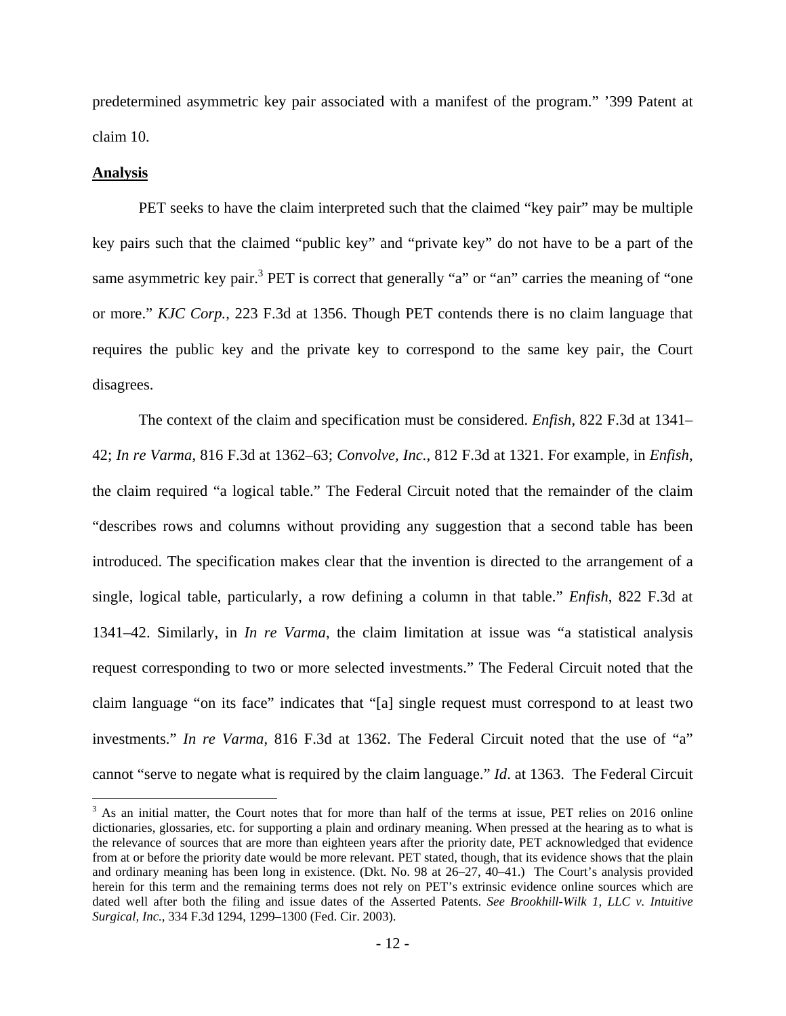predetermined asymmetric key pair associated with a manifest of the program." '399 Patent at claim 10.

#### **Analysis**

<u>.</u>

 PET seeks to have the claim interpreted such that the claimed "key pair" may be multiple key pairs such that the claimed "public key" and "private key" do not have to be a part of the same asymmetric key pair.<sup>3</sup> PET is correct that generally "a" or "an" carries the meaning of "one or more." *KJC Corp.*, 223 F.3d at 1356. Though PET contends there is no claim language that requires the public key and the private key to correspond to the same key pair, the Court disagrees.

The context of the claim and specification must be considered. *Enfish*, 822 F.3d at 1341– 42; *In re Varma*, 816 F.3d at 1362–63; *Convolve, Inc.*, 812 F.3d at 1321. For example, in *Enfish*, the claim required "a logical table." The Federal Circuit noted that the remainder of the claim "describes rows and columns without providing any suggestion that a second table has been introduced. The specification makes clear that the invention is directed to the arrangement of a single, logical table, particularly, a row defining a column in that table." *Enfish*, 822 F.3d at 1341–42. Similarly, in *In re Varma*, the claim limitation at issue was "a statistical analysis request corresponding to two or more selected investments." The Federal Circuit noted that the claim language "on its face" indicates that "[a] single request must correspond to at least two investments." *In re Varma*, 816 F.3d at 1362. The Federal Circuit noted that the use of "a" cannot "serve to negate what is required by the claim language." *Id*. at 1363. The Federal Circuit

 $3$  As an initial matter, the Court notes that for more than half of the terms at issue, PET relies on 2016 online dictionaries, glossaries, etc. for supporting a plain and ordinary meaning. When pressed at the hearing as to what is the relevance of sources that are more than eighteen years after the priority date, PET acknowledged that evidence from at or before the priority date would be more relevant. PET stated, though, that its evidence shows that the plain and ordinary meaning has been long in existence. (Dkt. No. 98 at 26–27, 40–41.) The Court's analysis provided herein for this term and the remaining terms does not rely on PET's extrinsic evidence online sources which are dated well after both the filing and issue dates of the Asserted Patents. *See Brookhill-Wilk 1, LLC v. Intuitive Surgical, Inc.*, 334 F.3d 1294, 1299–1300 (Fed. Cir. 2003).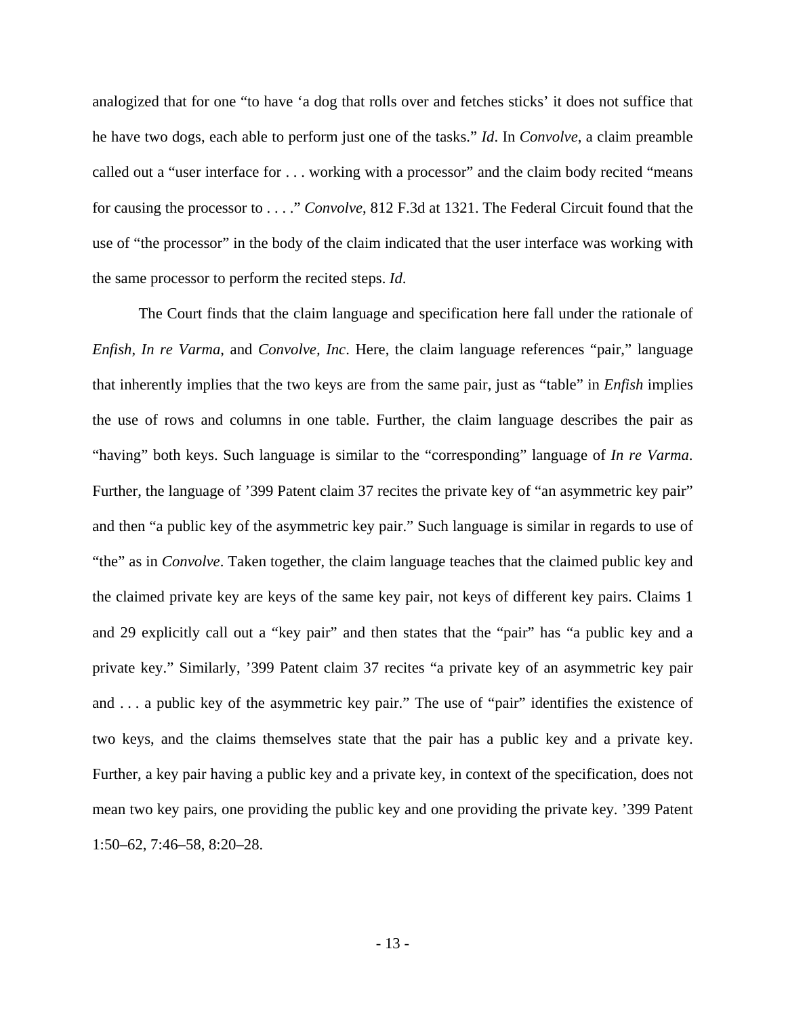analogized that for one "to have 'a dog that rolls over and fetches sticks' it does not suffice that he have two dogs, each able to perform just one of the tasks." *Id*. In *Convolve*, a claim preamble called out a "user interface for . . . working with a processor" and the claim body recited "means for causing the processor to . . . ." *Convolve*, 812 F.3d at 1321. The Federal Circuit found that the use of "the processor" in the body of the claim indicated that the user interface was working with the same processor to perform the recited steps. *Id*.

 The Court finds that the claim language and specification here fall under the rationale of *Enfish*, *In re Varma*, and *Convolve, Inc*. Here, the claim language references "pair," language that inherently implies that the two keys are from the same pair, just as "table" in *Enfish* implies the use of rows and columns in one table. Further, the claim language describes the pair as "having" both keys. Such language is similar to the "corresponding" language of *In re Varma*. Further, the language of '399 Patent claim 37 recites the private key of "an asymmetric key pair" and then "a public key of the asymmetric key pair." Such language is similar in regards to use of "the" as in *Convolve*. Taken together, the claim language teaches that the claimed public key and the claimed private key are keys of the same key pair, not keys of different key pairs. Claims 1 and 29 explicitly call out a "key pair" and then states that the "pair" has "a public key and a private key." Similarly, '399 Patent claim 37 recites "a private key of an asymmetric key pair and . . . a public key of the asymmetric key pair." The use of "pair" identifies the existence of two keys, and the claims themselves state that the pair has a public key and a private key. Further, a key pair having a public key and a private key, in context of the specification, does not mean two key pairs, one providing the public key and one providing the private key. '399 Patent 1:50–62, 7:46–58, 8:20–28.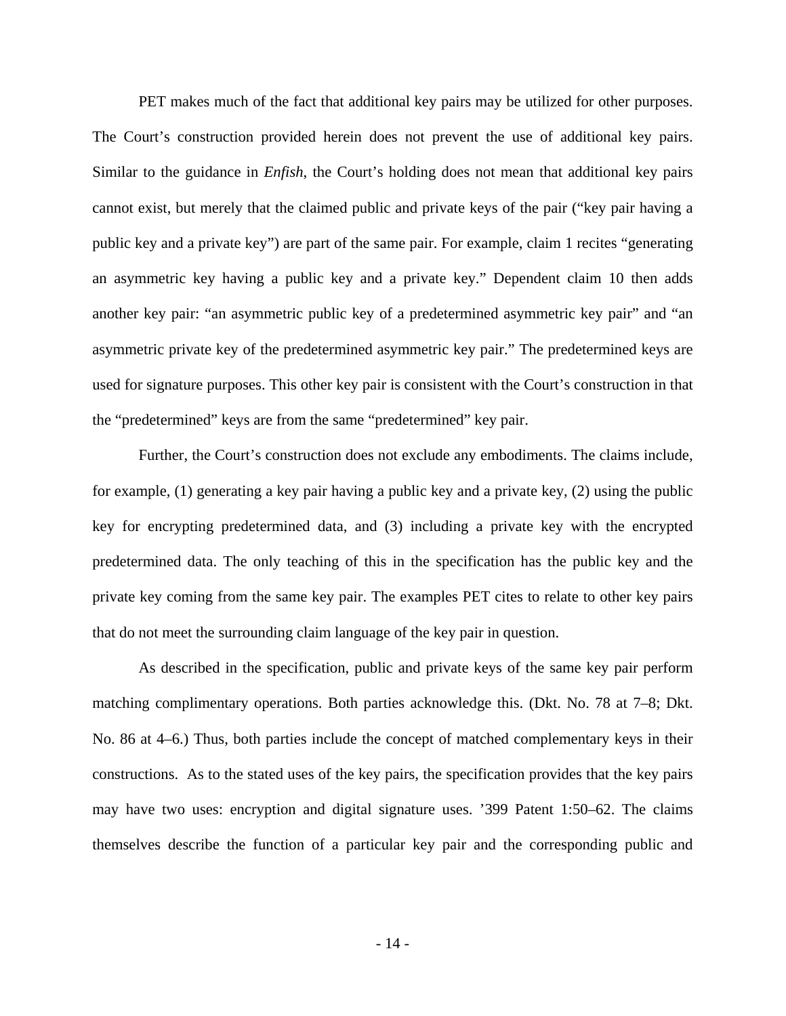PET makes much of the fact that additional key pairs may be utilized for other purposes. The Court's construction provided herein does not prevent the use of additional key pairs. Similar to the guidance in *Enfish*, the Court's holding does not mean that additional key pairs cannot exist, but merely that the claimed public and private keys of the pair ("key pair having a public key and a private key") are part of the same pair. For example, claim 1 recites "generating an asymmetric key having a public key and a private key." Dependent claim 10 then adds another key pair: "an asymmetric public key of a predetermined asymmetric key pair" and "an asymmetric private key of the predetermined asymmetric key pair." The predetermined keys are used for signature purposes. This other key pair is consistent with the Court's construction in that the "predetermined" keys are from the same "predetermined" key pair.

Further, the Court's construction does not exclude any embodiments. The claims include, for example, (1) generating a key pair having a public key and a private key, (2) using the public key for encrypting predetermined data, and (3) including a private key with the encrypted predetermined data. The only teaching of this in the specification has the public key and the private key coming from the same key pair. The examples PET cites to relate to other key pairs that do not meet the surrounding claim language of the key pair in question.

As described in the specification, public and private keys of the same key pair perform matching complimentary operations. Both parties acknowledge this. (Dkt. No. 78 at 7–8; Dkt. No. 86 at 4–6.) Thus, both parties include the concept of matched complementary keys in their constructions. As to the stated uses of the key pairs, the specification provides that the key pairs may have two uses: encryption and digital signature uses. '399 Patent 1:50–62. The claims themselves describe the function of a particular key pair and the corresponding public and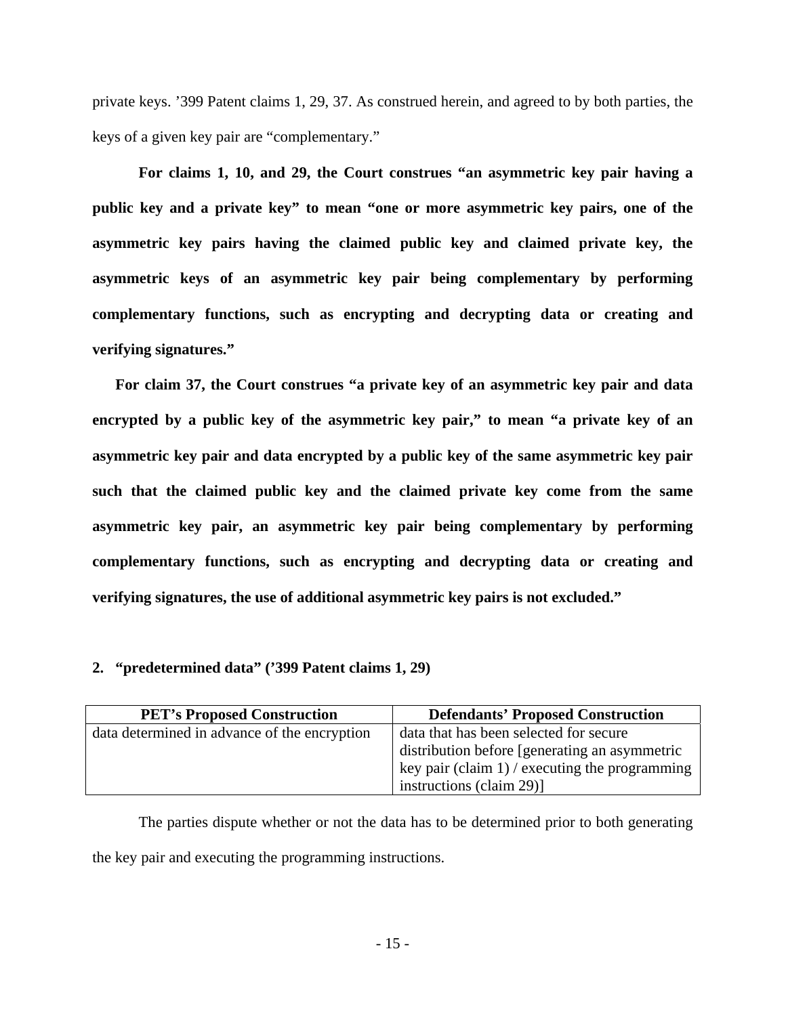private keys. '399 Patent claims 1, 29, 37. As construed herein, and agreed to by both parties, the keys of a given key pair are "complementary."

**For claims 1, 10, and 29, the Court construes "an asymmetric key pair having a public key and a private key" to mean "one or more asymmetric key pairs, one of the asymmetric key pairs having the claimed public key and claimed private key, the asymmetric keys of an asymmetric key pair being complementary by performing complementary functions, such as encrypting and decrypting data or creating and verifying signatures."**

**For claim 37, the Court construes "a private key of an asymmetric key pair and data encrypted by a public key of the asymmetric key pair," to mean "a private key of an asymmetric key pair and data encrypted by a public key of the same asymmetric key pair such that the claimed public key and the claimed private key come from the same asymmetric key pair, an asymmetric key pair being complementary by performing complementary functions, such as encrypting and decrypting data or creating and verifying signatures, the use of additional asymmetric key pairs is not excluded."** 

# **2. "predetermined data" ('399 Patent claims 1, 29)**

| <b>PET's Proposed Construction</b>           | <b>Defendants' Proposed Construction</b>                     |
|----------------------------------------------|--------------------------------------------------------------|
| data determined in advance of the encryption | data that has been selected for secure                       |
|                                              | distribution before [generating an asymmetric                |
|                                              | $\frac{1}{2}$ key pair (claim 1) / executing the programming |
|                                              | instructions (claim 29)]                                     |

The parties dispute whether or not the data has to be determined prior to both generating the key pair and executing the programming instructions.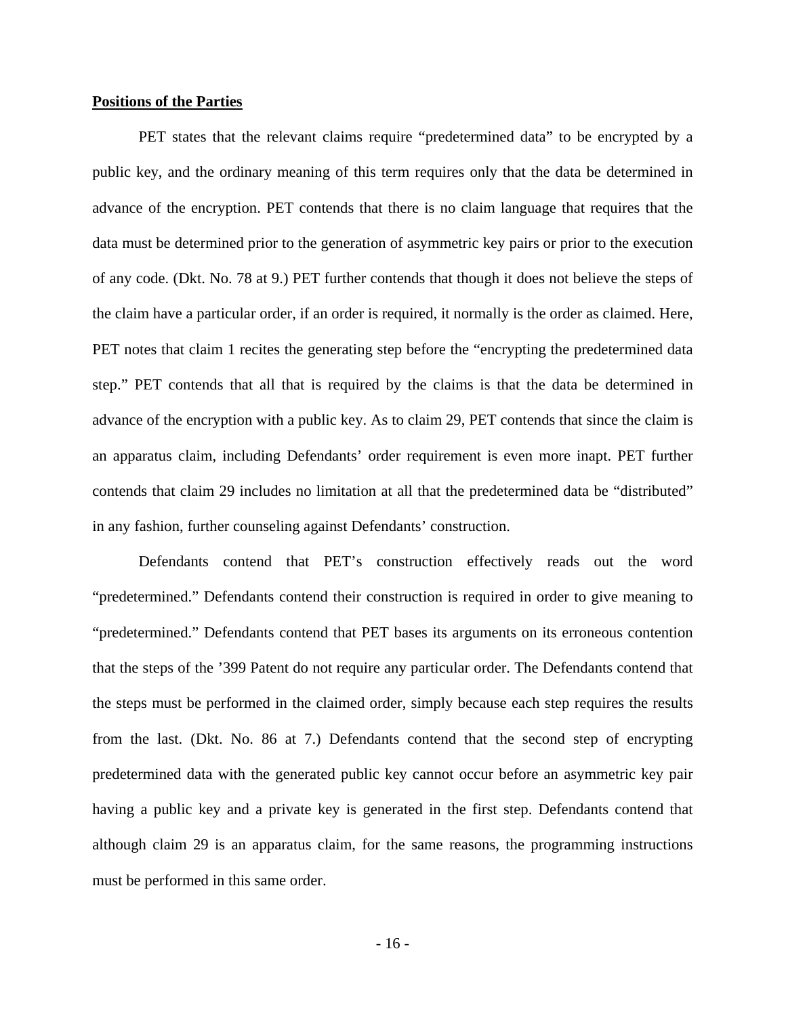#### **Positions of the Parties**

PET states that the relevant claims require "predetermined data" to be encrypted by a public key, and the ordinary meaning of this term requires only that the data be determined in advance of the encryption. PET contends that there is no claim language that requires that the data must be determined prior to the generation of asymmetric key pairs or prior to the execution of any code. (Dkt. No. 78 at 9.) PET further contends that though it does not believe the steps of the claim have a particular order, if an order is required, it normally is the order as claimed. Here, PET notes that claim 1 recites the generating step before the "encrypting the predetermined data step." PET contends that all that is required by the claims is that the data be determined in advance of the encryption with a public key. As to claim 29, PET contends that since the claim is an apparatus claim, including Defendants' order requirement is even more inapt. PET further contends that claim 29 includes no limitation at all that the predetermined data be "distributed" in any fashion, further counseling against Defendants' construction.

Defendants contend that PET's construction effectively reads out the word "predetermined." Defendants contend their construction is required in order to give meaning to "predetermined." Defendants contend that PET bases its arguments on its erroneous contention that the steps of the '399 Patent do not require any particular order. The Defendants contend that the steps must be performed in the claimed order, simply because each step requires the results from the last. (Dkt. No. 86 at 7.) Defendants contend that the second step of encrypting predetermined data with the generated public key cannot occur before an asymmetric key pair having a public key and a private key is generated in the first step. Defendants contend that although claim 29 is an apparatus claim, for the same reasons, the programming instructions must be performed in this same order.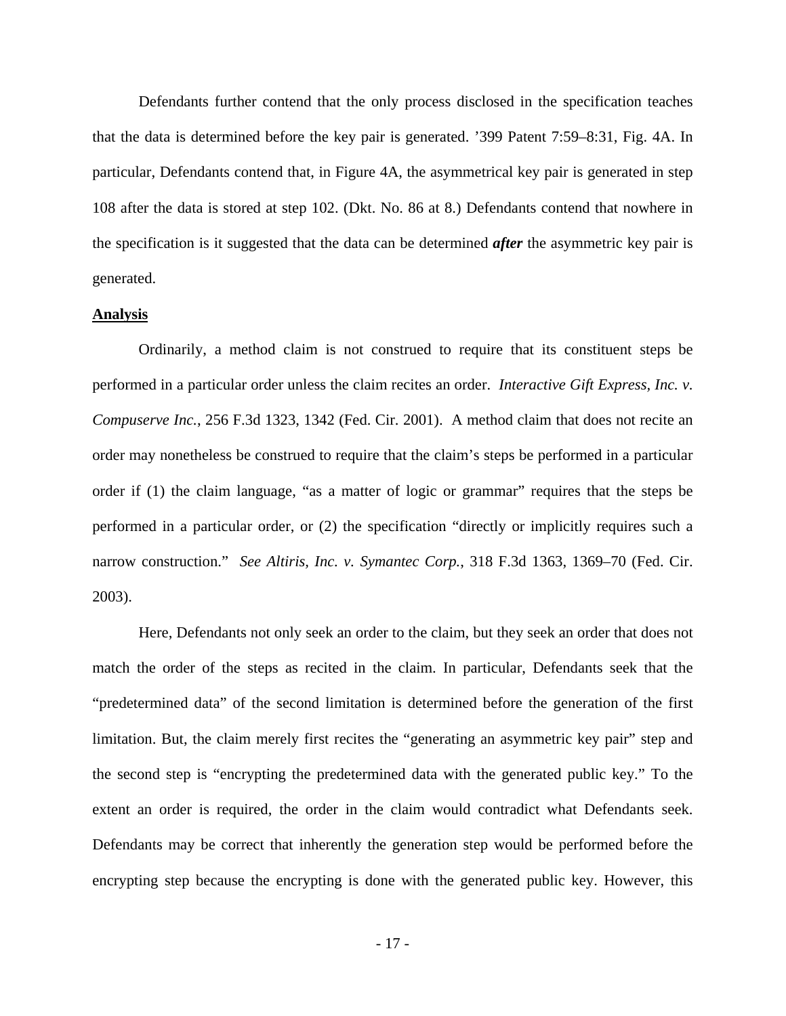Defendants further contend that the only process disclosed in the specification teaches that the data is determined before the key pair is generated. '399 Patent 7:59–8:31, Fig. 4A. In particular, Defendants contend that, in Figure 4A, the asymmetrical key pair is generated in step 108 after the data is stored at step 102. (Dkt. No. 86 at 8.) Defendants contend that nowhere in the specification is it suggested that the data can be determined *after* the asymmetric key pair is generated.

#### **Analysis**

Ordinarily, a method claim is not construed to require that its constituent steps be performed in a particular order unless the claim recites an order. *Interactive Gift Express, Inc. v. Compuserve Inc.*, 256 F.3d 1323, 1342 (Fed. Cir. 2001). A method claim that does not recite an order may nonetheless be construed to require that the claim's steps be performed in a particular order if (1) the claim language, "as a matter of logic or grammar" requires that the steps be performed in a particular order, or (2) the specification "directly or implicitly requires such a narrow construction." *See Altiris, Inc. v. Symantec Corp.*, 318 F.3d 1363, 1369–70 (Fed. Cir. 2003).

Here, Defendants not only seek an order to the claim, but they seek an order that does not match the order of the steps as recited in the claim. In particular, Defendants seek that the "predetermined data" of the second limitation is determined before the generation of the first limitation. But, the claim merely first recites the "generating an asymmetric key pair" step and the second step is "encrypting the predetermined data with the generated public key." To the extent an order is required, the order in the claim would contradict what Defendants seek. Defendants may be correct that inherently the generation step would be performed before the encrypting step because the encrypting is done with the generated public key. However, this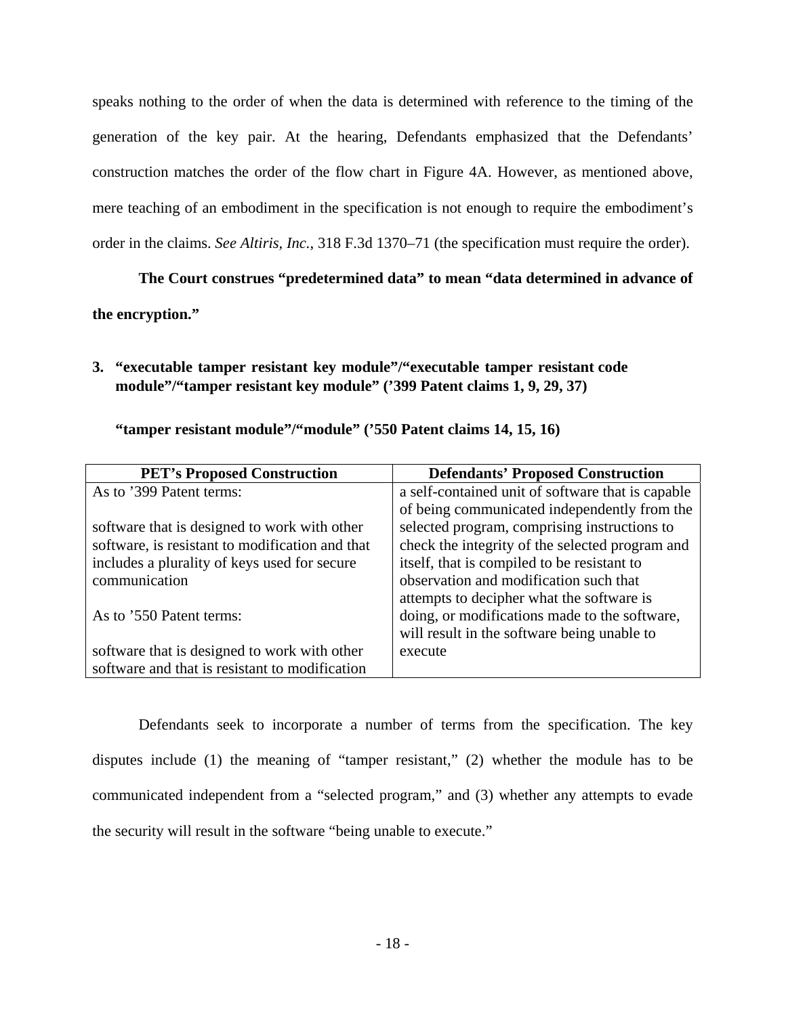speaks nothing to the order of when the data is determined with reference to the timing of the generation of the key pair. At the hearing, Defendants emphasized that the Defendants' construction matches the order of the flow chart in Figure 4A. However, as mentioned above, mere teaching of an embodiment in the specification is not enough to require the embodiment's order in the claims. *See Altiris, Inc.*, 318 F.3d 1370–71 (the specification must require the order).

# **The Court construes "predetermined data" to mean "data determined in advance of the encryption."**

**3. "executable tamper resistant key module"/"executable tamper resistant code module"/"tamper resistant key module" ('399 Patent claims 1, 9, 29, 37)** 

| <b>PET's Proposed Construction</b>              | <b>Defendants' Proposed Construction</b>          |
|-------------------------------------------------|---------------------------------------------------|
| As to '399 Patent terms:                        | a self-contained unit of software that is capable |
|                                                 | of being communicated independently from the      |
| software that is designed to work with other    | selected program, comprising instructions to      |
| software, is resistant to modification and that | check the integrity of the selected program and   |
| includes a plurality of keys used for secure    | itself, that is compiled to be resistant to       |
| communication                                   | observation and modification such that            |
|                                                 | attempts to decipher what the software is         |
| As to '550 Patent terms:                        | doing, or modifications made to the software,     |
|                                                 | will result in the software being unable to       |
| software that is designed to work with other    | execute                                           |
| software and that is resistant to modification  |                                                   |

# **"tamper resistant module"/"module" ('550 Patent claims 14, 15, 16)**

Defendants seek to incorporate a number of terms from the specification. The key disputes include (1) the meaning of "tamper resistant," (2) whether the module has to be communicated independent from a "selected program," and (3) whether any attempts to evade the security will result in the software "being unable to execute."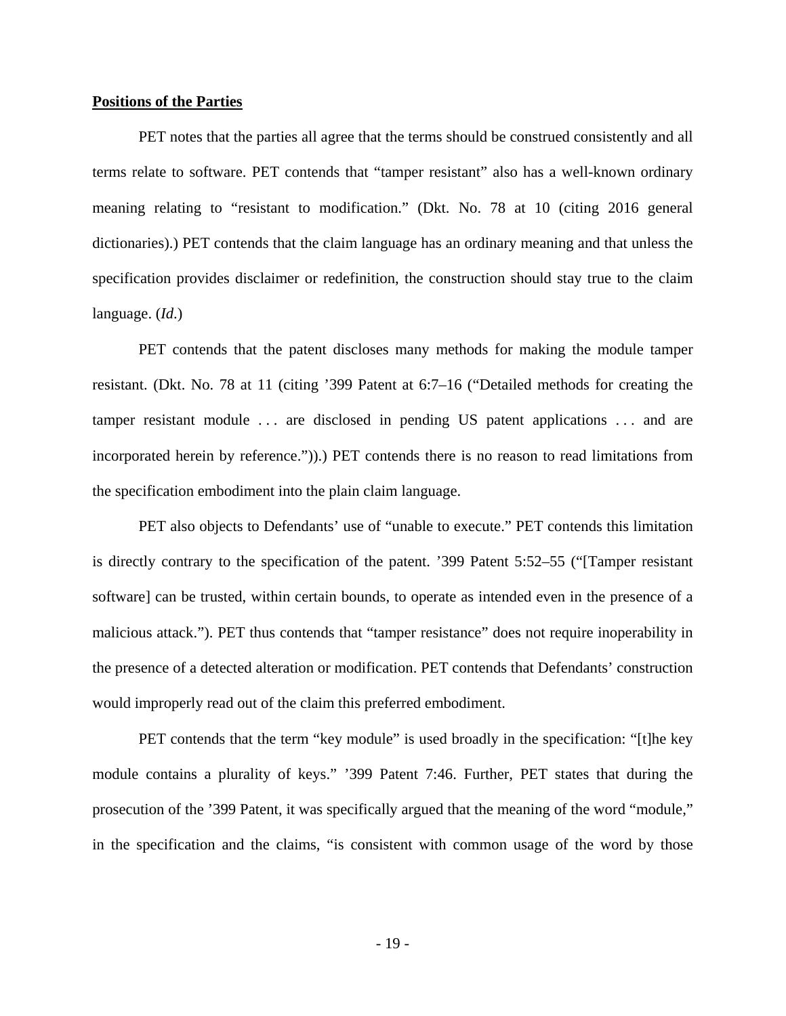#### **Positions of the Parties**

PET notes that the parties all agree that the terms should be construed consistently and all terms relate to software. PET contends that "tamper resistant" also has a well-known ordinary meaning relating to "resistant to modification." (Dkt. No. 78 at 10 (citing 2016 general dictionaries).) PET contends that the claim language has an ordinary meaning and that unless the specification provides disclaimer or redefinition, the construction should stay true to the claim language. (*Id*.)

PET contends that the patent discloses many methods for making the module tamper resistant. (Dkt. No. 78 at 11 (citing '399 Patent at 6:7–16 ("Detailed methods for creating the tamper resistant module ... are disclosed in pending US patent applications ... and are incorporated herein by reference.")).) PET contends there is no reason to read limitations from the specification embodiment into the plain claim language.

PET also objects to Defendants' use of "unable to execute." PET contends this limitation is directly contrary to the specification of the patent. '399 Patent 5:52–55 ("[Tamper resistant software] can be trusted, within certain bounds, to operate as intended even in the presence of a malicious attack."). PET thus contends that "tamper resistance" does not require inoperability in the presence of a detected alteration or modification. PET contends that Defendants' construction would improperly read out of the claim this preferred embodiment.

PET contends that the term "key module" is used broadly in the specification: "[t]he key module contains a plurality of keys." '399 Patent 7:46. Further, PET states that during the prosecution of the '399 Patent, it was specifically argued that the meaning of the word "module," in the specification and the claims, "is consistent with common usage of the word by those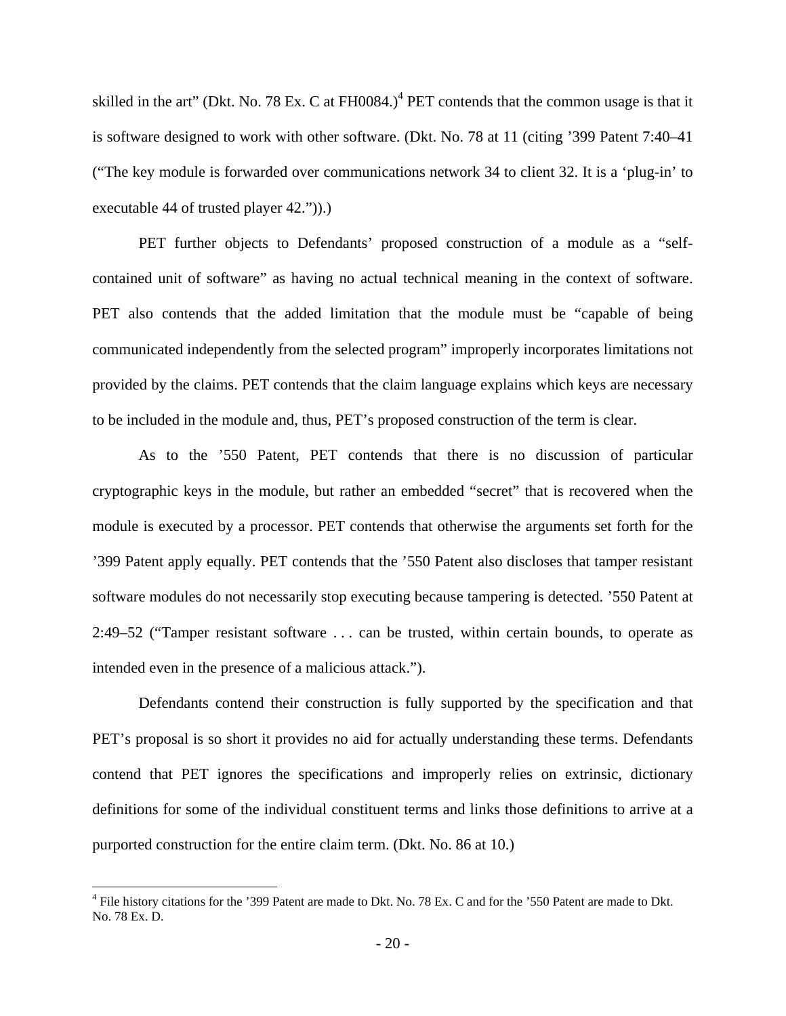skilled in the art" (Dkt. No. 78 Ex. C at  $FH0084$ .)<sup>4</sup> PET contends that the common usage is that it is software designed to work with other software. (Dkt. No. 78 at 11 (citing '399 Patent 7:40–41 ("The key module is forwarded over communications network 34 to client 32. It is a 'plug-in' to executable 44 of trusted player 42.")).)

PET further objects to Defendants' proposed construction of a module as a "selfcontained unit of software" as having no actual technical meaning in the context of software. PET also contends that the added limitation that the module must be "capable of being communicated independently from the selected program" improperly incorporates limitations not provided by the claims. PET contends that the claim language explains which keys are necessary to be included in the module and, thus, PET's proposed construction of the term is clear.

As to the '550 Patent, PET contends that there is no discussion of particular cryptographic keys in the module, but rather an embedded "secret" that is recovered when the module is executed by a processor. PET contends that otherwise the arguments set forth for the '399 Patent apply equally. PET contends that the '550 Patent also discloses that tamper resistant software modules do not necessarily stop executing because tampering is detected. '550 Patent at 2:49–52 ("Tamper resistant software . . . can be trusted, within certain bounds, to operate as intended even in the presence of a malicious attack.").

 Defendants contend their construction is fully supported by the specification and that PET's proposal is so short it provides no aid for actually understanding these terms. Defendants contend that PET ignores the specifications and improperly relies on extrinsic, dictionary definitions for some of the individual constituent terms and links those definitions to arrive at a purported construction for the entire claim term. (Dkt. No. 86 at 10.)

<u>.</u>

<sup>&</sup>lt;sup>4</sup> File history citations for the '399 Patent are made to Dkt. No. 78 Ex. C and for the '550 Patent are made to Dkt. No. 78 Ex. D.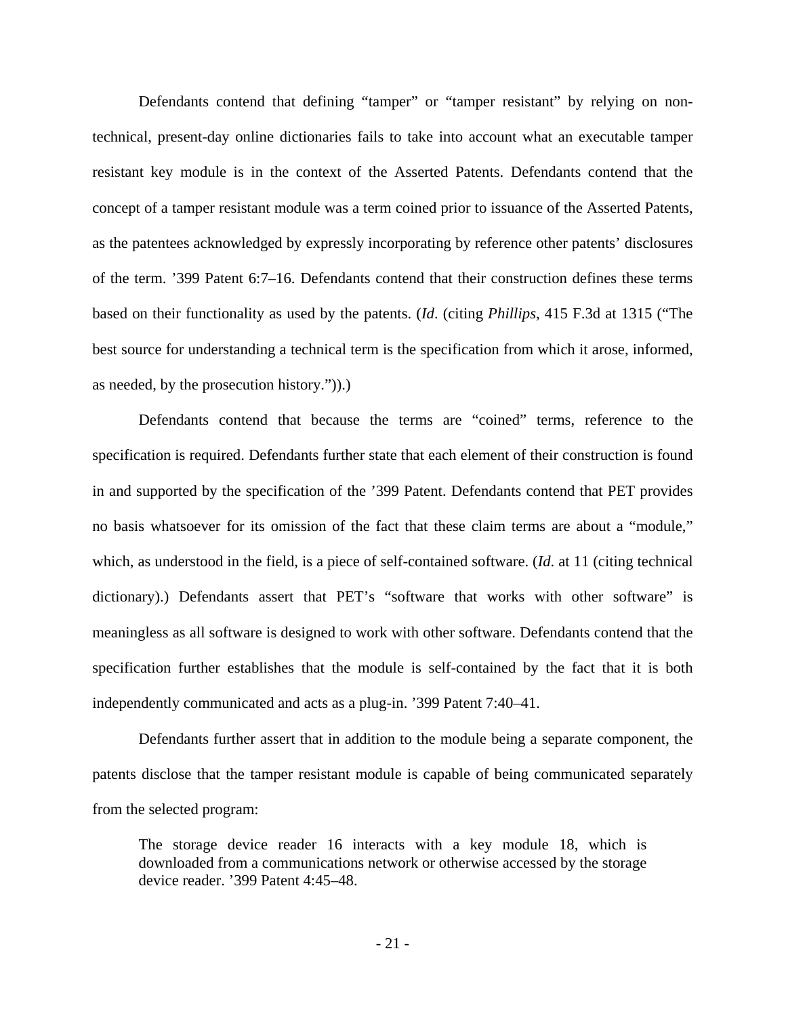Defendants contend that defining "tamper" or "tamper resistant" by relying on nontechnical, present-day online dictionaries fails to take into account what an executable tamper resistant key module is in the context of the Asserted Patents. Defendants contend that the concept of a tamper resistant module was a term coined prior to issuance of the Asserted Patents, as the patentees acknowledged by expressly incorporating by reference other patents' disclosures of the term. '399 Patent 6:7–16. Defendants contend that their construction defines these terms based on their functionality as used by the patents. (*Id*. (citing *Phillips*, 415 F.3d at 1315 ("The best source for understanding a technical term is the specification from which it arose, informed, as needed, by the prosecution history.")).)

Defendants contend that because the terms are "coined" terms, reference to the specification is required. Defendants further state that each element of their construction is found in and supported by the specification of the '399 Patent. Defendants contend that PET provides no basis whatsoever for its omission of the fact that these claim terms are about a "module," which, as understood in the field, is a piece of self-contained software. (*Id*. at 11 (citing technical dictionary).) Defendants assert that PET's "software that works with other software" is meaningless as all software is designed to work with other software. Defendants contend that the specification further establishes that the module is self-contained by the fact that it is both independently communicated and acts as a plug-in. '399 Patent 7:40–41.

 Defendants further assert that in addition to the module being a separate component, the patents disclose that the tamper resistant module is capable of being communicated separately from the selected program:

The storage device reader 16 interacts with a key module 18, which is downloaded from a communications network or otherwise accessed by the storage device reader. '399 Patent 4:45–48.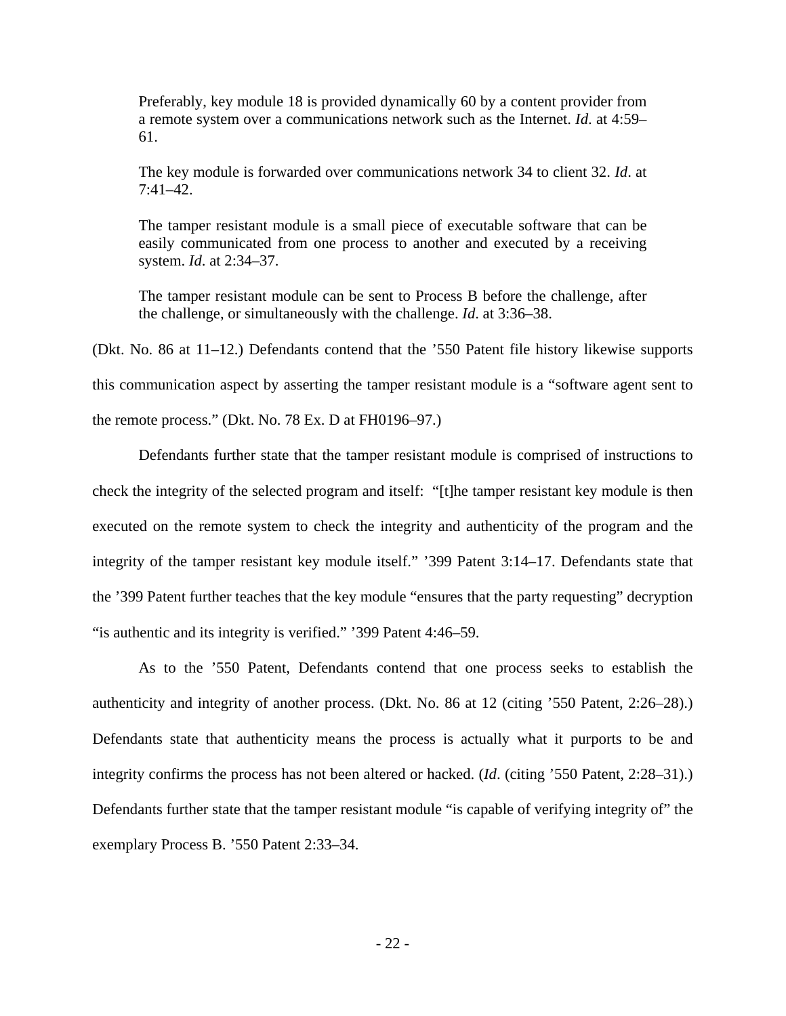Preferably, key module 18 is provided dynamically 60 by a content provider from a remote system over a communications network such as the Internet. *Id*. at 4:59– 61.

The key module is forwarded over communications network 34 to client 32. *Id*. at 7:41–42.

The tamper resistant module is a small piece of executable software that can be easily communicated from one process to another and executed by a receiving system. *Id*. at 2:34–37.

The tamper resistant module can be sent to Process B before the challenge, after the challenge, or simultaneously with the challenge. *Id*. at 3:36–38.

(Dkt. No. 86 at 11–12.) Defendants contend that the '550 Patent file history likewise supports this communication aspect by asserting the tamper resistant module is a "software agent sent to the remote process." (Dkt. No. 78 Ex. D at FH0196–97.)

Defendants further state that the tamper resistant module is comprised of instructions to check the integrity of the selected program and itself: "[t]he tamper resistant key module is then executed on the remote system to check the integrity and authenticity of the program and the integrity of the tamper resistant key module itself." '399 Patent 3:14–17. Defendants state that the '399 Patent further teaches that the key module "ensures that the party requesting" decryption "is authentic and its integrity is verified." '399 Patent 4:46–59.

As to the '550 Patent, Defendants contend that one process seeks to establish the authenticity and integrity of another process. (Dkt. No. 86 at 12 (citing '550 Patent, 2:26–28).) Defendants state that authenticity means the process is actually what it purports to be and integrity confirms the process has not been altered or hacked. (*Id*. (citing '550 Patent, 2:28–31).) Defendants further state that the tamper resistant module "is capable of verifying integrity of" the exemplary Process B. '550 Patent 2:33–34.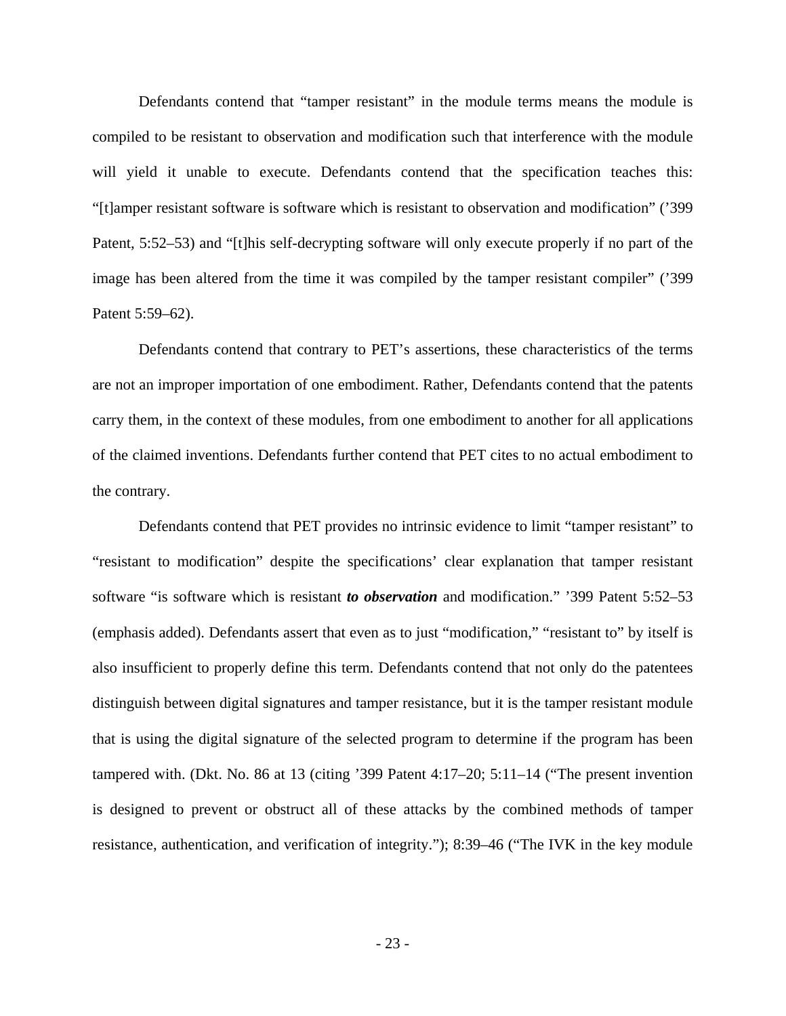Defendants contend that "tamper resistant" in the module terms means the module is compiled to be resistant to observation and modification such that interference with the module will yield it unable to execute. Defendants contend that the specification teaches this: "[t]amper resistant software is software which is resistant to observation and modification" ('399 Patent, 5:52–53) and "[t]his self-decrypting software will only execute properly if no part of the image has been altered from the time it was compiled by the tamper resistant compiler" ('399 Patent 5:59–62).

Defendants contend that contrary to PET's assertions, these characteristics of the terms are not an improper importation of one embodiment. Rather, Defendants contend that the patents carry them, in the context of these modules, from one embodiment to another for all applications of the claimed inventions. Defendants further contend that PET cites to no actual embodiment to the contrary.

Defendants contend that PET provides no intrinsic evidence to limit "tamper resistant" to "resistant to modification" despite the specifications' clear explanation that tamper resistant software "is software which is resistant *to observation* and modification." '399 Patent 5:52–53 (emphasis added). Defendants assert that even as to just "modification," "resistant to" by itself is also insufficient to properly define this term. Defendants contend that not only do the patentees distinguish between digital signatures and tamper resistance, but it is the tamper resistant module that is using the digital signature of the selected program to determine if the program has been tampered with. (Dkt. No. 86 at 13 (citing '399 Patent 4:17–20; 5:11–14 ("The present invention is designed to prevent or obstruct all of these attacks by the combined methods of tamper resistance, authentication, and verification of integrity."); 8:39–46 ("The IVK in the key module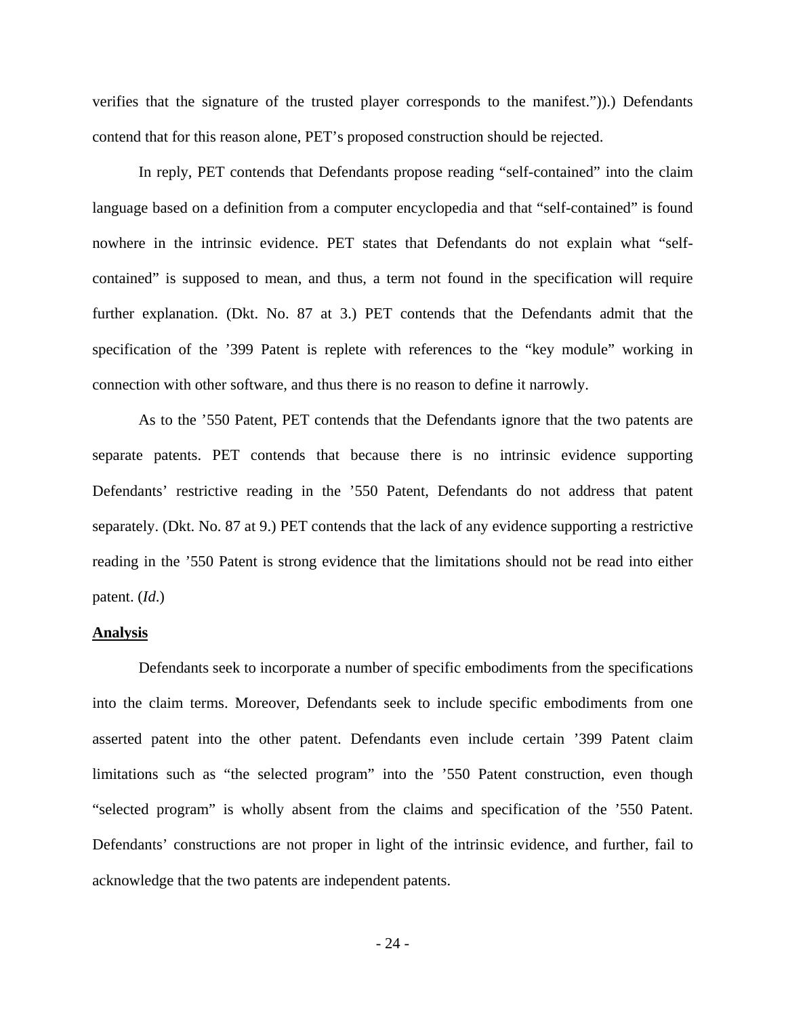verifies that the signature of the trusted player corresponds to the manifest.")).) Defendants contend that for this reason alone, PET's proposed construction should be rejected.

In reply, PET contends that Defendants propose reading "self-contained" into the claim language based on a definition from a computer encyclopedia and that "self-contained" is found nowhere in the intrinsic evidence. PET states that Defendants do not explain what "selfcontained" is supposed to mean, and thus, a term not found in the specification will require further explanation. (Dkt. No. 87 at 3.) PET contends that the Defendants admit that the specification of the '399 Patent is replete with references to the "key module" working in connection with other software, and thus there is no reason to define it narrowly.

 As to the '550 Patent, PET contends that the Defendants ignore that the two patents are separate patents. PET contends that because there is no intrinsic evidence supporting Defendants' restrictive reading in the '550 Patent, Defendants do not address that patent separately. (Dkt. No. 87 at 9.) PET contends that the lack of any evidence supporting a restrictive reading in the '550 Patent is strong evidence that the limitations should not be read into either patent. (*Id*.)

#### **Analysis**

 Defendants seek to incorporate a number of specific embodiments from the specifications into the claim terms. Moreover, Defendants seek to include specific embodiments from one asserted patent into the other patent. Defendants even include certain '399 Patent claim limitations such as "the selected program" into the '550 Patent construction, even though "selected program" is wholly absent from the claims and specification of the '550 Patent. Defendants' constructions are not proper in light of the intrinsic evidence, and further, fail to acknowledge that the two patents are independent patents.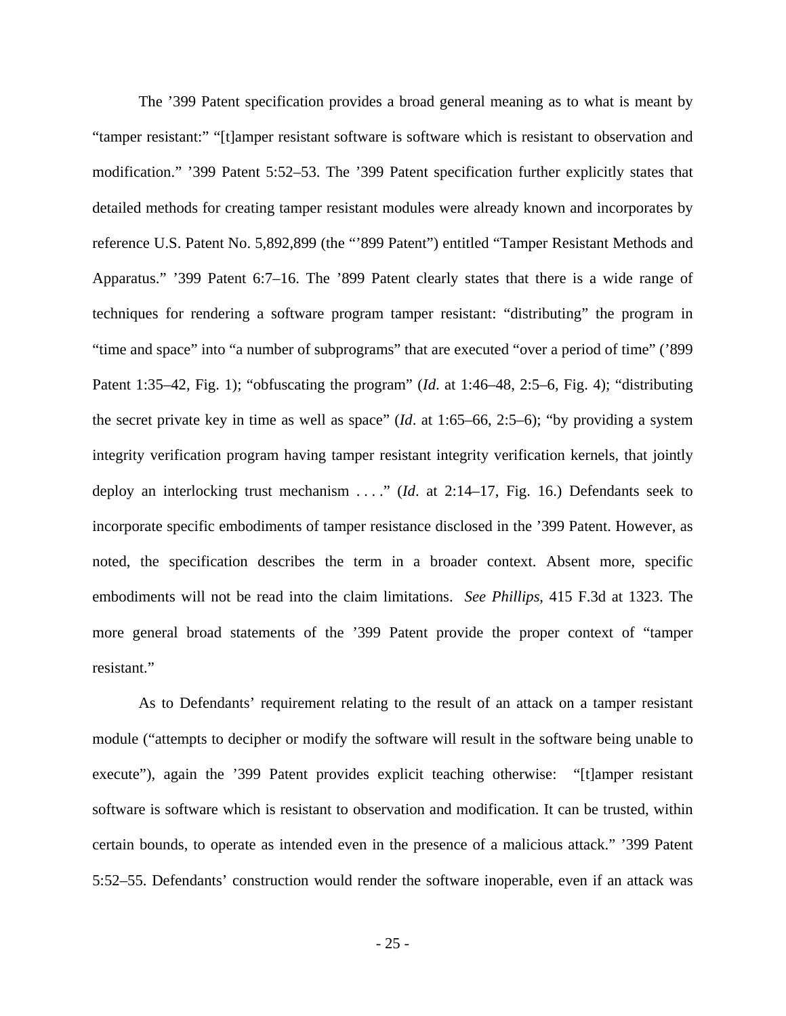The '399 Patent specification provides a broad general meaning as to what is meant by "tamper resistant:" "[t]amper resistant software is software which is resistant to observation and modification." '399 Patent 5:52–53. The '399 Patent specification further explicitly states that detailed methods for creating tamper resistant modules were already known and incorporates by reference U.S. Patent No. 5,892,899 (the "'899 Patent") entitled "Tamper Resistant Methods and Apparatus." '399 Patent 6:7–16. The '899 Patent clearly states that there is a wide range of techniques for rendering a software program tamper resistant: "distributing" the program in "time and space" into "a number of subprograms" that are executed "over a period of time" ('899 Patent 1:35–42, Fig. 1); "obfuscating the program" (*Id*. at 1:46–48, 2:5–6, Fig. 4); "distributing the secret private key in time as well as space" (*Id*. at 1:65–66, 2:5–6); "by providing a system integrity verification program having tamper resistant integrity verification kernels, that jointly deploy an interlocking trust mechanism . . . ." (*Id*. at 2:14–17, Fig. 16.) Defendants seek to incorporate specific embodiments of tamper resistance disclosed in the '399 Patent. However, as noted, the specification describes the term in a broader context. Absent more, specific embodiments will not be read into the claim limitations. *See Phillips*, 415 F.3d at 1323. The more general broad statements of the '399 Patent provide the proper context of "tamper resistant."

 As to Defendants' requirement relating to the result of an attack on a tamper resistant module ("attempts to decipher or modify the software will result in the software being unable to execute"), again the '399 Patent provides explicit teaching otherwise: "[t]amper resistant software is software which is resistant to observation and modification. It can be trusted, within certain bounds, to operate as intended even in the presence of a malicious attack." '399 Patent 5:52–55. Defendants' construction would render the software inoperable, even if an attack was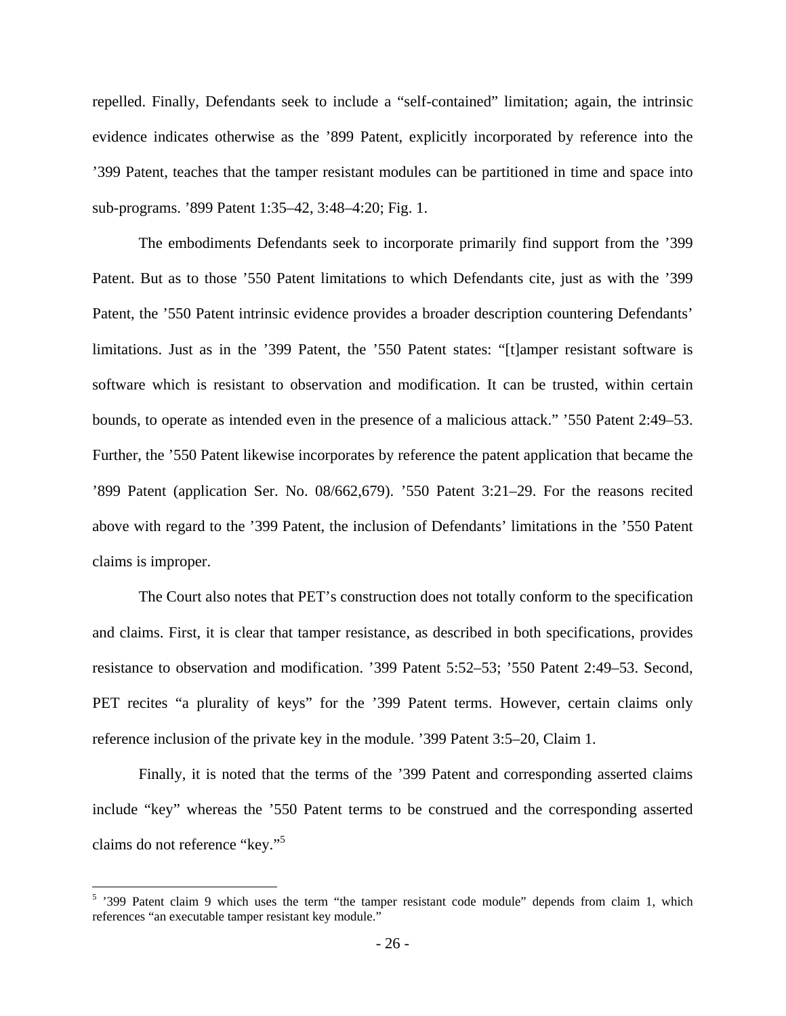repelled. Finally, Defendants seek to include a "self-contained" limitation; again, the intrinsic evidence indicates otherwise as the '899 Patent, explicitly incorporated by reference into the '399 Patent, teaches that the tamper resistant modules can be partitioned in time and space into sub-programs. '899 Patent 1:35–42, 3:48–4:20; Fig. 1.

 The embodiments Defendants seek to incorporate primarily find support from the '399 Patent. But as to those '550 Patent limitations to which Defendants cite, just as with the '399 Patent, the '550 Patent intrinsic evidence provides a broader description countering Defendants' limitations. Just as in the '399 Patent, the '550 Patent states: "[t]amper resistant software is software which is resistant to observation and modification. It can be trusted, within certain bounds, to operate as intended even in the presence of a malicious attack." '550 Patent 2:49–53. Further, the '550 Patent likewise incorporates by reference the patent application that became the '899 Patent (application Ser. No. 08/662,679). '550 Patent 3:21–29. For the reasons recited above with regard to the '399 Patent, the inclusion of Defendants' limitations in the '550 Patent claims is improper.

 The Court also notes that PET's construction does not totally conform to the specification and claims. First, it is clear that tamper resistance, as described in both specifications, provides resistance to observation and modification. '399 Patent 5:52–53; '550 Patent 2:49–53. Second, PET recites "a plurality of keys" for the '399 Patent terms. However, certain claims only reference inclusion of the private key in the module. '399 Patent 3:5–20, Claim 1.

 Finally, it is noted that the terms of the '399 Patent and corresponding asserted claims include "key" whereas the '550 Patent terms to be construed and the corresponding asserted claims do not reference "key."<sup>5</sup>

<sup>&</sup>lt;sup>5</sup> 399 Patent claim 9 which uses the term "the tamper resistant code module" depends from claim 1, which references "an executable tamper resistant key module."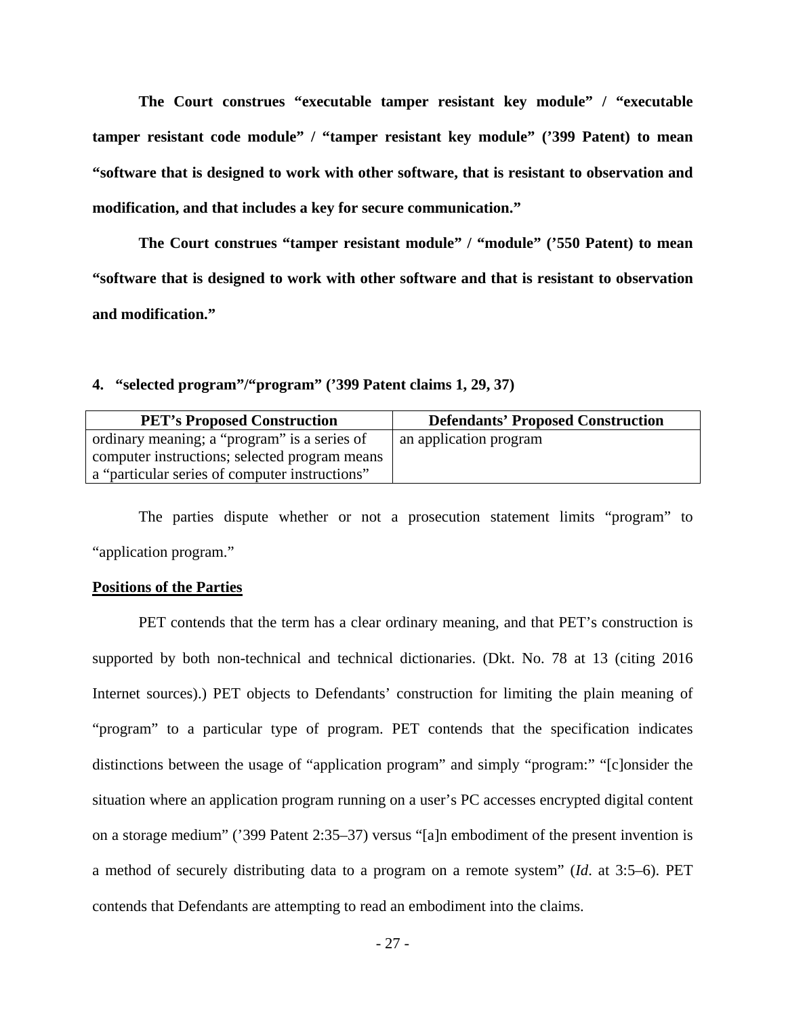**The Court construes "executable tamper resistant key module" / "executable tamper resistant code module" / "tamper resistant key module" ('399 Patent) to mean "software that is designed to work with other software, that is resistant to observation and modification, and that includes a key for secure communication."** 

 **The Court construes "tamper resistant module" / "module" ('550 Patent) to mean "software that is designed to work with other software and that is resistant to observation and modification."** 

**4. "selected program"/"program" ('399 Patent claims 1, 29, 37)** 

| <b>PET's Proposed Construction</b>             | <b>Defendants' Proposed Construction</b> |
|------------------------------------------------|------------------------------------------|
| ordinary meaning; a "program" is a series of   | an application program                   |
| computer instructions; selected program means  |                                          |
| a "particular series of computer instructions" |                                          |

The parties dispute whether or not a prosecution statement limits "program" to "application program."

#### **Positions of the Parties**

 PET contends that the term has a clear ordinary meaning, and that PET's construction is supported by both non-technical and technical dictionaries. (Dkt. No. 78 at 13 (citing 2016 Internet sources).) PET objects to Defendants' construction for limiting the plain meaning of "program" to a particular type of program. PET contends that the specification indicates distinctions between the usage of "application program" and simply "program:" "[c]onsider the situation where an application program running on a user's PC accesses encrypted digital content on a storage medium" ('399 Patent 2:35–37) versus "[a]n embodiment of the present invention is a method of securely distributing data to a program on a remote system" (*Id*. at 3:5–6). PET contends that Defendants are attempting to read an embodiment into the claims.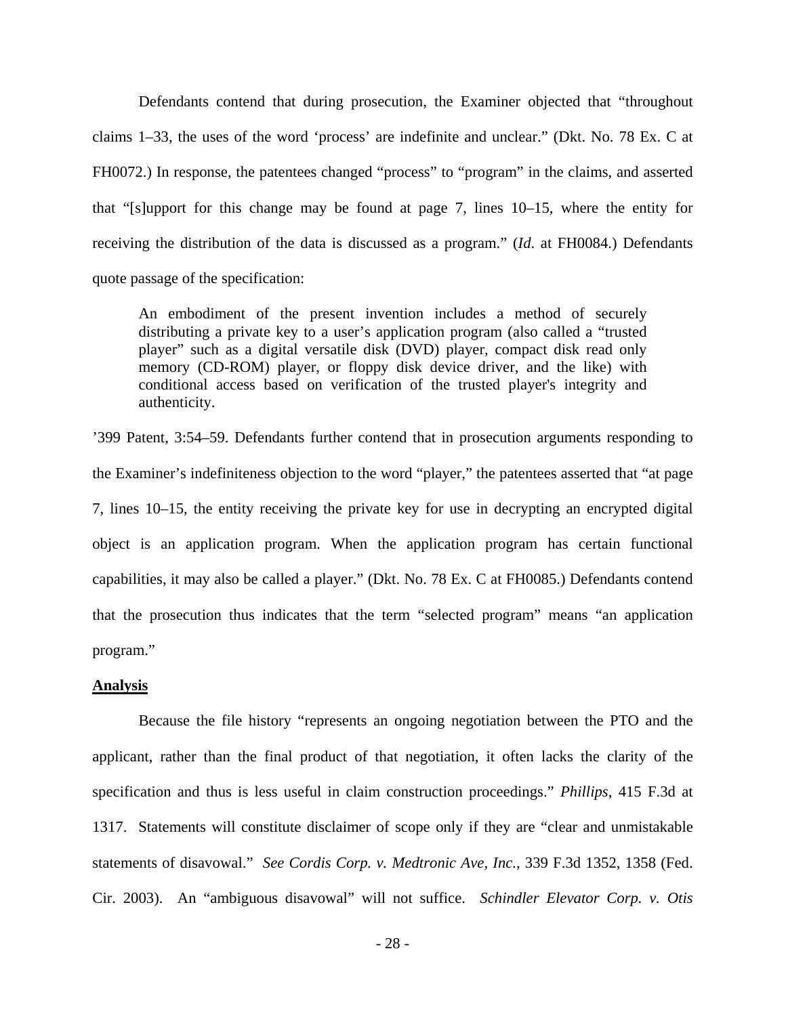Defendants contend that during prosecution, the Examiner objected that "throughout claims 1–33, the uses of the word 'process' are indefinite and unclear." (Dkt. No. 78 Ex. C at FH0072.) In response, the patentees changed "process" to "program" in the claims, and asserted that "[s]upport for this change may be found at page 7, lines 10–15, where the entity for receiving the distribution of the data is discussed as a program." (*Id*. at FH0084.) Defendants quote passage of the specification:

An embodiment of the present invention includes a method of securely distributing a private key to a user's application program (also called a "trusted player" such as a digital versatile disk (DVD) player, compact disk read only memory (CD-ROM) player, or floppy disk device driver, and the like) with conditional access based on verification of the trusted player's integrity and authenticity.

'399 Patent, 3:54–59. Defendants further contend that in prosecution arguments responding to the Examiner's indefiniteness objection to the word "player," the patentees asserted that "at page 7, lines 10–15, the entity receiving the private key for use in decrypting an encrypted digital object is an application program. When the application program has certain functional capabilities, it may also be called a player." (Dkt. No. 78 Ex. C at FH0085.) Defendants contend that the prosecution thus indicates that the term "selected program" means "an application program."

## **Analysis**

Because the file history "represents an ongoing negotiation between the PTO and the applicant, rather than the final product of that negotiation, it often lacks the clarity of the specification and thus is less useful in claim construction proceedings." *Phillips*, 415 F.3d at 1317. Statements will constitute disclaimer of scope only if they are "clear and unmistakable statements of disavowal." *See Cordis Corp. v. Medtronic Ave, Inc.*, 339 F.3d 1352, 1358 (Fed. Cir. 2003). An "ambiguous disavowal" will not suffice. *Schindler Elevator Corp. v. Otis*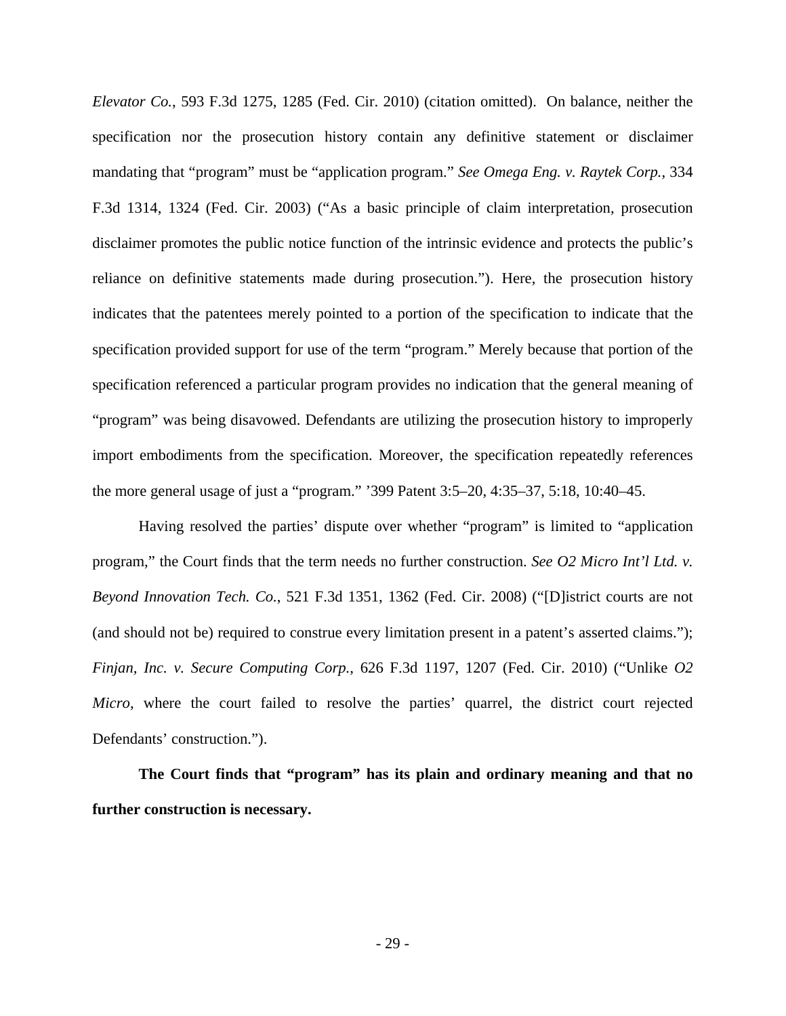*Elevator Co.*, 593 F.3d 1275, 1285 (Fed. Cir. 2010) (citation omitted). On balance, neither the specification nor the prosecution history contain any definitive statement or disclaimer mandating that "program" must be "application program." *See Omega Eng. v. Raytek Corp.*, 334 F.3d 1314, 1324 (Fed. Cir. 2003) ("As a basic principle of claim interpretation, prosecution disclaimer promotes the public notice function of the intrinsic evidence and protects the public's reliance on definitive statements made during prosecution."). Here, the prosecution history indicates that the patentees merely pointed to a portion of the specification to indicate that the specification provided support for use of the term "program." Merely because that portion of the specification referenced a particular program provides no indication that the general meaning of "program" was being disavowed. Defendants are utilizing the prosecution history to improperly import embodiments from the specification. Moreover, the specification repeatedly references the more general usage of just a "program." '399 Patent 3:5–20, 4:35–37, 5:18, 10:40–45.

Having resolved the parties' dispute over whether "program" is limited to "application program," the Court finds that the term needs no further construction. *See O2 Micro Int'l Ltd. v. Beyond Innovation Tech. Co.*, 521 F.3d 1351, 1362 (Fed. Cir. 2008) ("[D]istrict courts are not (and should not be) required to construe every limitation present in a patent's asserted claims."); *Finjan, Inc. v. Secure Computing Corp.*, 626 F.3d 1197, 1207 (Fed. Cir. 2010) ("Unlike *O2 Micro*, where the court failed to resolve the parties' quarrel, the district court rejected Defendants' construction.").

**The Court finds that "program" has its plain and ordinary meaning and that no further construction is necessary.**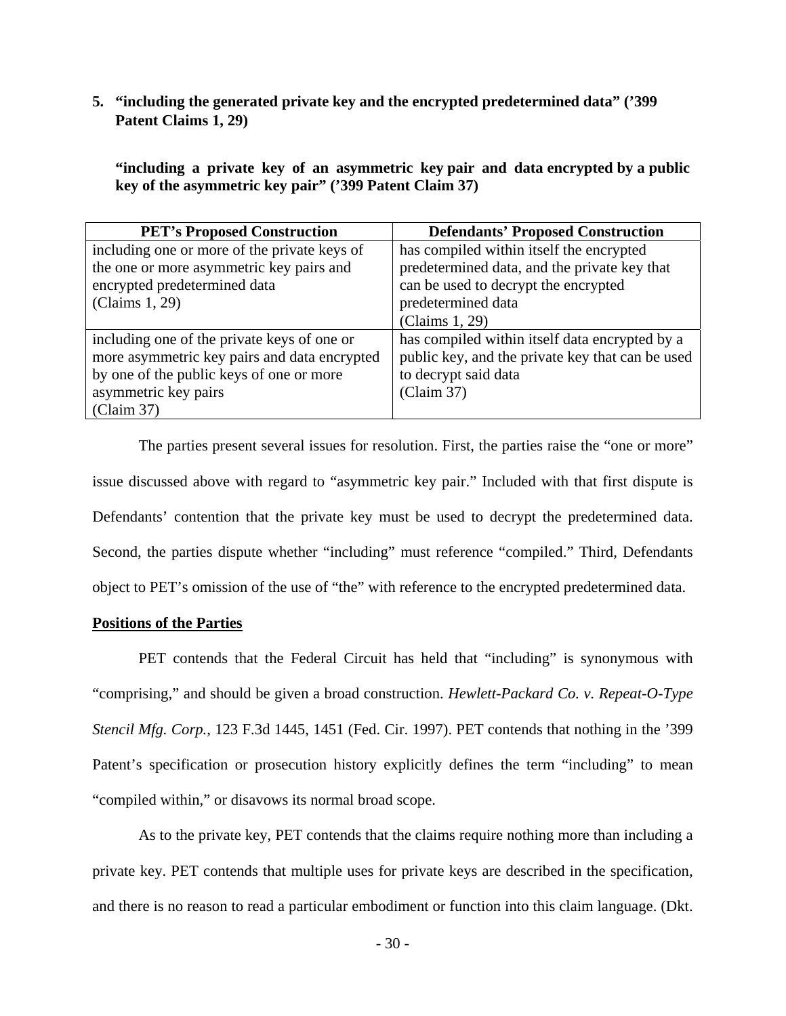# **5. "including the generated private key and the encrypted predetermined data" ('399 Patent Claims 1, 29)**

**"including a private key of an asymmetric key pair and data encrypted by a public key of the asymmetric key pair" ('399 Patent Claim 37)**

| <b>PET's Proposed Construction</b>           | <b>Defendants' Proposed Construction</b>         |
|----------------------------------------------|--------------------------------------------------|
| including one or more of the private keys of | has compiled within itself the encrypted         |
| the one or more asymmetric key pairs and     | predetermined data, and the private key that     |
| encrypted predetermined data                 | can be used to decrypt the encrypted             |
| (Claims 1, 29)                               | predetermined data                               |
|                                              | (Claims 1, 29)                                   |
| including one of the private keys of one or  | has compiled within itself data encrypted by a   |
| more asymmetric key pairs and data encrypted | public key, and the private key that can be used |
| by one of the public keys of one or more     | to decrypt said data                             |
| asymmetric key pairs                         | (Claim 37)                                       |
| (Claim 37)                                   |                                                  |

The parties present several issues for resolution. First, the parties raise the "one or more" issue discussed above with regard to "asymmetric key pair." Included with that first dispute is Defendants' contention that the private key must be used to decrypt the predetermined data. Second, the parties dispute whether "including" must reference "compiled." Third, Defendants object to PET's omission of the use of "the" with reference to the encrypted predetermined data.

# **Positions of the Parties**

PET contends that the Federal Circuit has held that "including" is synonymous with "comprising," and should be given a broad construction. *Hewlett-Packard Co. v. Repeat-O-Type Stencil Mfg. Corp.*, 123 F.3d 1445, 1451 (Fed. Cir. 1997). PET contends that nothing in the '399 Patent's specification or prosecution history explicitly defines the term "including" to mean "compiled within," or disavows its normal broad scope.

As to the private key, PET contends that the claims require nothing more than including a private key. PET contends that multiple uses for private keys are described in the specification, and there is no reason to read a particular embodiment or function into this claim language. (Dkt.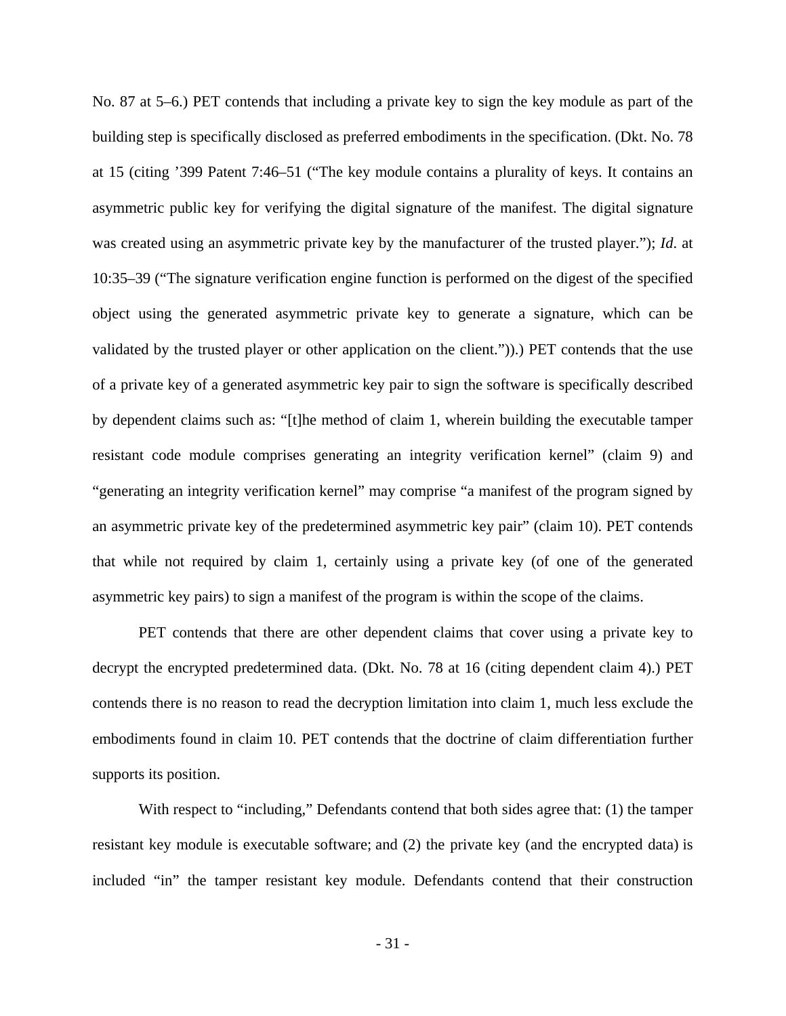No. 87 at 5–6.) PET contends that including a private key to sign the key module as part of the building step is specifically disclosed as preferred embodiments in the specification. (Dkt. No. 78 at 15 (citing '399 Patent 7:46–51 ("The key module contains a plurality of keys. It contains an asymmetric public key for verifying the digital signature of the manifest. The digital signature was created using an asymmetric private key by the manufacturer of the trusted player."); *Id*. at 10:35–39 ("The signature verification engine function is performed on the digest of the specified object using the generated asymmetric private key to generate a signature, which can be validated by the trusted player or other application on the client.")).) PET contends that the use of a private key of a generated asymmetric key pair to sign the software is specifically described by dependent claims such as: "[t]he method of claim 1, wherein building the executable tamper resistant code module comprises generating an integrity verification kernel" (claim 9) and "generating an integrity verification kernel" may comprise "a manifest of the program signed by an asymmetric private key of the predetermined asymmetric key pair" (claim 10). PET contends that while not required by claim 1, certainly using a private key (of one of the generated asymmetric key pairs) to sign a manifest of the program is within the scope of the claims.

PET contends that there are other dependent claims that cover using a private key to decrypt the encrypted predetermined data. (Dkt. No. 78 at 16 (citing dependent claim 4).) PET contends there is no reason to read the decryption limitation into claim 1, much less exclude the embodiments found in claim 10. PET contends that the doctrine of claim differentiation further supports its position.

With respect to "including," Defendants contend that both sides agree that: (1) the tamper resistant key module is executable software; and (2) the private key (and the encrypted data) is included "in" the tamper resistant key module. Defendants contend that their construction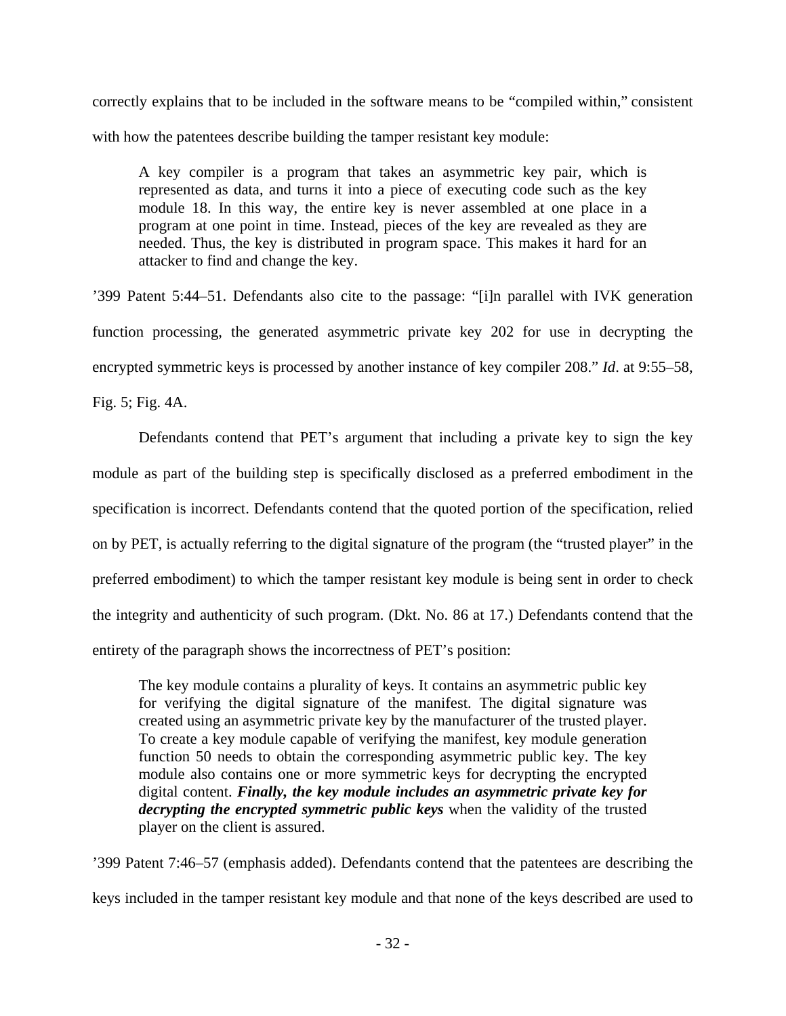correctly explains that to be included in the software means to be "compiled within," consistent with how the patentees describe building the tamper resistant key module:

A key compiler is a program that takes an asymmetric key pair, which is represented as data, and turns it into a piece of executing code such as the key module 18. In this way, the entire key is never assembled at one place in a program at one point in time. Instead, pieces of the key are revealed as they are needed. Thus, the key is distributed in program space. This makes it hard for an attacker to find and change the key.

'399 Patent 5:44–51. Defendants also cite to the passage: "[i]n parallel with IVK generation function processing, the generated asymmetric private key 202 for use in decrypting the encrypted symmetric keys is processed by another instance of key compiler 208." *Id*. at 9:55–58,

Fig. 5; Fig. 4A.

Defendants contend that PET's argument that including a private key to sign the key module as part of the building step is specifically disclosed as a preferred embodiment in the specification is incorrect. Defendants contend that the quoted portion of the specification, relied on by PET, is actually referring to the digital signature of the program (the "trusted player" in the preferred embodiment) to which the tamper resistant key module is being sent in order to check the integrity and authenticity of such program. (Dkt. No. 86 at 17.) Defendants contend that the entirety of the paragraph shows the incorrectness of PET's position:

The key module contains a plurality of keys. It contains an asymmetric public key for verifying the digital signature of the manifest. The digital signature was created using an asymmetric private key by the manufacturer of the trusted player. To create a key module capable of verifying the manifest, key module generation function 50 needs to obtain the corresponding asymmetric public key. The key module also contains one or more symmetric keys for decrypting the encrypted digital content. *Finally, the key module includes an asymmetric private key for decrypting the encrypted symmetric public keys* when the validity of the trusted player on the client is assured.

'399 Patent 7:46–57 (emphasis added). Defendants contend that the patentees are describing the keys included in the tamper resistant key module and that none of the keys described are used to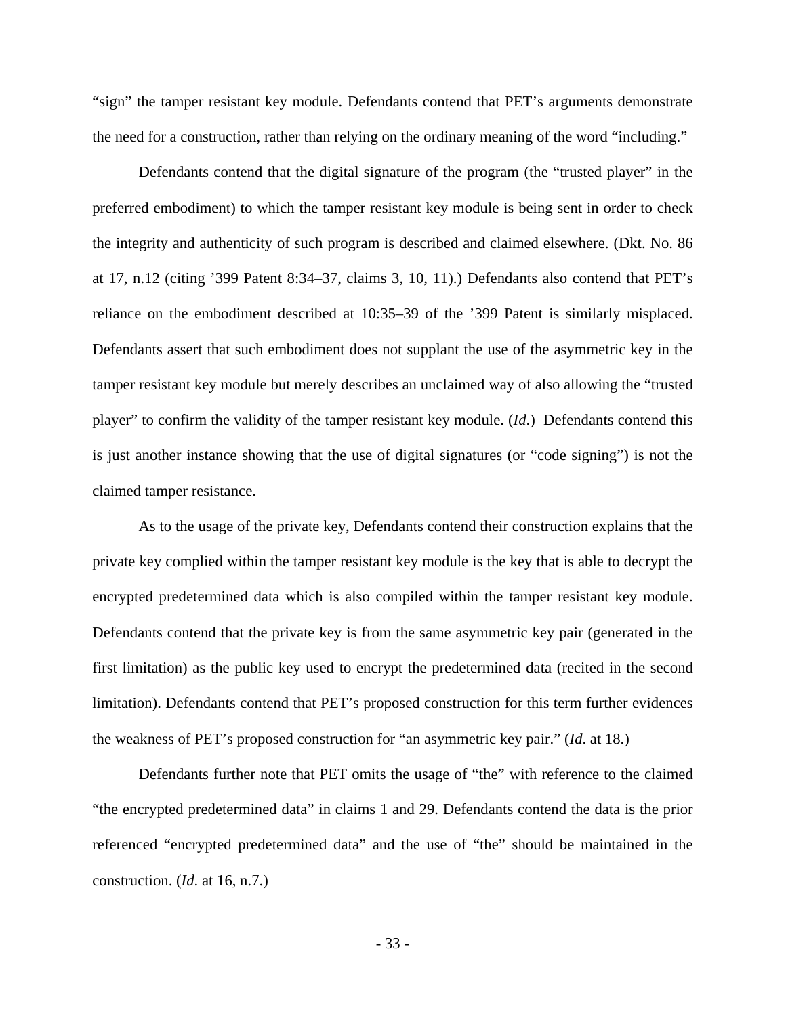"sign" the tamper resistant key module. Defendants contend that PET's arguments demonstrate the need for a construction, rather than relying on the ordinary meaning of the word "including."

Defendants contend that the digital signature of the program (the "trusted player" in the preferred embodiment) to which the tamper resistant key module is being sent in order to check the integrity and authenticity of such program is described and claimed elsewhere. (Dkt. No. 86 at 17, n.12 (citing '399 Patent 8:34–37, claims 3, 10, 11).) Defendants also contend that PET's reliance on the embodiment described at 10:35–39 of the '399 Patent is similarly misplaced. Defendants assert that such embodiment does not supplant the use of the asymmetric key in the tamper resistant key module but merely describes an unclaimed way of also allowing the "trusted player" to confirm the validity of the tamper resistant key module. (*Id*.) Defendants contend this is just another instance showing that the use of digital signatures (or "code signing") is not the claimed tamper resistance.

As to the usage of the private key, Defendants contend their construction explains that the private key complied within the tamper resistant key module is the key that is able to decrypt the encrypted predetermined data which is also compiled within the tamper resistant key module. Defendants contend that the private key is from the same asymmetric key pair (generated in the first limitation) as the public key used to encrypt the predetermined data (recited in the second limitation). Defendants contend that PET's proposed construction for this term further evidences the weakness of PET's proposed construction for "an asymmetric key pair." (*Id*. at 18.)

Defendants further note that PET omits the usage of "the" with reference to the claimed "the encrypted predetermined data" in claims 1 and 29. Defendants contend the data is the prior referenced "encrypted predetermined data" and the use of "the" should be maintained in the construction. (*Id*. at 16, n.7.)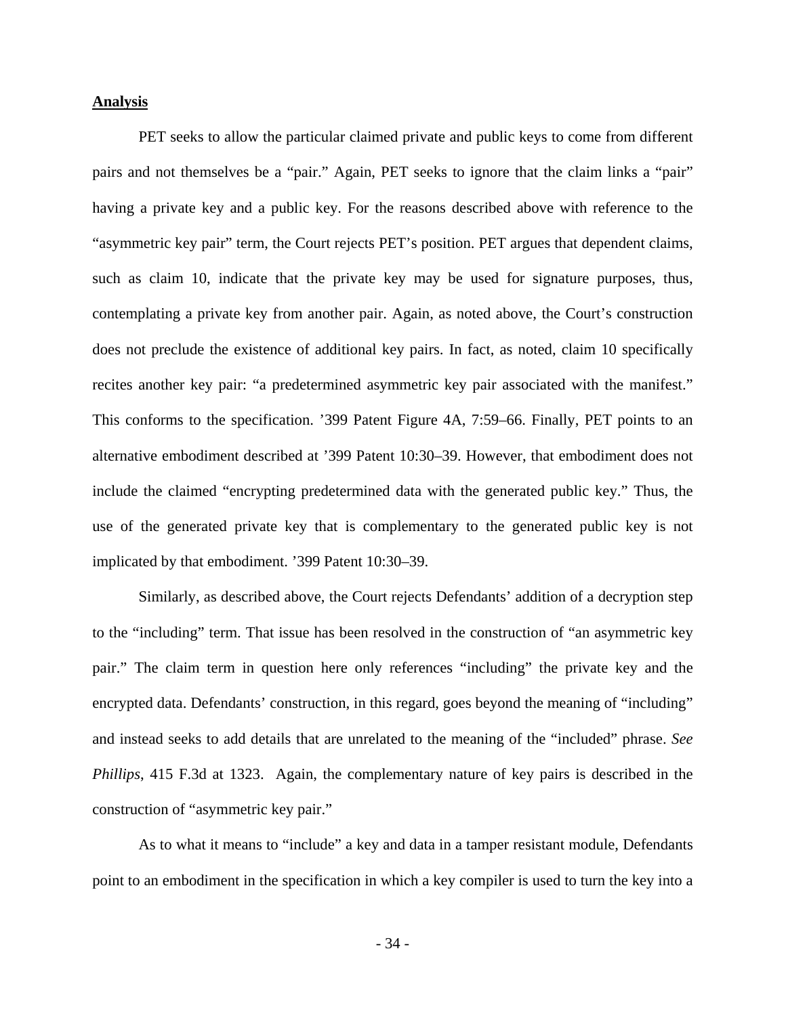#### **Analysis**

PET seeks to allow the particular claimed private and public keys to come from different pairs and not themselves be a "pair." Again, PET seeks to ignore that the claim links a "pair" having a private key and a public key. For the reasons described above with reference to the "asymmetric key pair" term, the Court rejects PET's position. PET argues that dependent claims, such as claim 10, indicate that the private key may be used for signature purposes, thus, contemplating a private key from another pair. Again, as noted above, the Court's construction does not preclude the existence of additional key pairs. In fact, as noted, claim 10 specifically recites another key pair: "a predetermined asymmetric key pair associated with the manifest." This conforms to the specification. '399 Patent Figure 4A, 7:59–66. Finally, PET points to an alternative embodiment described at '399 Patent 10:30–39. However, that embodiment does not include the claimed "encrypting predetermined data with the generated public key." Thus, the use of the generated private key that is complementary to the generated public key is not implicated by that embodiment. '399 Patent 10:30–39.

Similarly, as described above, the Court rejects Defendants' addition of a decryption step to the "including" term. That issue has been resolved in the construction of "an asymmetric key pair." The claim term in question here only references "including" the private key and the encrypted data. Defendants' construction, in this regard, goes beyond the meaning of "including" and instead seeks to add details that are unrelated to the meaning of the "included" phrase. *See Phillips*, 415 F.3d at 1323. Again, the complementary nature of key pairs is described in the construction of "asymmetric key pair."

 As to what it means to "include" a key and data in a tamper resistant module, Defendants point to an embodiment in the specification in which a key compiler is used to turn the key into a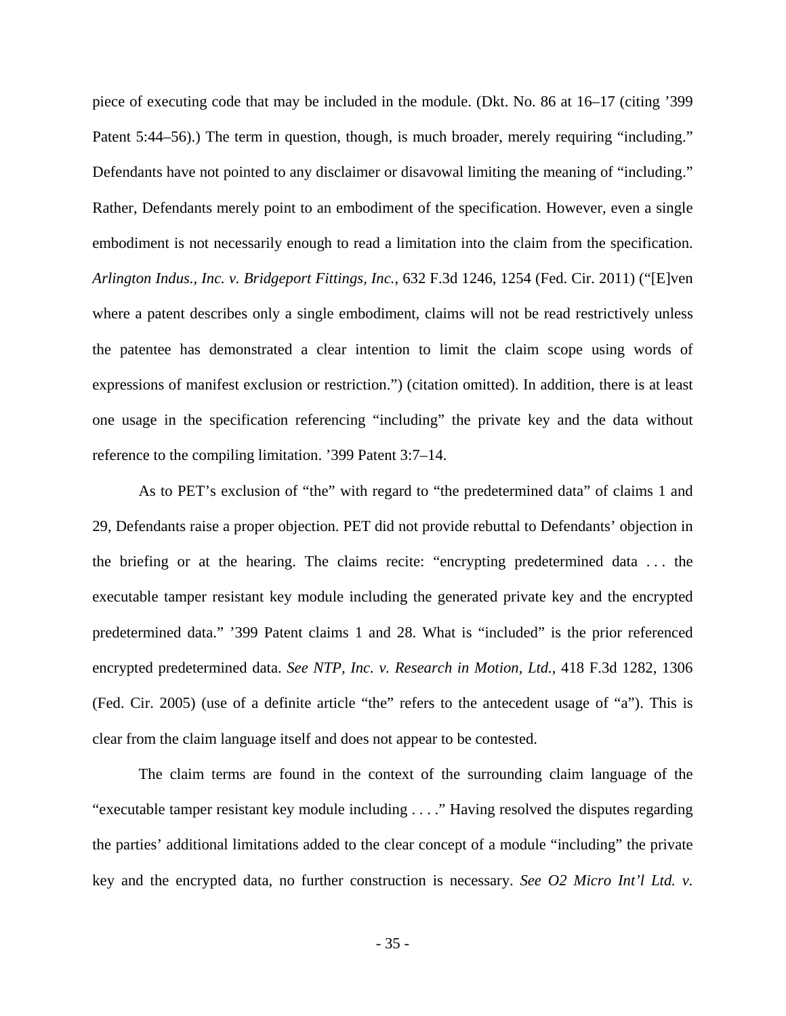piece of executing code that may be included in the module. (Dkt. No. 86 at 16–17 (citing '399 Patent 5:44–56).) The term in question, though, is much broader, merely requiring "including." Defendants have not pointed to any disclaimer or disavowal limiting the meaning of "including." Rather, Defendants merely point to an embodiment of the specification. However, even a single embodiment is not necessarily enough to read a limitation into the claim from the specification. *Arlington Indus., Inc. v. Bridgeport Fittings, Inc.*, 632 F.3d 1246, 1254 (Fed. Cir. 2011) ("[E]ven where a patent describes only a single embodiment, claims will not be read restrictively unless the patentee has demonstrated a clear intention to limit the claim scope using words of expressions of manifest exclusion or restriction.") (citation omitted). In addition, there is at least one usage in the specification referencing "including" the private key and the data without reference to the compiling limitation. '399 Patent 3:7–14.

 As to PET's exclusion of "the" with regard to "the predetermined data" of claims 1 and 29, Defendants raise a proper objection. PET did not provide rebuttal to Defendants' objection in the briefing or at the hearing. The claims recite: "encrypting predetermined data . . . the executable tamper resistant key module including the generated private key and the encrypted predetermined data." '399 Patent claims 1 and 28. What is "included" is the prior referenced encrypted predetermined data. *See NTP, Inc. v. Research in Motion, Ltd.*, 418 F.3d 1282, 1306 (Fed. Cir. 2005) (use of a definite article "the" refers to the antecedent usage of "a"). This is clear from the claim language itself and does not appear to be contested.

The claim terms are found in the context of the surrounding claim language of the "executable tamper resistant key module including . . . ." Having resolved the disputes regarding the parties' additional limitations added to the clear concept of a module "including" the private key and the encrypted data, no further construction is necessary. *See O2 Micro Int'l Ltd. v.*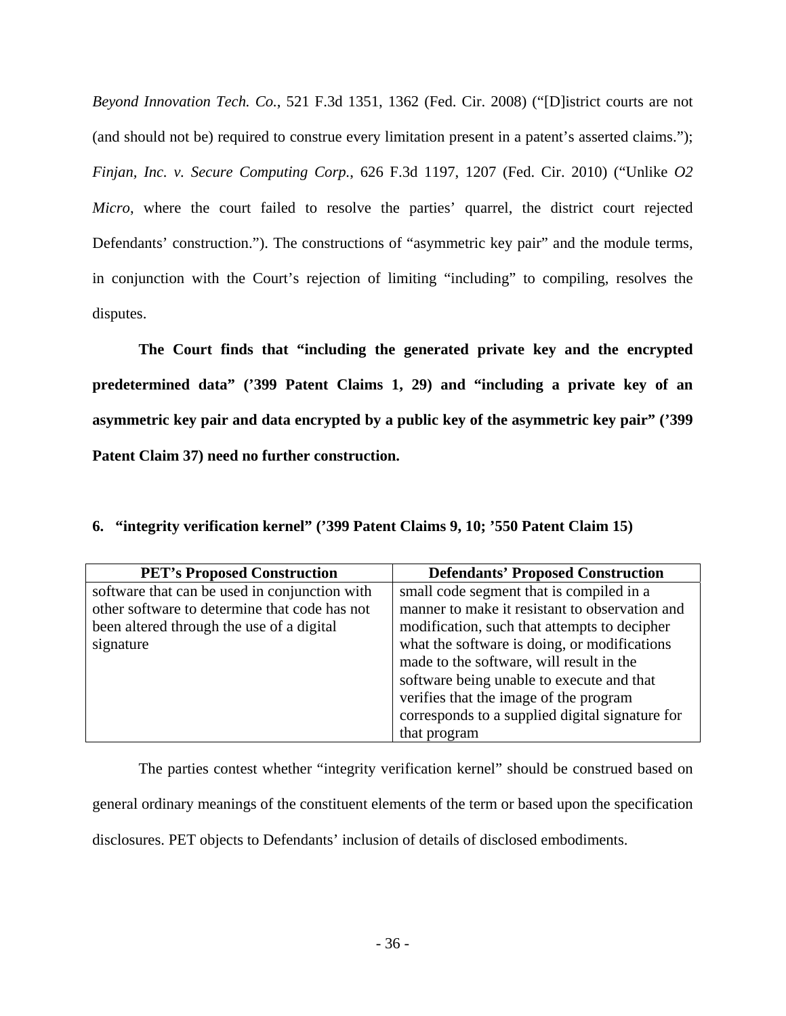*Beyond Innovation Tech. Co.*, 521 F.3d 1351, 1362 (Fed. Cir. 2008) ("[D]istrict courts are not (and should not be) required to construe every limitation present in a patent's asserted claims."); *Finjan, Inc. v. Secure Computing Corp.*, 626 F.3d 1197, 1207 (Fed. Cir. 2010) ("Unlike *O2 Micro*, where the court failed to resolve the parties' quarrel, the district court rejected Defendants' construction."). The constructions of "asymmetric key pair" and the module terms, in conjunction with the Court's rejection of limiting "including" to compiling, resolves the disputes.

**The Court finds that "including the generated private key and the encrypted predetermined data" ('399 Patent Claims 1, 29) and "including a private key of an asymmetric key pair and data encrypted by a public key of the asymmetric key pair" ('399 Patent Claim 37) need no further construction.** 

| <b>PET's Proposed Construction</b>            | <b>Defendants' Proposed Construction</b>        |
|-----------------------------------------------|-------------------------------------------------|
| software that can be used in conjunction with | small code segment that is compiled in a        |
| other software to determine that code has not | manner to make it resistant to observation and  |
| been altered through the use of a digital     | modification, such that attempts to decipher    |
| signature                                     | what the software is doing, or modifications    |
|                                               | made to the software, will result in the        |
|                                               | software being unable to execute and that       |
|                                               | verifies that the image of the program          |
|                                               | corresponds to a supplied digital signature for |
|                                               | that program                                    |

**6. "integrity verification kernel" ('399 Patent Claims 9, 10; '550 Patent Claim 15)** 

The parties contest whether "integrity verification kernel" should be construed based on general ordinary meanings of the constituent elements of the term or based upon the specification disclosures. PET objects to Defendants' inclusion of details of disclosed embodiments.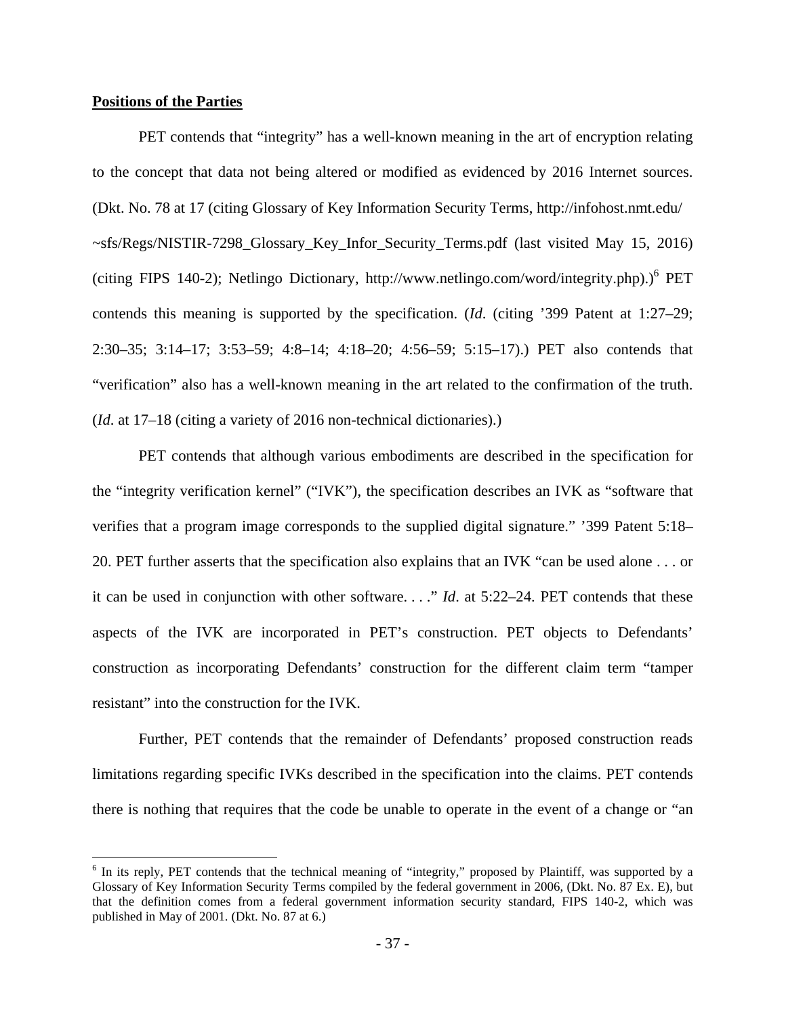# **Positions of the Parties**

<u>.</u>

PET contends that "integrity" has a well-known meaning in the art of encryption relating to the concept that data not being altered or modified as evidenced by 2016 Internet sources. (Dkt. No. 78 at 17 (citing Glossary of Key Information Security Terms, http://infohost.nmt.edu/ ~sfs/Regs/NISTIR-7298 Glossary Key Infor Security Terms.pdf (last visited May 15, 2016) (citing FIPS 140-2); Netlingo Dictionary, http://www.netlingo.com/word/integrity.php).)<sup>6</sup> PET contends this meaning is supported by the specification. (*Id*. (citing '399 Patent at 1:27–29; 2:30–35; 3:14–17; 3:53–59; 4:8–14; 4:18–20; 4:56–59; 5:15–17).) PET also contends that "verification" also has a well-known meaning in the art related to the confirmation of the truth. (*Id*. at 17–18 (citing a variety of 2016 non-technical dictionaries).)

 PET contends that although various embodiments are described in the specification for the "integrity verification kernel" ("IVK"), the specification describes an IVK as "software that verifies that a program image corresponds to the supplied digital signature." '399 Patent 5:18– 20. PET further asserts that the specification also explains that an IVK "can be used alone . . . or it can be used in conjunction with other software. . . ." *Id*. at 5:22–24. PET contends that these aspects of the IVK are incorporated in PET's construction. PET objects to Defendants' construction as incorporating Defendants' construction for the different claim term "tamper resistant" into the construction for the IVK.

Further, PET contends that the remainder of Defendants' proposed construction reads limitations regarding specific IVKs described in the specification into the claims. PET contends there is nothing that requires that the code be unable to operate in the event of a change or "an

<sup>&</sup>lt;sup>6</sup> In its reply, PET contends that the technical meaning of "integrity," proposed by Plaintiff, was supported by a Glossary of Key Information Security Terms compiled by the federal government in 2006, (Dkt. No. 87 Ex. E), but that the definition comes from a federal government information security standard, FIPS 140-2, which was published in May of 2001. (Dkt. No. 87 at 6.)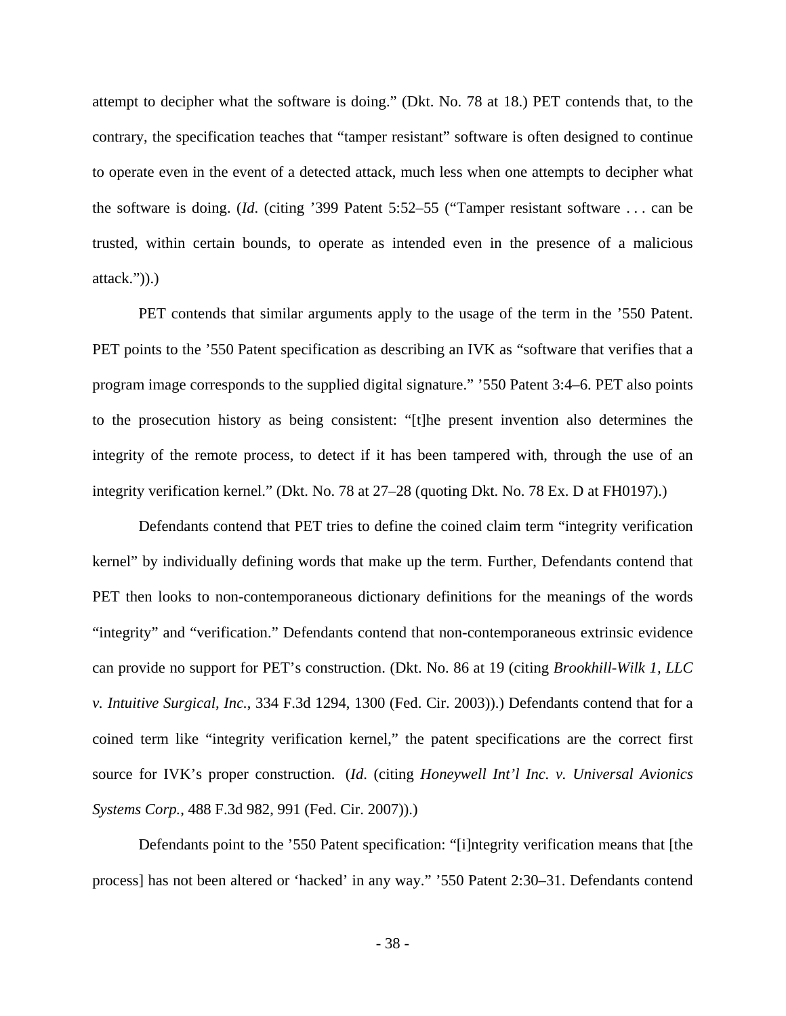attempt to decipher what the software is doing." (Dkt. No. 78 at 18.) PET contends that, to the contrary, the specification teaches that "tamper resistant" software is often designed to continue to operate even in the event of a detected attack, much less when one attempts to decipher what the software is doing. (*Id*. (citing '399 Patent 5:52–55 ("Tamper resistant software . . . can be trusted, within certain bounds, to operate as intended even in the presence of a malicious  $attack.")$ ).)

 PET contends that similar arguments apply to the usage of the term in the '550 Patent. PET points to the '550 Patent specification as describing an IVK as "software that verifies that a program image corresponds to the supplied digital signature." '550 Patent 3:4–6. PET also points to the prosecution history as being consistent: "[t]he present invention also determines the integrity of the remote process, to detect if it has been tampered with, through the use of an integrity verification kernel." (Dkt. No. 78 at 27–28 (quoting Dkt. No. 78 Ex. D at FH0197).)

Defendants contend that PET tries to define the coined claim term "integrity verification kernel" by individually defining words that make up the term. Further, Defendants contend that PET then looks to non-contemporaneous dictionary definitions for the meanings of the words "integrity" and "verification." Defendants contend that non-contemporaneous extrinsic evidence can provide no support for PET's construction. (Dkt. No. 86 at 19 (citing *Brookhill-Wilk 1, LLC v. Intuitive Surgical, Inc.*, 334 F.3d 1294, 1300 (Fed. Cir. 2003)).) Defendants contend that for a coined term like "integrity verification kernel," the patent specifications are the correct first source for IVK's proper construction. (*Id*. (citing *Honeywell Int'l Inc. v. Universal Avionics Systems Corp.*, 488 F.3d 982, 991 (Fed. Cir. 2007)).)

Defendants point to the '550 Patent specification: "[i]ntegrity verification means that [the process] has not been altered or 'hacked' in any way." '550 Patent 2:30–31. Defendants contend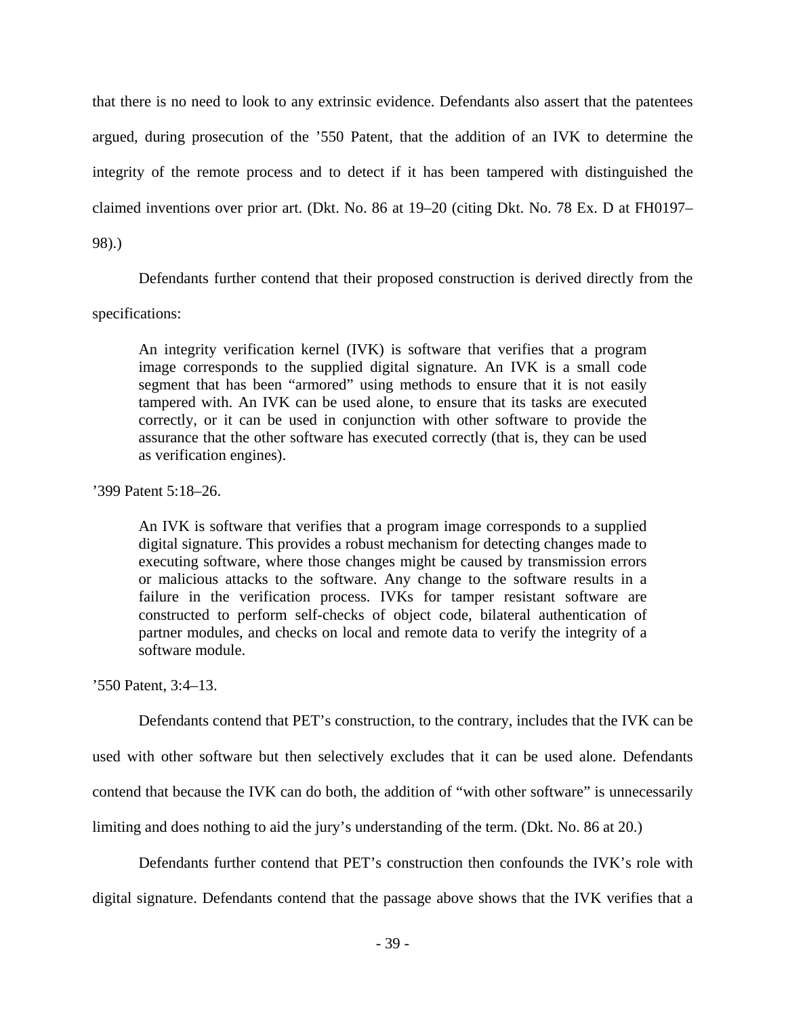that there is no need to look to any extrinsic evidence. Defendants also assert that the patentees argued, during prosecution of the '550 Patent, that the addition of an IVK to determine the integrity of the remote process and to detect if it has been tampered with distinguished the claimed inventions over prior art. (Dkt. No. 86 at 19–20 (citing Dkt. No. 78 Ex. D at FH0197–

98).)

Defendants further contend that their proposed construction is derived directly from the

# specifications:

An integrity verification kernel (IVK) is software that verifies that a program image corresponds to the supplied digital signature. An IVK is a small code segment that has been "armored" using methods to ensure that it is not easily tampered with. An IVK can be used alone, to ensure that its tasks are executed correctly, or it can be used in conjunction with other software to provide the assurance that the other software has executed correctly (that is, they can be used as verification engines).

# '399 Patent 5:18–26.

An IVK is software that verifies that a program image corresponds to a supplied digital signature. This provides a robust mechanism for detecting changes made to executing software, where those changes might be caused by transmission errors or malicious attacks to the software. Any change to the software results in a failure in the verification process. IVKs for tamper resistant software are constructed to perform self-checks of object code, bilateral authentication of partner modules, and checks on local and remote data to verify the integrity of a software module.

'550 Patent, 3:4–13.

Defendants contend that PET's construction, to the contrary, includes that the IVK can be used with other software but then selectively excludes that it can be used alone. Defendants contend that because the IVK can do both, the addition of "with other software" is unnecessarily limiting and does nothing to aid the jury's understanding of the term. (Dkt. No. 86 at 20.)

Defendants further contend that PET's construction then confounds the IVK's role with digital signature. Defendants contend that the passage above shows that the IVK verifies that a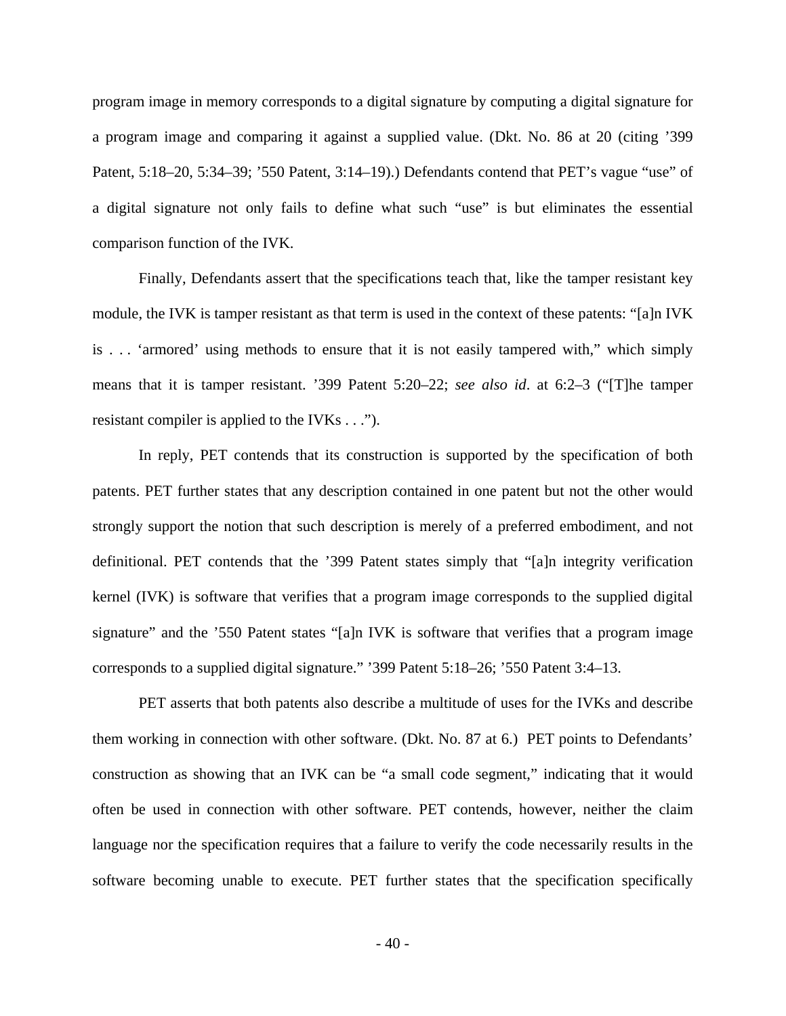program image in memory corresponds to a digital signature by computing a digital signature for a program image and comparing it against a supplied value. (Dkt. No. 86 at 20 (citing '399 Patent, 5:18–20, 5:34–39; '550 Patent, 3:14–19).) Defendants contend that PET's vague "use" of a digital signature not only fails to define what such "use" is but eliminates the essential comparison function of the IVK.

Finally, Defendants assert that the specifications teach that, like the tamper resistant key module, the IVK is tamper resistant as that term is used in the context of these patents: "[a]n IVK is . . . 'armored' using methods to ensure that it is not easily tampered with," which simply means that it is tamper resistant. '399 Patent 5:20–22; *see also id*. at 6:2–3 ("[T]he tamper resistant compiler is applied to the IVKs . . .").

In reply, PET contends that its construction is supported by the specification of both patents. PET further states that any description contained in one patent but not the other would strongly support the notion that such description is merely of a preferred embodiment, and not definitional. PET contends that the '399 Patent states simply that "[a]n integrity verification kernel (IVK) is software that verifies that a program image corresponds to the supplied digital signature" and the '550 Patent states "[a]n IVK is software that verifies that a program image corresponds to a supplied digital signature." '399 Patent 5:18–26; '550 Patent 3:4–13.

PET asserts that both patents also describe a multitude of uses for the IVKs and describe them working in connection with other software. (Dkt. No. 87 at 6.) PET points to Defendants' construction as showing that an IVK can be "a small code segment," indicating that it would often be used in connection with other software. PET contends, however, neither the claim language nor the specification requires that a failure to verify the code necessarily results in the software becoming unable to execute. PET further states that the specification specifically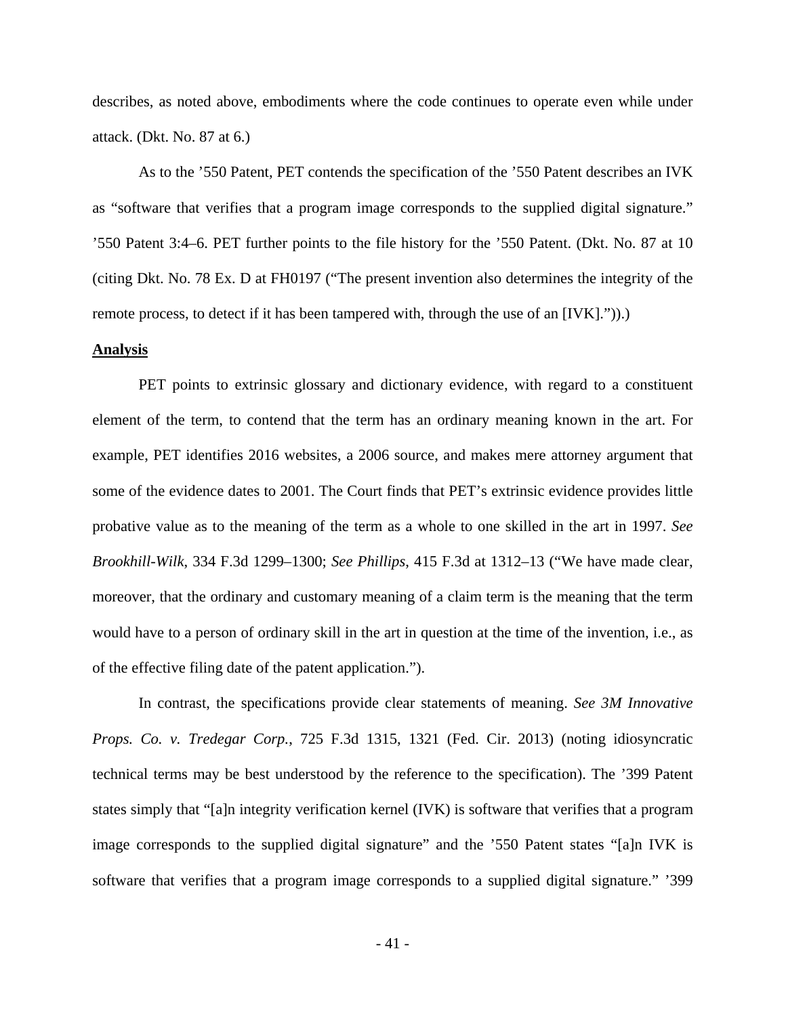describes, as noted above, embodiments where the code continues to operate even while under attack. (Dkt. No. 87 at 6.)

As to the '550 Patent, PET contends the specification of the '550 Patent describes an IVK as "software that verifies that a program image corresponds to the supplied digital signature." '550 Patent 3:4–6. PET further points to the file history for the '550 Patent. (Dkt. No. 87 at 10 (citing Dkt. No. 78 Ex. D at FH0197 ("The present invention also determines the integrity of the remote process, to detect if it has been tampered with, through the use of an  $[IVK]$ .")).

#### **Analysis**

 PET points to extrinsic glossary and dictionary evidence, with regard to a constituent element of the term, to contend that the term has an ordinary meaning known in the art. For example, PET identifies 2016 websites, a 2006 source, and makes mere attorney argument that some of the evidence dates to 2001. The Court finds that PET's extrinsic evidence provides little probative value as to the meaning of the term as a whole to one skilled in the art in 1997. *See Brookhill-Wilk*, 334 F.3d 1299–1300; *See Phillips*, 415 F.3d at 1312–13 ("We have made clear, moreover, that the ordinary and customary meaning of a claim term is the meaning that the term would have to a person of ordinary skill in the art in question at the time of the invention, i.e., as of the effective filing date of the patent application.").

In contrast, the specifications provide clear statements of meaning. *See 3M Innovative Props. Co. v. Tredegar Corp.*, 725 F.3d 1315, 1321 (Fed. Cir. 2013) (noting idiosyncratic technical terms may be best understood by the reference to the specification). The '399 Patent states simply that "[a]n integrity verification kernel (IVK) is software that verifies that a program image corresponds to the supplied digital signature" and the '550 Patent states "[a]n IVK is software that verifies that a program image corresponds to a supplied digital signature." '399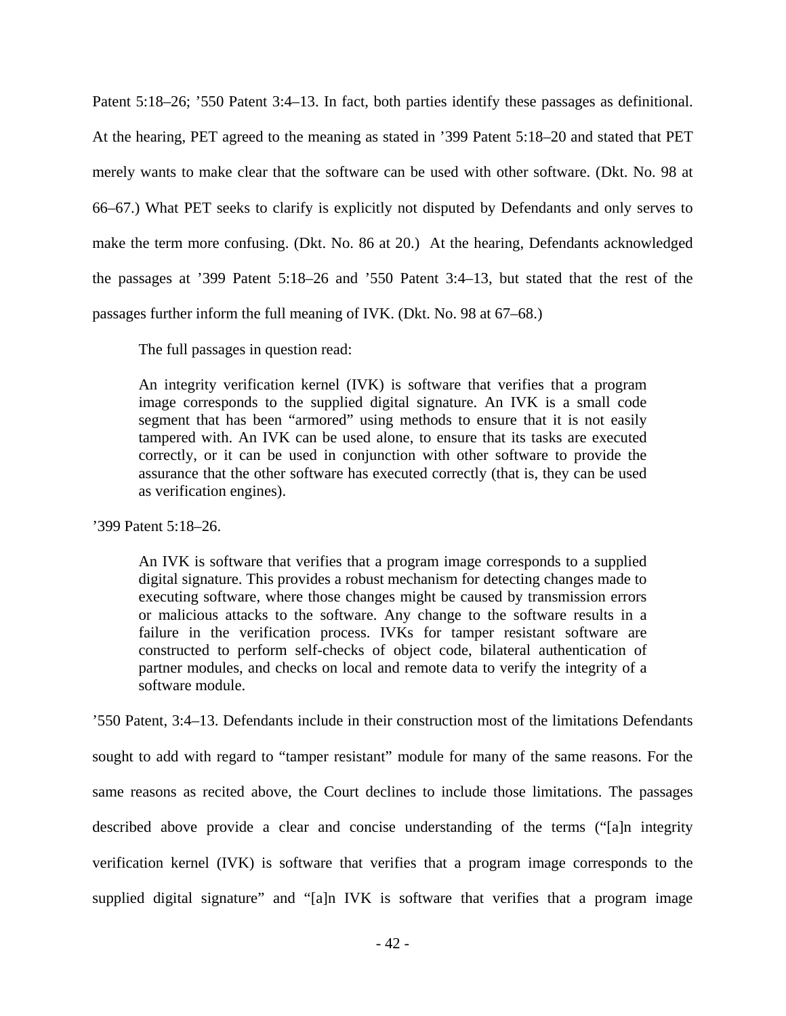Patent 5:18–26; '550 Patent 3:4–13. In fact, both parties identify these passages as definitional. At the hearing, PET agreed to the meaning as stated in '399 Patent 5:18–20 and stated that PET merely wants to make clear that the software can be used with other software. (Dkt. No. 98 at 66–67.) What PET seeks to clarify is explicitly not disputed by Defendants and only serves to make the term more confusing. (Dkt. No. 86 at 20.) At the hearing, Defendants acknowledged the passages at '399 Patent 5:18–26 and '550 Patent 3:4–13, but stated that the rest of the passages further inform the full meaning of IVK. (Dkt. No. 98 at 67–68.)

The full passages in question read:

An integrity verification kernel (IVK) is software that verifies that a program image corresponds to the supplied digital signature. An IVK is a small code segment that has been "armored" using methods to ensure that it is not easily tampered with. An IVK can be used alone, to ensure that its tasks are executed correctly, or it can be used in conjunction with other software to provide the assurance that the other software has executed correctly (that is, they can be used as verification engines).

'399 Patent 5:18–26.

An IVK is software that verifies that a program image corresponds to a supplied digital signature. This provides a robust mechanism for detecting changes made to executing software, where those changes might be caused by transmission errors or malicious attacks to the software. Any change to the software results in a failure in the verification process. IVKs for tamper resistant software are constructed to perform self-checks of object code, bilateral authentication of partner modules, and checks on local and remote data to verify the integrity of a software module.

'550 Patent, 3:4–13. Defendants include in their construction most of the limitations Defendants sought to add with regard to "tamper resistant" module for many of the same reasons. For the same reasons as recited above, the Court declines to include those limitations. The passages described above provide a clear and concise understanding of the terms ("[a]n integrity verification kernel (IVK) is software that verifies that a program image corresponds to the supplied digital signature" and "[a]n IVK is software that verifies that a program image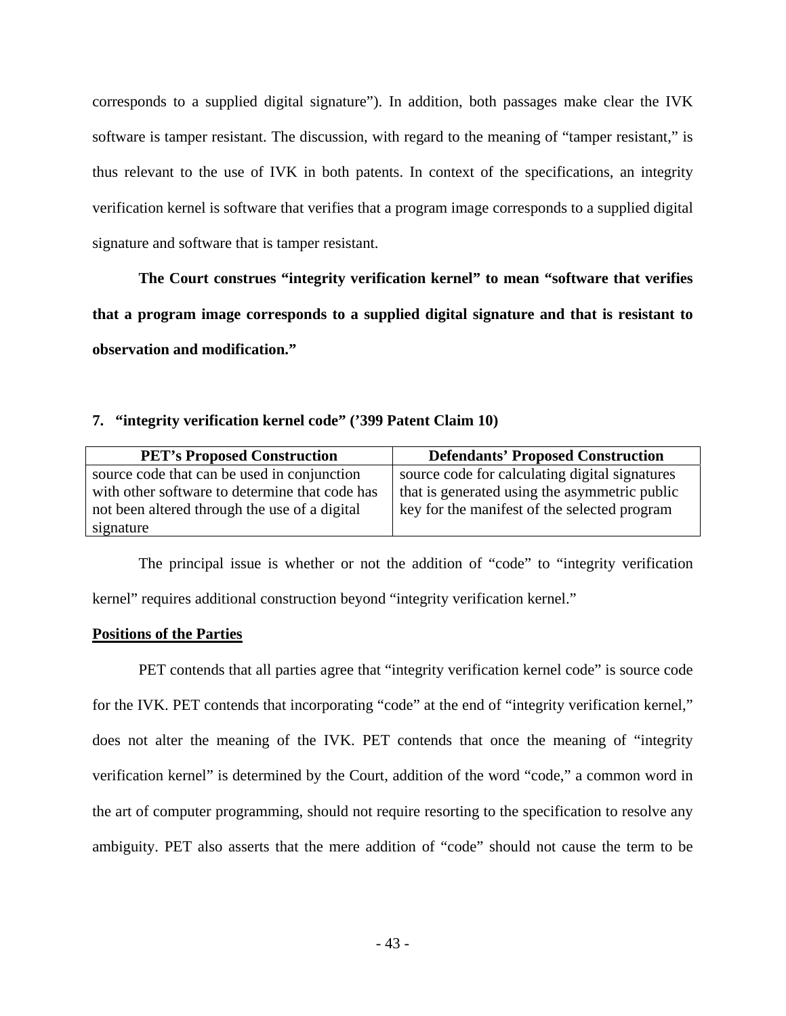corresponds to a supplied digital signature"). In addition, both passages make clear the IVK software is tamper resistant. The discussion, with regard to the meaning of "tamper resistant," is thus relevant to the use of IVK in both patents. In context of the specifications, an integrity verification kernel is software that verifies that a program image corresponds to a supplied digital signature and software that is tamper resistant.

**The Court construes "integrity verification kernel" to mean "software that verifies that a program image corresponds to a supplied digital signature and that is resistant to observation and modification."** 

# **7. "integrity verification kernel code" ('399 Patent Claim 10)**

| <b>PET's Proposed Construction</b>             | <b>Defendants' Proposed Construction</b>       |
|------------------------------------------------|------------------------------------------------|
| source code that can be used in conjunction    | source code for calculating digital signatures |
| with other software to determine that code has | that is generated using the asymmetric public  |
| not been altered through the use of a digital  | key for the manifest of the selected program   |
| signature                                      |                                                |

 The principal issue is whether or not the addition of "code" to "integrity verification kernel" requires additional construction beyond "integrity verification kernel."

# **Positions of the Parties**

PET contends that all parties agree that "integrity verification kernel code" is source code for the IVK. PET contends that incorporating "code" at the end of "integrity verification kernel," does not alter the meaning of the IVK. PET contends that once the meaning of "integrity verification kernel" is determined by the Court, addition of the word "code," a common word in the art of computer programming, should not require resorting to the specification to resolve any ambiguity. PET also asserts that the mere addition of "code" should not cause the term to be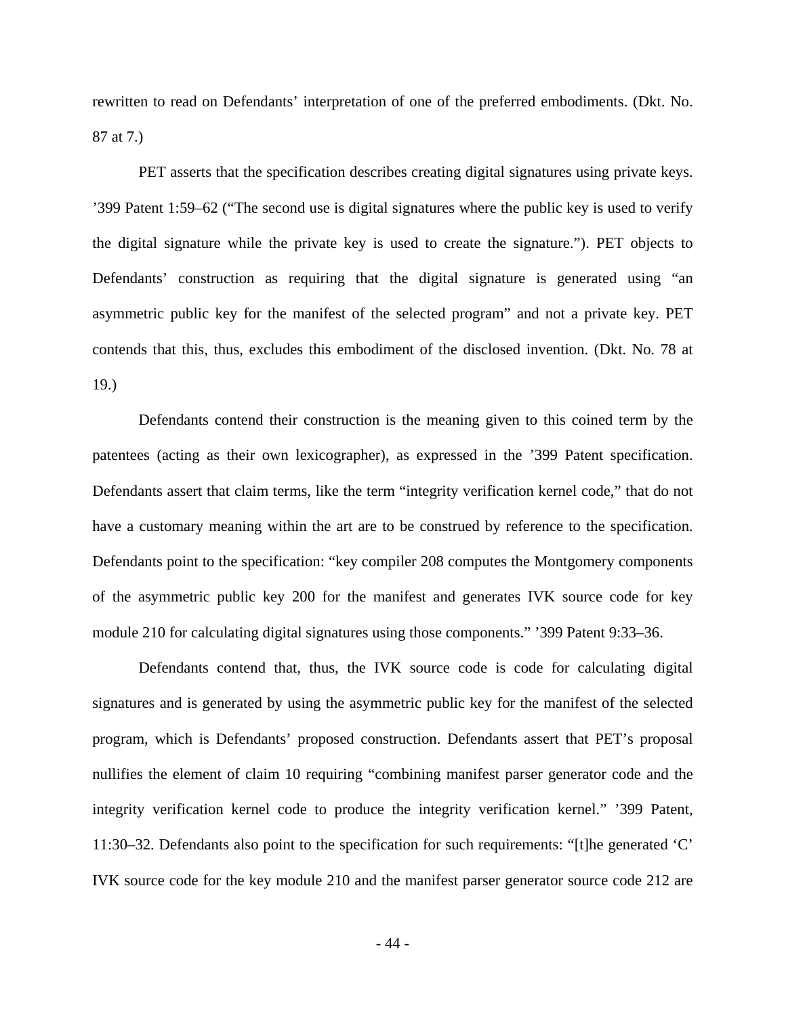rewritten to read on Defendants' interpretation of one of the preferred embodiments. (Dkt. No. 87 at 7.)

PET asserts that the specification describes creating digital signatures using private keys. '399 Patent 1:59–62 ("The second use is digital signatures where the public key is used to verify the digital signature while the private key is used to create the signature."). PET objects to Defendants' construction as requiring that the digital signature is generated using "an asymmetric public key for the manifest of the selected program" and not a private key. PET contends that this, thus, excludes this embodiment of the disclosed invention. (Dkt. No. 78 at 19.)

Defendants contend their construction is the meaning given to this coined term by the patentees (acting as their own lexicographer), as expressed in the '399 Patent specification. Defendants assert that claim terms, like the term "integrity verification kernel code," that do not have a customary meaning within the art are to be construed by reference to the specification. Defendants point to the specification: "key compiler 208 computes the Montgomery components of the asymmetric public key 200 for the manifest and generates IVK source code for key module 210 for calculating digital signatures using those components." '399 Patent 9:33–36.

Defendants contend that, thus, the IVK source code is code for calculating digital signatures and is generated by using the asymmetric public key for the manifest of the selected program, which is Defendants' proposed construction. Defendants assert that PET's proposal nullifies the element of claim 10 requiring "combining manifest parser generator code and the integrity verification kernel code to produce the integrity verification kernel." '399 Patent, 11:30–32. Defendants also point to the specification for such requirements: "[t]he generated 'C' IVK source code for the key module 210 and the manifest parser generator source code 212 are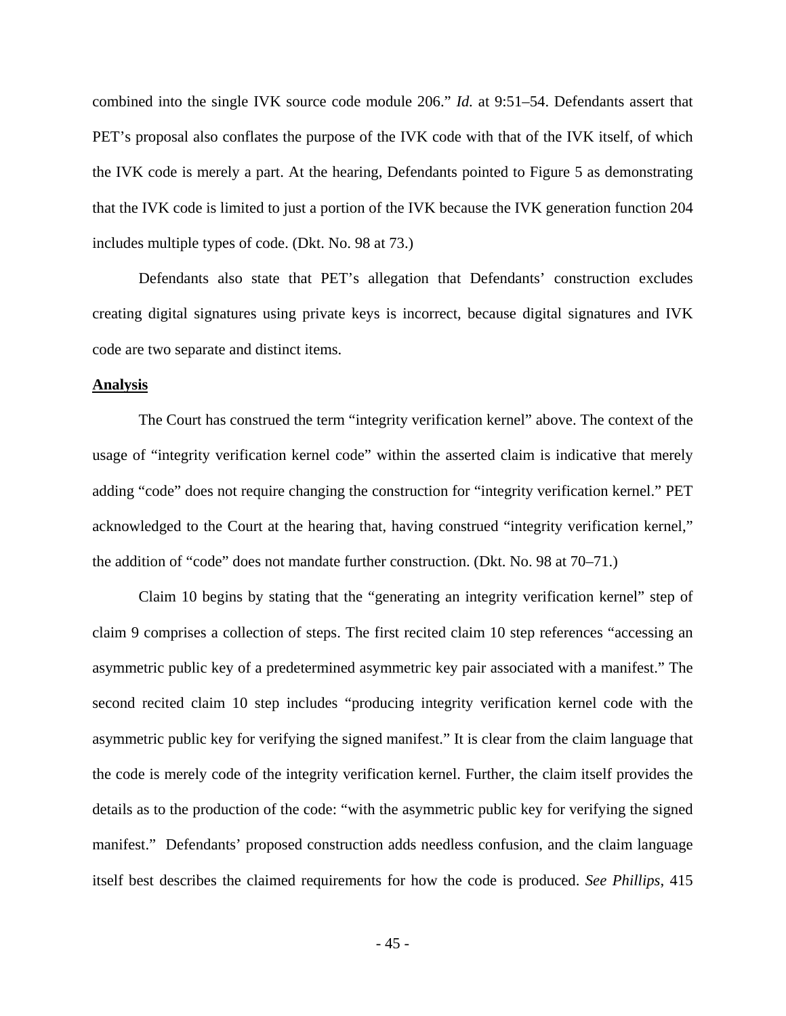combined into the single IVK source code module 206." *Id.* at 9:51–54. Defendants assert that PET's proposal also conflates the purpose of the IVK code with that of the IVK itself, of which the IVK code is merely a part. At the hearing, Defendants pointed to Figure 5 as demonstrating that the IVK code is limited to just a portion of the IVK because the IVK generation function 204 includes multiple types of code. (Dkt. No. 98 at 73.)

Defendants also state that PET's allegation that Defendants' construction excludes creating digital signatures using private keys is incorrect, because digital signatures and IVK code are two separate and distinct items.

#### **Analysis**

The Court has construed the term "integrity verification kernel" above. The context of the usage of "integrity verification kernel code" within the asserted claim is indicative that merely adding "code" does not require changing the construction for "integrity verification kernel." PET acknowledged to the Court at the hearing that, having construed "integrity verification kernel," the addition of "code" does not mandate further construction. (Dkt. No. 98 at 70–71.)

Claim 10 begins by stating that the "generating an integrity verification kernel" step of claim 9 comprises a collection of steps. The first recited claim 10 step references "accessing an asymmetric public key of a predetermined asymmetric key pair associated with a manifest." The second recited claim 10 step includes "producing integrity verification kernel code with the asymmetric public key for verifying the signed manifest." It is clear from the claim language that the code is merely code of the integrity verification kernel. Further, the claim itself provides the details as to the production of the code: "with the asymmetric public key for verifying the signed manifest." Defendants' proposed construction adds needless confusion, and the claim language itself best describes the claimed requirements for how the code is produced. *See Phillips*, 415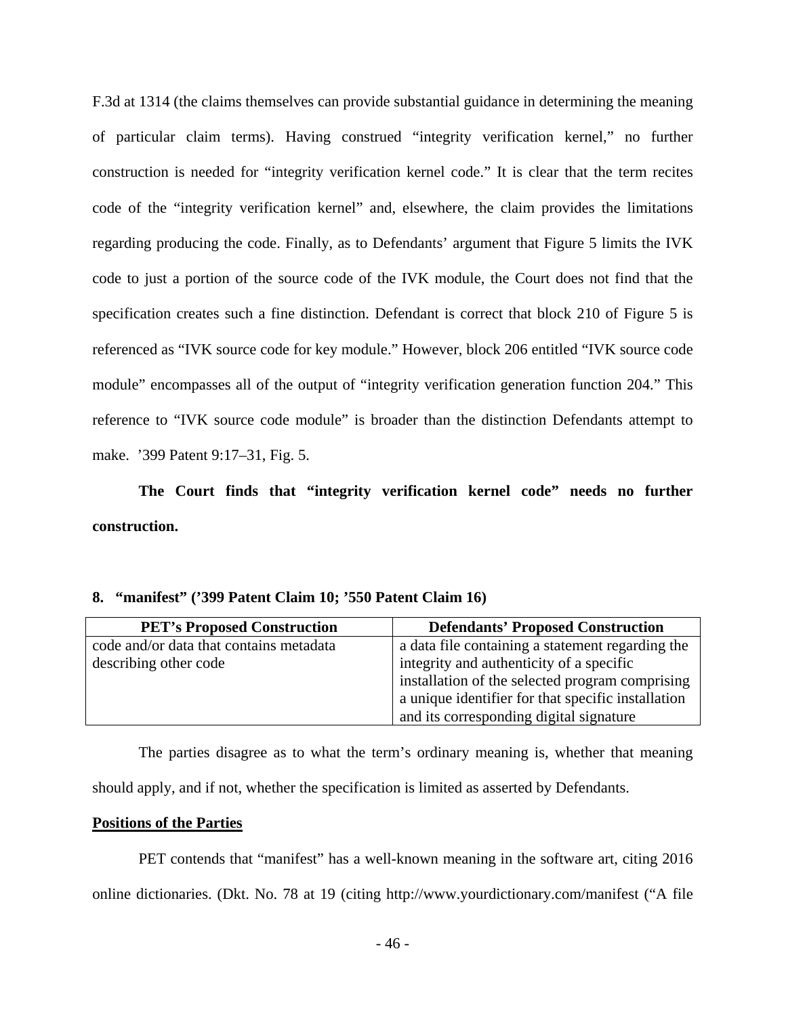F.3d at 1314 (the claims themselves can provide substantial guidance in determining the meaning of particular claim terms). Having construed "integrity verification kernel," no further construction is needed for "integrity verification kernel code." It is clear that the term recites code of the "integrity verification kernel" and, elsewhere, the claim provides the limitations regarding producing the code. Finally, as to Defendants' argument that Figure 5 limits the IVK code to just a portion of the source code of the IVK module, the Court does not find that the specification creates such a fine distinction. Defendant is correct that block 210 of Figure 5 is referenced as "IVK source code for key module." However, block 206 entitled "IVK source code module" encompasses all of the output of "integrity verification generation function 204." This reference to "IVK source code module" is broader than the distinction Defendants attempt to make. '399 Patent 9:17–31, Fig. 5.

**The Court finds that "integrity verification kernel code" needs no further construction.** 

|  |  | 8. "manifest" ('399 Patent Claim 10; '550 Patent Claim 16) |  |  |  |
|--|--|------------------------------------------------------------|--|--|--|
|--|--|------------------------------------------------------------|--|--|--|

| <b>PET's Proposed Construction</b>      | <b>Defendants' Proposed Construction</b>           |
|-----------------------------------------|----------------------------------------------------|
| code and/or data that contains metadata | a data file containing a statement regarding the   |
| describing other code                   | integrity and authenticity of a specific           |
|                                         | installation of the selected program comprising    |
|                                         | a unique identifier for that specific installation |
|                                         | and its corresponding digital signature            |

The parties disagree as to what the term's ordinary meaning is, whether that meaning should apply, and if not, whether the specification is limited as asserted by Defendants.

# **Positions of the Parties**

PET contends that "manifest" has a well-known meaning in the software art, citing 2016 online dictionaries. (Dkt. No. 78 at 19 (citing http://www.yourdictionary.com/manifest ("A file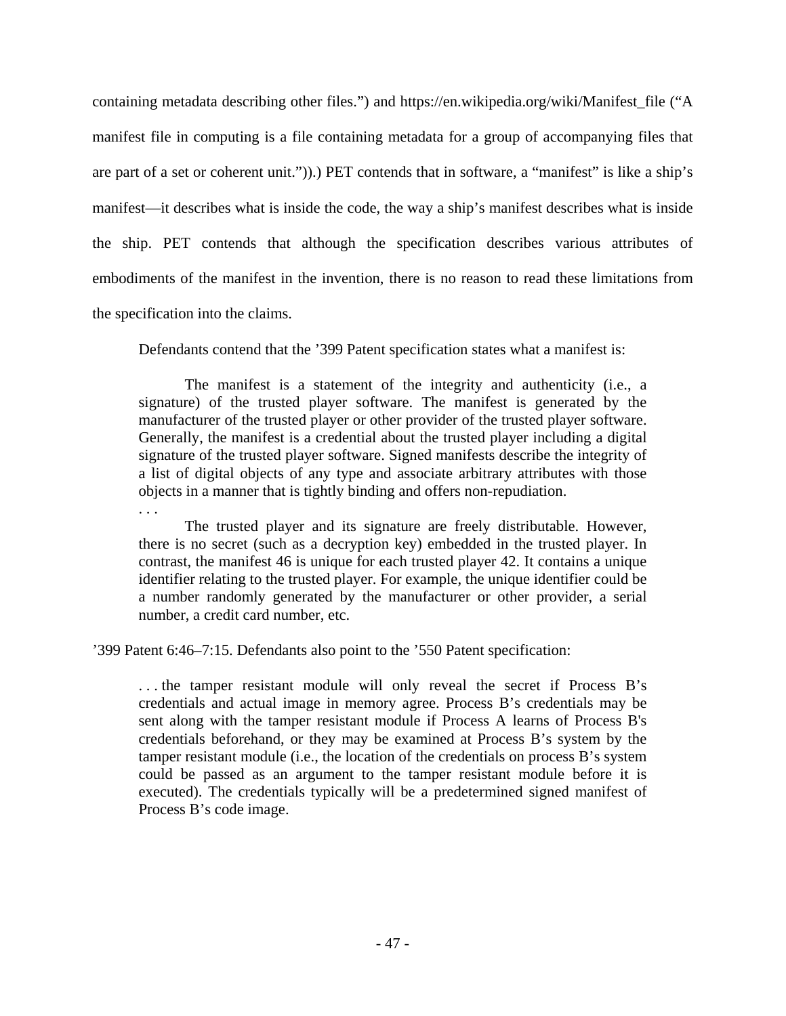containing metadata describing other files.") and https://en.wikipedia.org/wiki/Manifest\_file ("A manifest file in computing is a file containing metadata for a group of accompanying files that are part of a set or coherent unit.")).) PET contends that in software, a "manifest" is like a ship's manifest—it describes what is inside the code, the way a ship's manifest describes what is inside the ship. PET contends that although the specification describes various attributes of embodiments of the manifest in the invention, there is no reason to read these limitations from the specification into the claims.

Defendants contend that the '399 Patent specification states what a manifest is:

The manifest is a statement of the integrity and authenticity (i.e., a signature) of the trusted player software. The manifest is generated by the manufacturer of the trusted player or other provider of the trusted player software. Generally, the manifest is a credential about the trusted player including a digital signature of the trusted player software. Signed manifests describe the integrity of a list of digital objects of any type and associate arbitrary attributes with those objects in a manner that is tightly binding and offers non-repudiation.

The trusted player and its signature are freely distributable. However, there is no secret (such as a decryption key) embedded in the trusted player. In contrast, the manifest 46 is unique for each trusted player 42. It contains a unique identifier relating to the trusted player. For example, the unique identifier could be a number randomly generated by the manufacturer or other provider, a serial number, a credit card number, etc.

'399 Patent 6:46–7:15. Defendants also point to the '550 Patent specification:

. . .

. . . the tamper resistant module will only reveal the secret if Process B's credentials and actual image in memory agree. Process B's credentials may be sent along with the tamper resistant module if Process A learns of Process B's credentials beforehand, or they may be examined at Process B's system by the tamper resistant module (i.e., the location of the credentials on process B's system could be passed as an argument to the tamper resistant module before it is executed). The credentials typically will be a predetermined signed manifest of Process B's code image.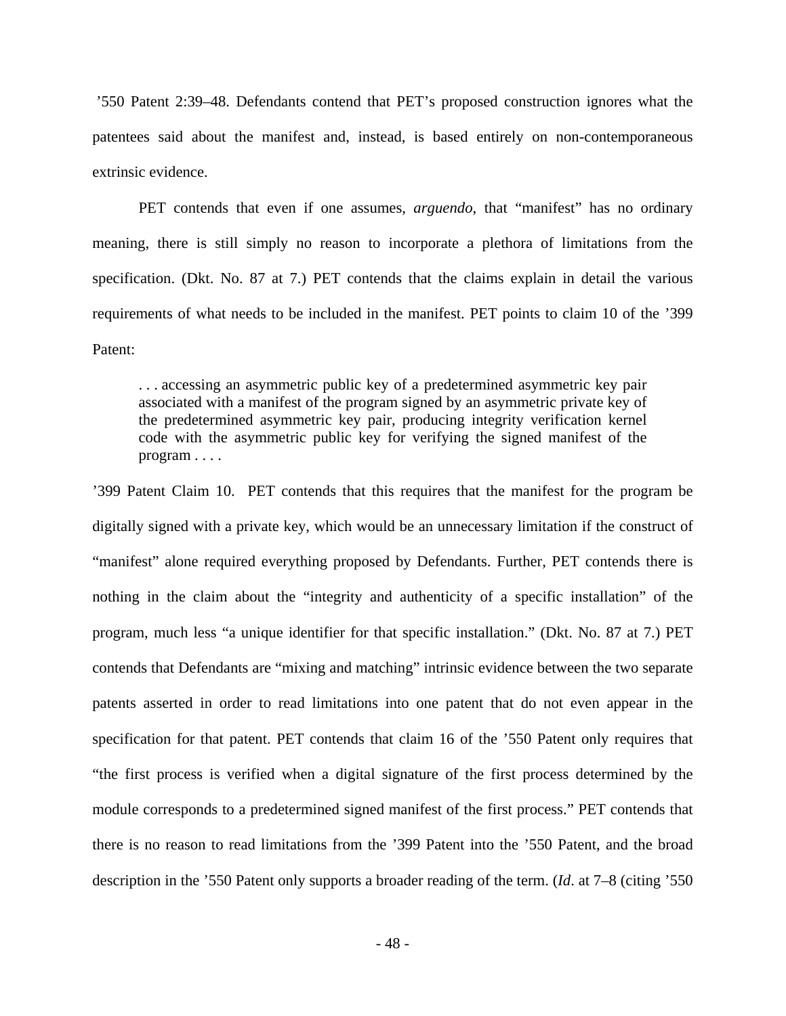'550 Patent 2:39–48. Defendants contend that PET's proposed construction ignores what the patentees said about the manifest and, instead, is based entirely on non-contemporaneous extrinsic evidence.

PET contends that even if one assumes, *arguendo*, that "manifest" has no ordinary meaning, there is still simply no reason to incorporate a plethora of limitations from the specification. (Dkt. No. 87 at 7.) PET contends that the claims explain in detail the various requirements of what needs to be included in the manifest. PET points to claim 10 of the '399 Patent:

. . . accessing an asymmetric public key of a predetermined asymmetric key pair associated with a manifest of the program signed by an asymmetric private key of the predetermined asymmetric key pair, producing integrity verification kernel code with the asymmetric public key for verifying the signed manifest of the program . . . .

'399 Patent Claim 10. PET contends that this requires that the manifest for the program be digitally signed with a private key, which would be an unnecessary limitation if the construct of "manifest" alone required everything proposed by Defendants. Further, PET contends there is nothing in the claim about the "integrity and authenticity of a specific installation" of the program, much less "a unique identifier for that specific installation." (Dkt. No. 87 at 7.) PET contends that Defendants are "mixing and matching" intrinsic evidence between the two separate patents asserted in order to read limitations into one patent that do not even appear in the specification for that patent. PET contends that claim 16 of the '550 Patent only requires that "the first process is verified when a digital signature of the first process determined by the module corresponds to a predetermined signed manifest of the first process." PET contends that there is no reason to read limitations from the '399 Patent into the '550 Patent, and the broad description in the '550 Patent only supports a broader reading of the term. (*Id*. at 7–8 (citing '550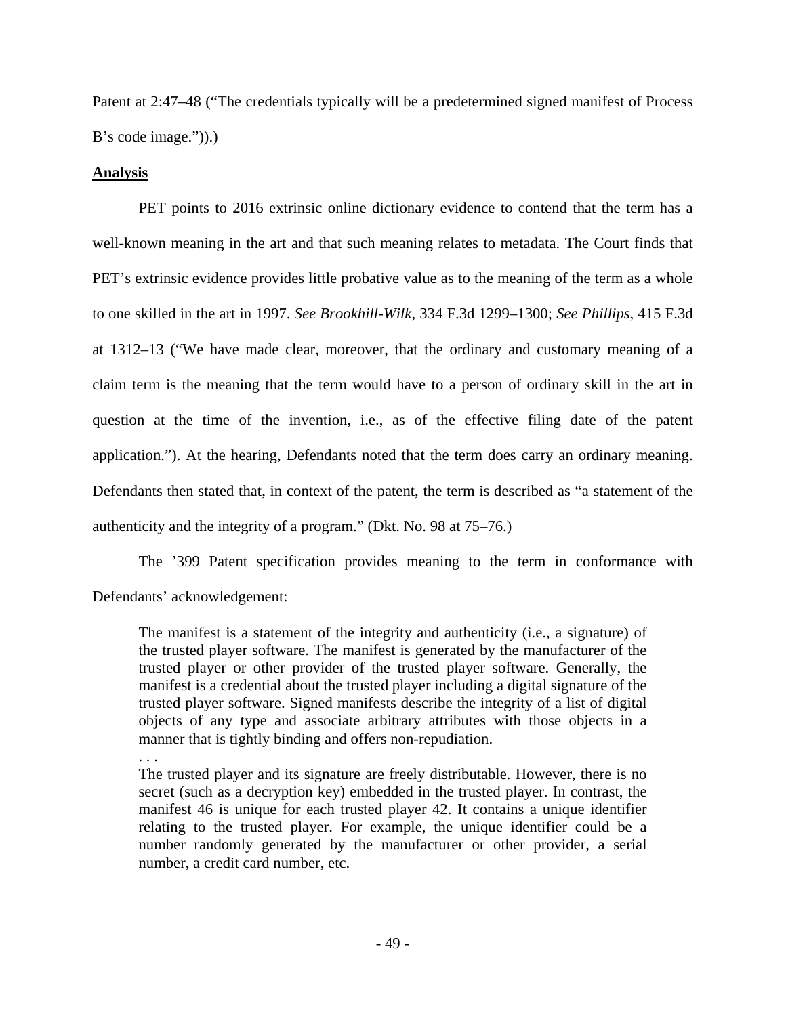Patent at 2:47–48 ("The credentials typically will be a predetermined signed manifest of Process B's code image.")).)

# **Analysis**

. . .

PET points to 2016 extrinsic online dictionary evidence to contend that the term has a well-known meaning in the art and that such meaning relates to metadata. The Court finds that PET's extrinsic evidence provides little probative value as to the meaning of the term as a whole to one skilled in the art in 1997. *See Brookhill-Wilk*, 334 F.3d 1299–1300; *See Phillips*, 415 F.3d at 1312–13 ("We have made clear, moreover, that the ordinary and customary meaning of a claim term is the meaning that the term would have to a person of ordinary skill in the art in question at the time of the invention, i.e., as of the effective filing date of the patent application."). At the hearing, Defendants noted that the term does carry an ordinary meaning. Defendants then stated that, in context of the patent, the term is described as "a statement of the authenticity and the integrity of a program." (Dkt. No. 98 at 75–76.)

The '399 Patent specification provides meaning to the term in conformance with Defendants' acknowledgement:

The manifest is a statement of the integrity and authenticity (i.e., a signature) of the trusted player software. The manifest is generated by the manufacturer of the trusted player or other provider of the trusted player software. Generally, the manifest is a credential about the trusted player including a digital signature of the trusted player software. Signed manifests describe the integrity of a list of digital objects of any type and associate arbitrary attributes with those objects in a manner that is tightly binding and offers non-repudiation.

The trusted player and its signature are freely distributable. However, there is no secret (such as a decryption key) embedded in the trusted player. In contrast, the manifest 46 is unique for each trusted player 42. It contains a unique identifier relating to the trusted player. For example, the unique identifier could be a number randomly generated by the manufacturer or other provider, a serial number, a credit card number, etc.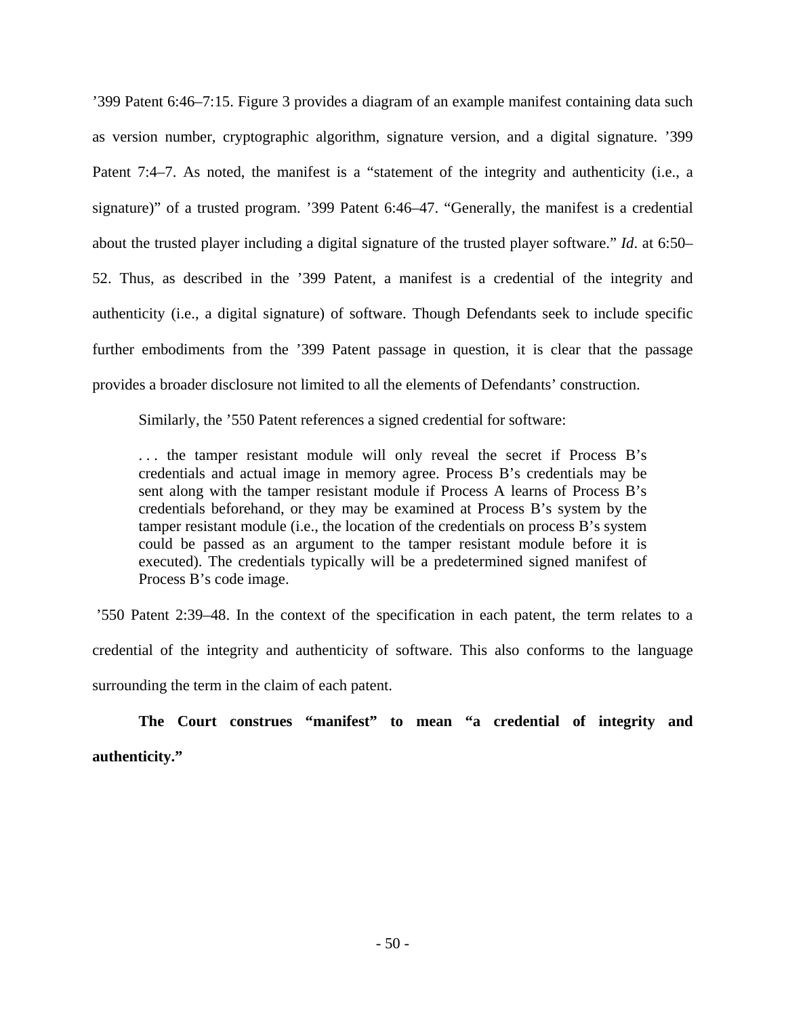'399 Patent 6:46–7:15. Figure 3 provides a diagram of an example manifest containing data such as version number, cryptographic algorithm, signature version, and a digital signature. '399 Patent 7:4–7. As noted, the manifest is a "statement of the integrity and authenticity (i.e., a signature)" of a trusted program. '399 Patent 6:46–47. "Generally, the manifest is a credential about the trusted player including a digital signature of the trusted player software." *Id*. at 6:50– 52. Thus, as described in the '399 Patent, a manifest is a credential of the integrity and authenticity (i.e., a digital signature) of software. Though Defendants seek to include specific further embodiments from the '399 Patent passage in question, it is clear that the passage provides a broader disclosure not limited to all the elements of Defendants' construction.

Similarly, the '550 Patent references a signed credential for software:

. . . the tamper resistant module will only reveal the secret if Process B's credentials and actual image in memory agree. Process B's credentials may be sent along with the tamper resistant module if Process A learns of Process B's credentials beforehand, or they may be examined at Process B's system by the tamper resistant module (i.e., the location of the credentials on process B's system could be passed as an argument to the tamper resistant module before it is executed). The credentials typically will be a predetermined signed manifest of Process B's code image.

 '550 Patent 2:39–48. In the context of the specification in each patent, the term relates to a credential of the integrity and authenticity of software. This also conforms to the language surrounding the term in the claim of each patent.

**The Court construes "manifest" to mean "a credential of integrity and authenticity."**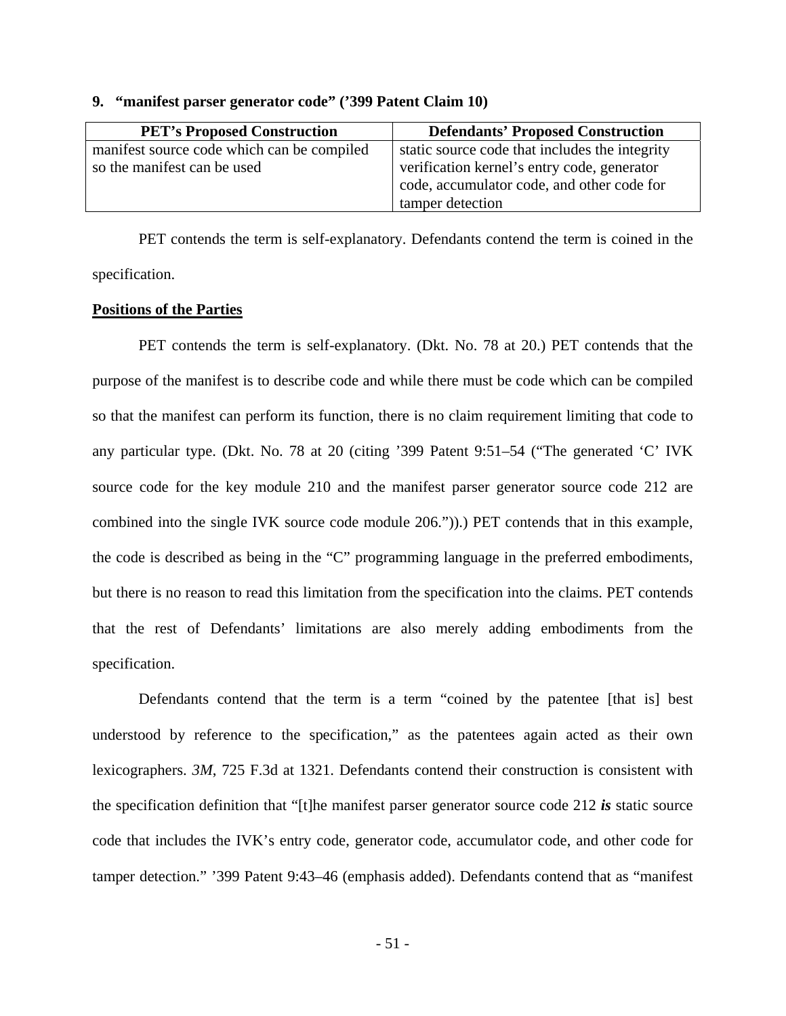| <b>PET's Proposed Construction</b>         | <b>Defendants' Proposed Construction</b>       |
|--------------------------------------------|------------------------------------------------|
| manifest source code which can be compiled | static source code that includes the integrity |
| so the manifest can be used                | verification kernel's entry code, generator    |
|                                            | code, accumulator code, and other code for     |
|                                            | tamper detection                               |

#### **9. "manifest parser generator code" ('399 Patent Claim 10)**

PET contends the term is self-explanatory. Defendants contend the term is coined in the specification.

# **Positions of the Parties**

PET contends the term is self-explanatory. (Dkt. No. 78 at 20.) PET contends that the purpose of the manifest is to describe code and while there must be code which can be compiled so that the manifest can perform its function, there is no claim requirement limiting that code to any particular type. (Dkt. No. 78 at 20 (citing '399 Patent 9:51–54 ("The generated 'C' IVK source code for the key module 210 and the manifest parser generator source code 212 are combined into the single IVK source code module 206.")).) PET contends that in this example, the code is described as being in the "C" programming language in the preferred embodiments, but there is no reason to read this limitation from the specification into the claims. PET contends that the rest of Defendants' limitations are also merely adding embodiments from the specification.

Defendants contend that the term is a term "coined by the patentee [that is] best understood by reference to the specification," as the patentees again acted as their own lexicographers. *3M*, 725 F.3d at 1321. Defendants contend their construction is consistent with the specification definition that "[t]he manifest parser generator source code 212 *is* static source code that includes the IVK's entry code, generator code, accumulator code, and other code for tamper detection." '399 Patent 9:43–46 (emphasis added). Defendants contend that as "manifest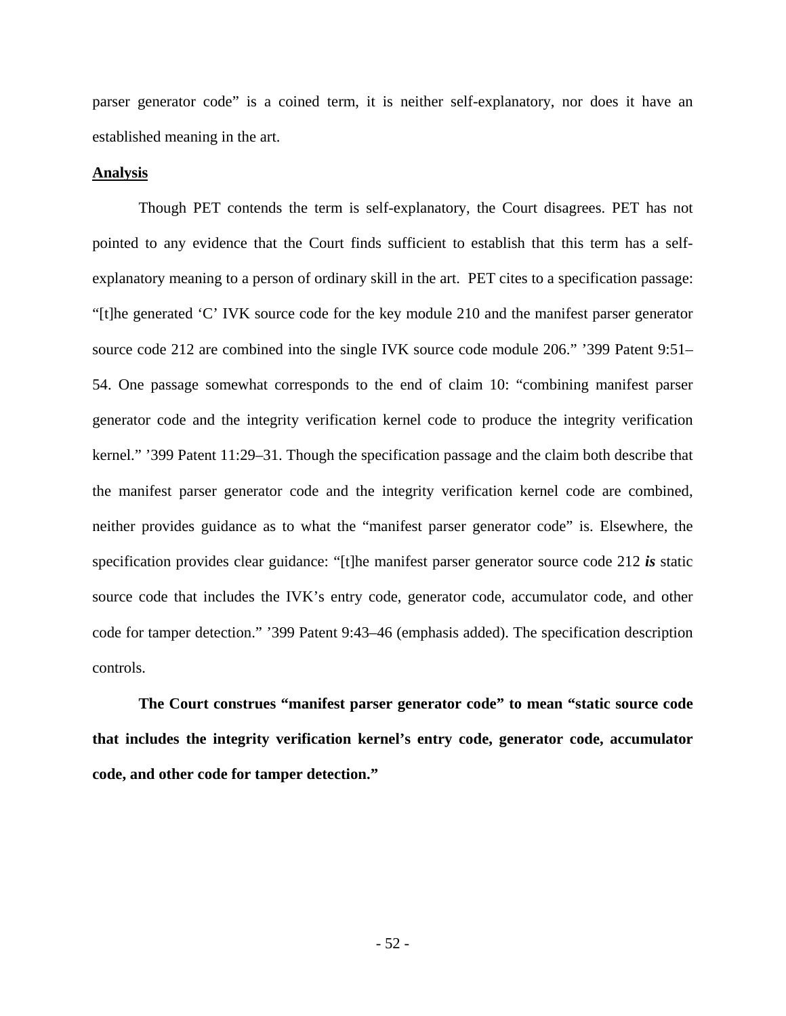parser generator code" is a coined term, it is neither self-explanatory, nor does it have an established meaning in the art.

#### **Analysis**

Though PET contends the term is self-explanatory, the Court disagrees. PET has not pointed to any evidence that the Court finds sufficient to establish that this term has a selfexplanatory meaning to a person of ordinary skill in the art. PET cites to a specification passage: "[t]he generated 'C' IVK source code for the key module 210 and the manifest parser generator source code 212 are combined into the single IVK source code module 206." '399 Patent 9:51– 54. One passage somewhat corresponds to the end of claim 10: "combining manifest parser generator code and the integrity verification kernel code to produce the integrity verification kernel." '399 Patent 11:29–31. Though the specification passage and the claim both describe that the manifest parser generator code and the integrity verification kernel code are combined, neither provides guidance as to what the "manifest parser generator code" is. Elsewhere, the specification provides clear guidance: "[t]he manifest parser generator source code 212 *is* static source code that includes the IVK's entry code, generator code, accumulator code, and other code for tamper detection." '399 Patent 9:43–46 (emphasis added). The specification description controls.

**The Court construes "manifest parser generator code" to mean "static source code that includes the integrity verification kernel's entry code, generator code, accumulator code, and other code for tamper detection."**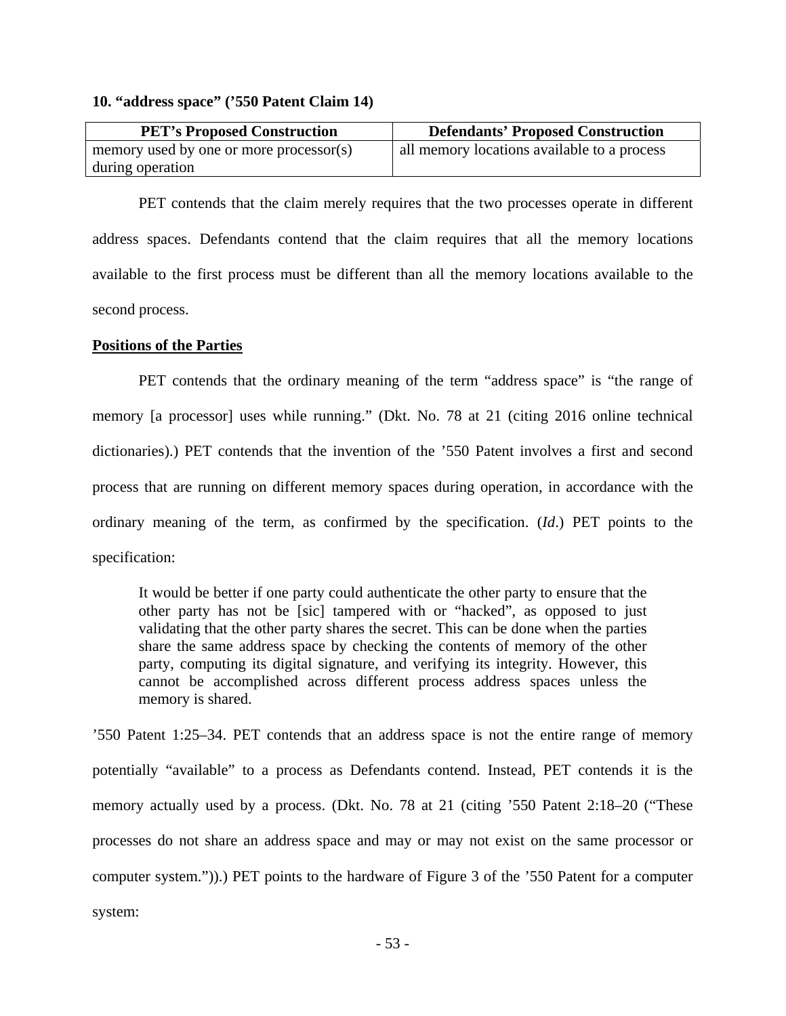# **10. "address space" ('550 Patent Claim 14)**

| <b>PET's Proposed Construction</b>      | <b>Defendants' Proposed Construction</b>    |
|-----------------------------------------|---------------------------------------------|
| memory used by one or more processor(s) | all memory locations available to a process |
| during operation                        |                                             |

PET contends that the claim merely requires that the two processes operate in different address spaces. Defendants contend that the claim requires that all the memory locations available to the first process must be different than all the memory locations available to the second process.

## **Positions of the Parties**

PET contends that the ordinary meaning of the term "address space" is "the range of memory [a processor] uses while running." (Dkt. No. 78 at 21 (citing 2016 online technical dictionaries).) PET contends that the invention of the '550 Patent involves a first and second process that are running on different memory spaces during operation, in accordance with the ordinary meaning of the term, as confirmed by the specification. (*Id*.) PET points to the specification:

It would be better if one party could authenticate the other party to ensure that the other party has not be [sic] tampered with or "hacked", as opposed to just validating that the other party shares the secret. This can be done when the parties share the same address space by checking the contents of memory of the other party, computing its digital signature, and verifying its integrity. However, this cannot be accomplished across different process address spaces unless the memory is shared.

'550 Patent 1:25–34. PET contends that an address space is not the entire range of memory potentially "available" to a process as Defendants contend. Instead, PET contends it is the memory actually used by a process. (Dkt. No. 78 at 21 (citing '550 Patent 2:18–20 ("These processes do not share an address space and may or may not exist on the same processor or computer system.")).) PET points to the hardware of Figure 3 of the '550 Patent for a computer system: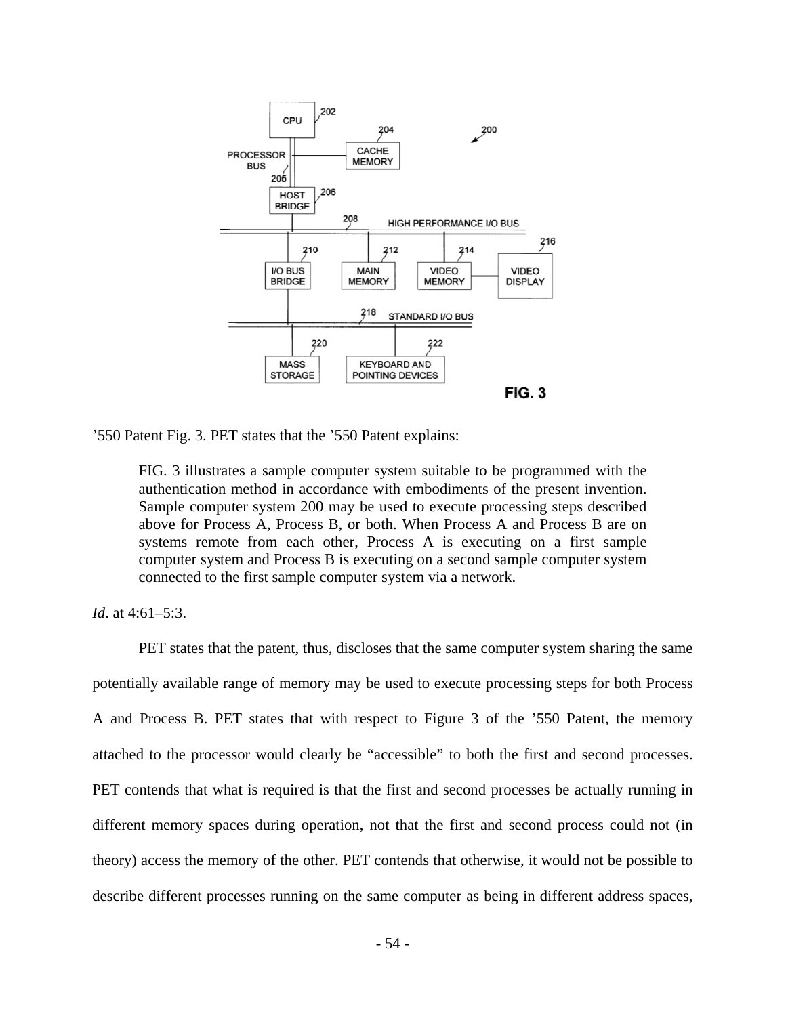

'550 Patent Fig. 3. PET states that the '550 Patent explains:

FIG. 3 illustrates a sample computer system suitable to be programmed with the authentication method in accordance with embodiments of the present invention. Sample computer system 200 may be used to execute processing steps described above for Process A, Process B, or both. When Process A and Process B are on systems remote from each other, Process A is executing on a first sample computer system and Process B is executing on a second sample computer system connected to the first sample computer system via a network.

*Id*. at 4:61–5:3.

PET states that the patent, thus, discloses that the same computer system sharing the same potentially available range of memory may be used to execute processing steps for both Process A and Process B. PET states that with respect to Figure 3 of the '550 Patent, the memory attached to the processor would clearly be "accessible" to both the first and second processes. PET contends that what is required is that the first and second processes be actually running in different memory spaces during operation, not that the first and second process could not (in theory) access the memory of the other. PET contends that otherwise, it would not be possible to describe different processes running on the same computer as being in different address spaces,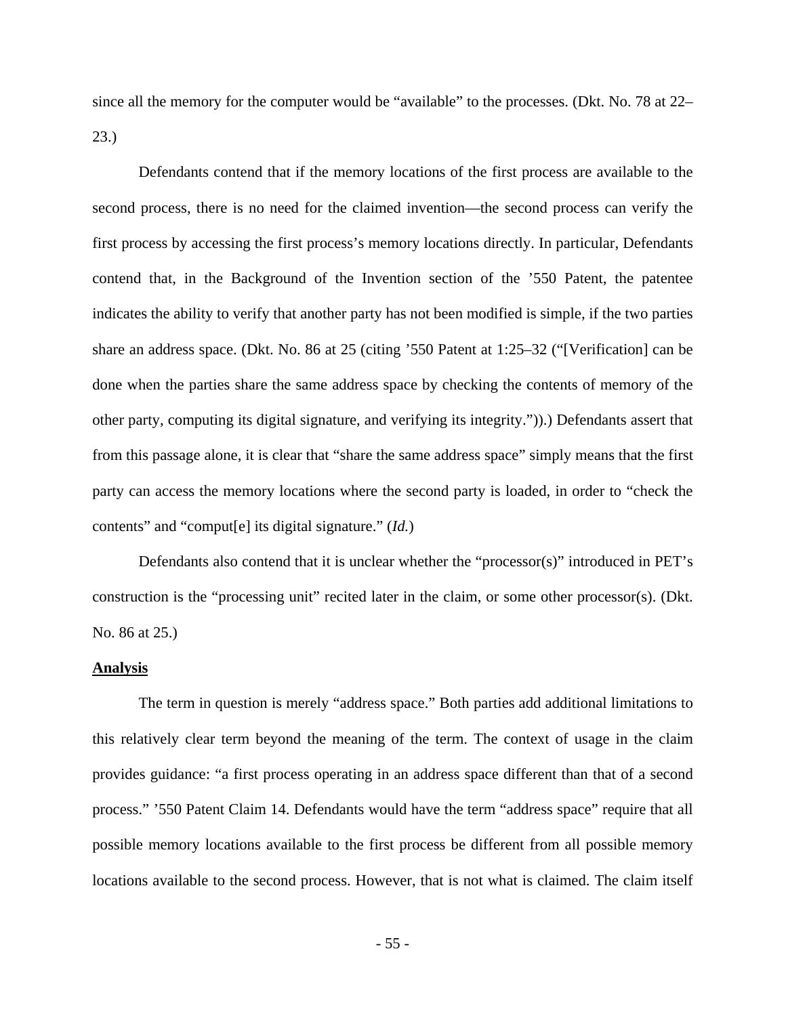since all the memory for the computer would be "available" to the processes. (Dkt. No. 78 at 22– 23.)

Defendants contend that if the memory locations of the first process are available to the second process, there is no need for the claimed invention—the second process can verify the first process by accessing the first process's memory locations directly. In particular, Defendants contend that, in the Background of the Invention section of the '550 Patent, the patentee indicates the ability to verify that another party has not been modified is simple, if the two parties share an address space. (Dkt. No. 86 at 25 (citing '550 Patent at 1:25–32 ("[Verification] can be done when the parties share the same address space by checking the contents of memory of the other party, computing its digital signature, and verifying its integrity.")).) Defendants assert that from this passage alone, it is clear that "share the same address space" simply means that the first party can access the memory locations where the second party is loaded, in order to "check the contents" and "comput[e] its digital signature." (*Id.*)

Defendants also contend that it is unclear whether the "processor(s)" introduced in PET's construction is the "processing unit" recited later in the claim, or some other processor(s). (Dkt. No. 86 at 25.)

#### **Analysis**

The term in question is merely "address space." Both parties add additional limitations to this relatively clear term beyond the meaning of the term. The context of usage in the claim provides guidance: "a first process operating in an address space different than that of a second process." '550 Patent Claim 14. Defendants would have the term "address space" require that all possible memory locations available to the first process be different from all possible memory locations available to the second process. However, that is not what is claimed. The claim itself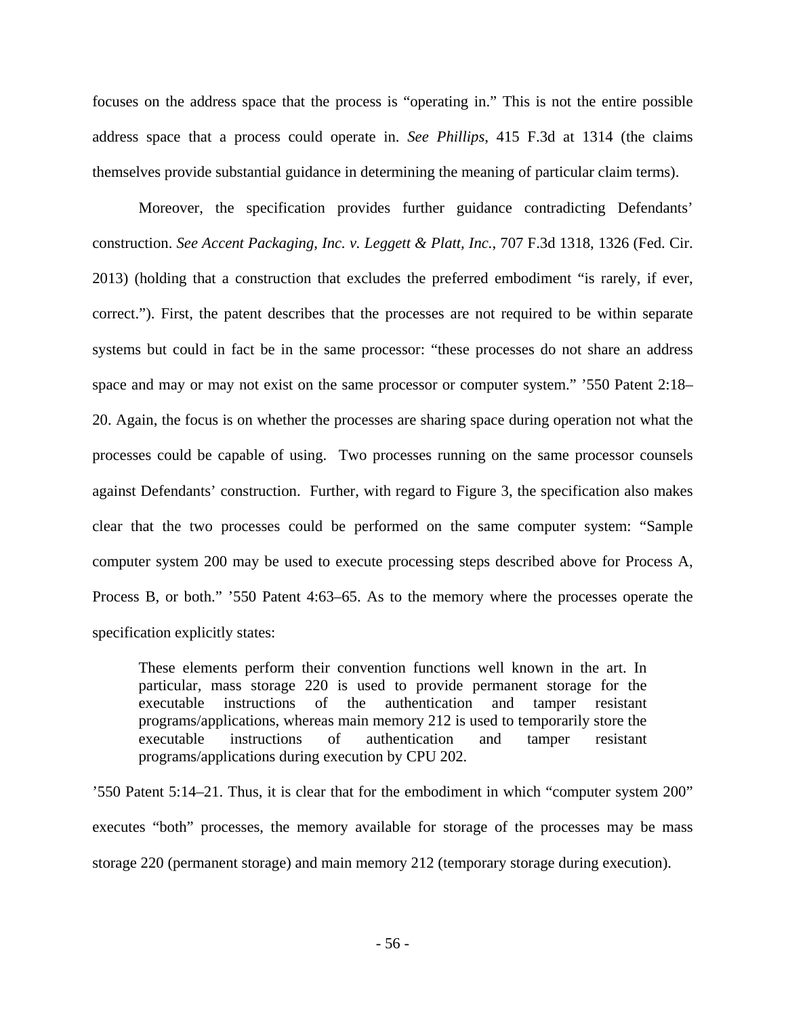focuses on the address space that the process is "operating in." This is not the entire possible address space that a process could operate in. *See Phillips*, 415 F.3d at 1314 (the claims themselves provide substantial guidance in determining the meaning of particular claim terms).

Moreover, the specification provides further guidance contradicting Defendants' construction. *See Accent Packaging, Inc. v. Leggett & Platt, Inc.*, 707 F.3d 1318, 1326 (Fed. Cir. 2013) (holding that a construction that excludes the preferred embodiment "is rarely, if ever, correct."). First, the patent describes that the processes are not required to be within separate systems but could in fact be in the same processor: "these processes do not share an address space and may or may not exist on the same processor or computer system." '550 Patent 2:18– 20. Again, the focus is on whether the processes are sharing space during operation not what the processes could be capable of using. Two processes running on the same processor counsels against Defendants' construction. Further, with regard to Figure 3, the specification also makes clear that the two processes could be performed on the same computer system: "Sample computer system 200 may be used to execute processing steps described above for Process A, Process B, or both." '550 Patent 4:63–65. As to the memory where the processes operate the specification explicitly states:

These elements perform their convention functions well known in the art. In particular, mass storage 220 is used to provide permanent storage for the executable instructions of the authentication and tamper resistant programs/applications, whereas main memory 212 is used to temporarily store the executable instructions of authentication and tamper resistant programs/applications during execution by CPU 202.

'550 Patent 5:14–21. Thus, it is clear that for the embodiment in which "computer system 200" executes "both" processes, the memory available for storage of the processes may be mass storage 220 (permanent storage) and main memory 212 (temporary storage during execution).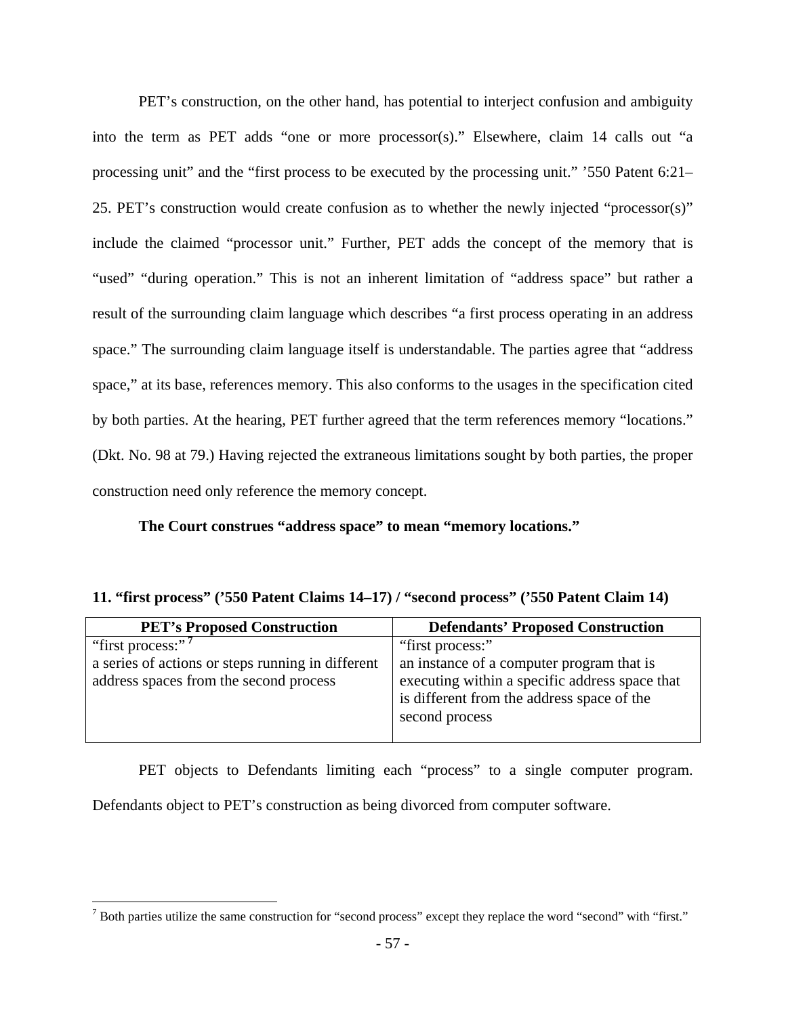PET's construction, on the other hand, has potential to interject confusion and ambiguity into the term as PET adds "one or more processor(s)." Elsewhere, claim 14 calls out "a processing unit" and the "first process to be executed by the processing unit." '550 Patent 6:21– 25. PET's construction would create confusion as to whether the newly injected "processor(s)" include the claimed "processor unit." Further, PET adds the concept of the memory that is "used" "during operation." This is not an inherent limitation of "address space" but rather a result of the surrounding claim language which describes "a first process operating in an address space." The surrounding claim language itself is understandable. The parties agree that "address space," at its base, references memory. This also conforms to the usages in the specification cited by both parties. At the hearing, PET further agreed that the term references memory "locations." (Dkt. No. 98 at 79.) Having rejected the extraneous limitations sought by both parties, the proper construction need only reference the memory concept.

**The Court construes "address space" to mean "memory locations."** 

| 11. "first process" ('550 Patent Claims 14–17) / "second process" ('550 Patent Claim 14) |  |  |  |  |  |
|------------------------------------------------------------------------------------------|--|--|--|--|--|
|------------------------------------------------------------------------------------------|--|--|--|--|--|

| <b>PET's Proposed Construction</b>                | <b>Defendants' Proposed Construction</b>       |
|---------------------------------------------------|------------------------------------------------|
| "first process:" <sup>7</sup>                     | "first process:"                               |
| a series of actions or steps running in different | an instance of a computer program that is      |
| address spaces from the second process            | executing within a specific address space that |
|                                                   | is different from the address space of the     |
|                                                   | second process                                 |
|                                                   |                                                |

 PET objects to Defendants limiting each "process" to a single computer program. Defendants object to PET's construction as being divorced from computer software.

 $\overline{a}$ 

 $<sup>7</sup>$  Both parties utilize the same construction for "second process" except they replace the word "second" with "first."</sup>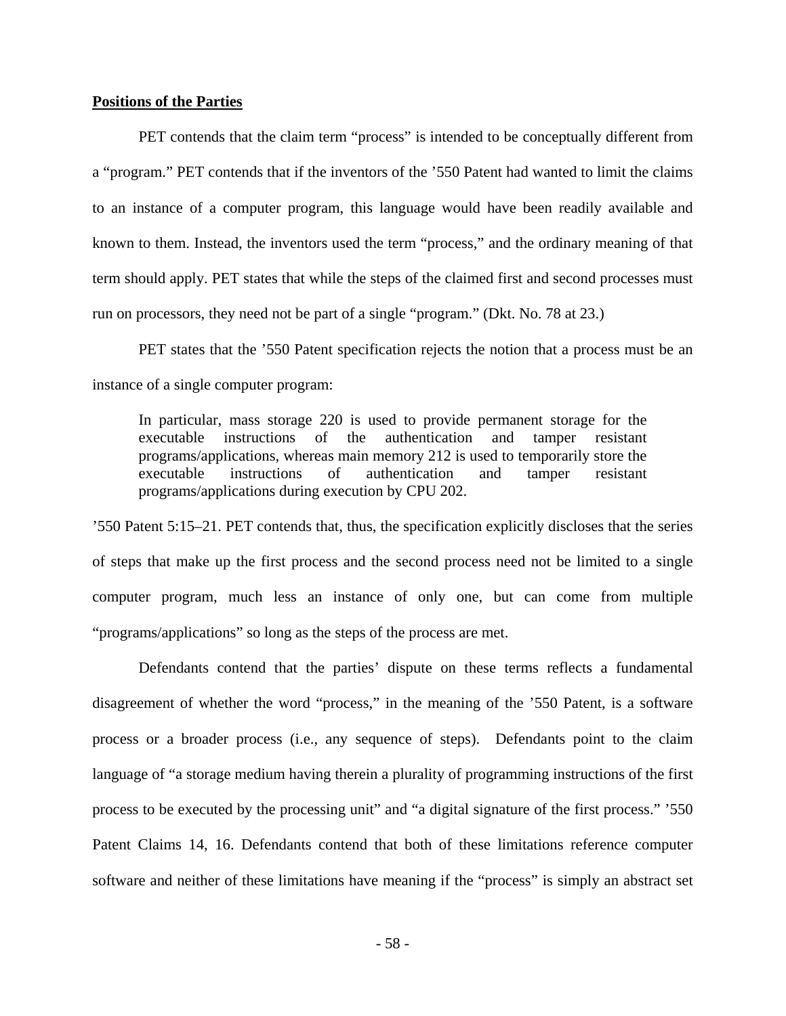## **Positions of the Parties**

PET contends that the claim term "process" is intended to be conceptually different from a "program." PET contends that if the inventors of the '550 Patent had wanted to limit the claims to an instance of a computer program, this language would have been readily available and known to them. Instead, the inventors used the term "process," and the ordinary meaning of that term should apply. PET states that while the steps of the claimed first and second processes must run on processors, they need not be part of a single "program." (Dkt. No. 78 at 23.)

PET states that the '550 Patent specification rejects the notion that a process must be an instance of a single computer program:

In particular, mass storage 220 is used to provide permanent storage for the executable instructions of the authentication and tamper resistant programs/applications, whereas main memory 212 is used to temporarily store the executable instructions of authentication and tamper resistant programs/applications during execution by CPU 202.

'550 Patent 5:15–21. PET contends that, thus, the specification explicitly discloses that the series of steps that make up the first process and the second process need not be limited to a single computer program, much less an instance of only one, but can come from multiple "programs/applications" so long as the steps of the process are met.

Defendants contend that the parties' dispute on these terms reflects a fundamental disagreement of whether the word "process," in the meaning of the '550 Patent, is a software process or a broader process (i.e., any sequence of steps). Defendants point to the claim language of "a storage medium having therein a plurality of programming instructions of the first process to be executed by the processing unit" and "a digital signature of the first process." '550 Patent Claims 14, 16. Defendants contend that both of these limitations reference computer software and neither of these limitations have meaning if the "process" is simply an abstract set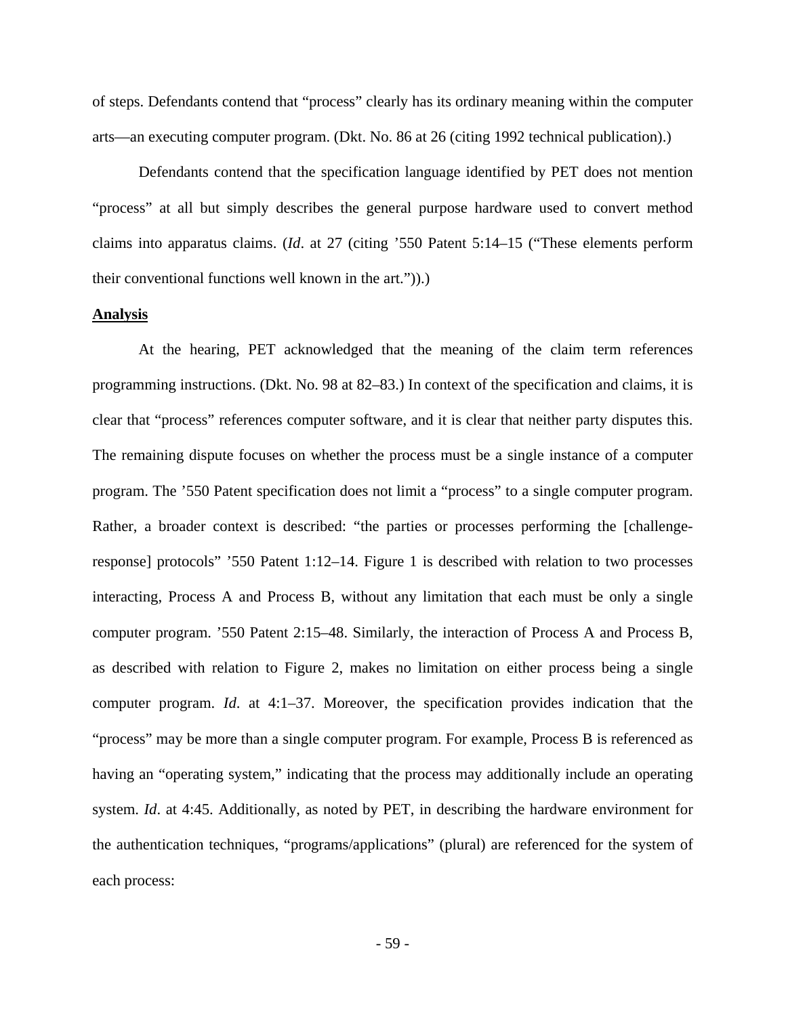of steps. Defendants contend that "process" clearly has its ordinary meaning within the computer arts—an executing computer program. (Dkt. No. 86 at 26 (citing 1992 technical publication).)

Defendants contend that the specification language identified by PET does not mention "process" at all but simply describes the general purpose hardware used to convert method claims into apparatus claims. (*Id*. at 27 (citing '550 Patent 5:14–15 ("These elements perform their conventional functions well known in the art.")).)

#### **Analysis**

At the hearing, PET acknowledged that the meaning of the claim term references programming instructions. (Dkt. No. 98 at 82–83.) In context of the specification and claims, it is clear that "process" references computer software, and it is clear that neither party disputes this. The remaining dispute focuses on whether the process must be a single instance of a computer program. The '550 Patent specification does not limit a "process" to a single computer program. Rather, a broader context is described: "the parties or processes performing the [challengeresponse] protocols" '550 Patent 1:12–14. Figure 1 is described with relation to two processes interacting, Process A and Process B, without any limitation that each must be only a single computer program. '550 Patent 2:15–48. Similarly, the interaction of Process A and Process B, as described with relation to Figure 2, makes no limitation on either process being a single computer program. *Id*. at 4:1–37. Moreover, the specification provides indication that the "process" may be more than a single computer program. For example, Process B is referenced as having an "operating system," indicating that the process may additionally include an operating system. *Id*. at 4:45. Additionally, as noted by PET, in describing the hardware environment for the authentication techniques, "programs/applications" (plural) are referenced for the system of each process: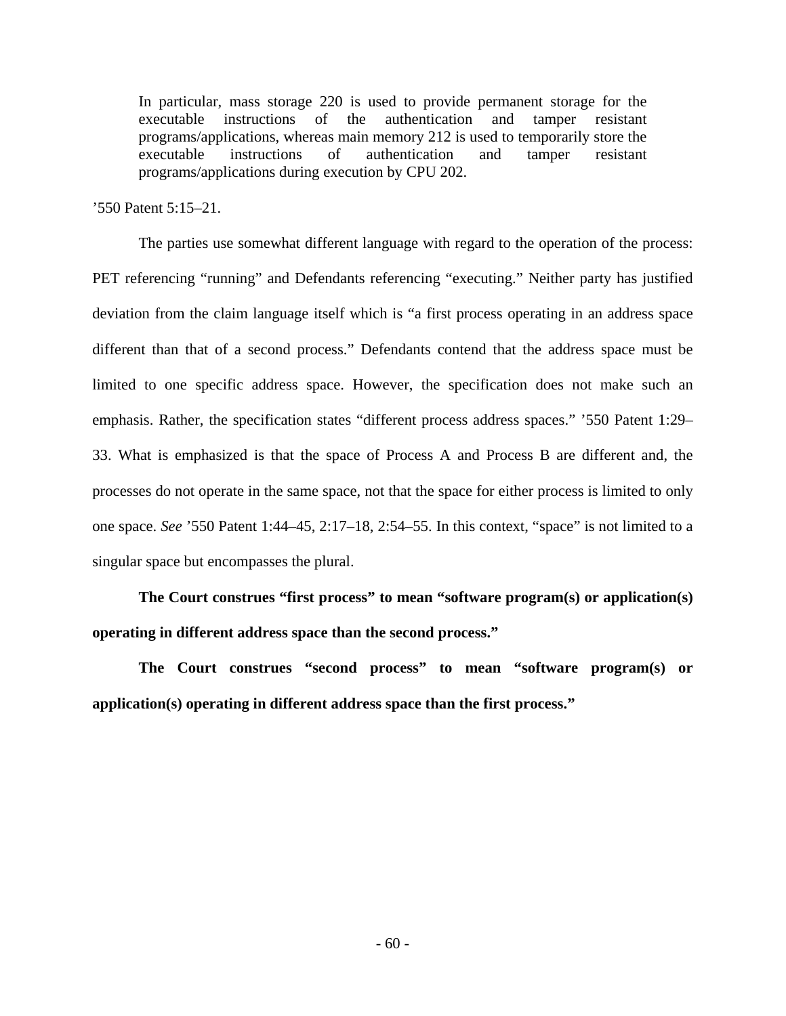In particular, mass storage 220 is used to provide permanent storage for the executable instructions of the authentication and tamper resistant programs/applications, whereas main memory 212 is used to temporarily store the executable instructions of authentication and tamper resistant programs/applications during execution by CPU 202.

'550 Patent 5:15–21.

 The parties use somewhat different language with regard to the operation of the process: PET referencing "running" and Defendants referencing "executing." Neither party has justified deviation from the claim language itself which is "a first process operating in an address space different than that of a second process." Defendants contend that the address space must be limited to one specific address space. However, the specification does not make such an emphasis. Rather, the specification states "different process address spaces." '550 Patent 1:29– 33. What is emphasized is that the space of Process A and Process B are different and, the processes do not operate in the same space, not that the space for either process is limited to only one space. *See* '550 Patent 1:44–45, 2:17–18, 2:54–55. In this context, "space" is not limited to a singular space but encompasses the plural.

**The Court construes "first process" to mean "software program(s) or application(s) operating in different address space than the second process."** 

**The Court construes "second process" to mean "software program(s) or application(s) operating in different address space than the first process."**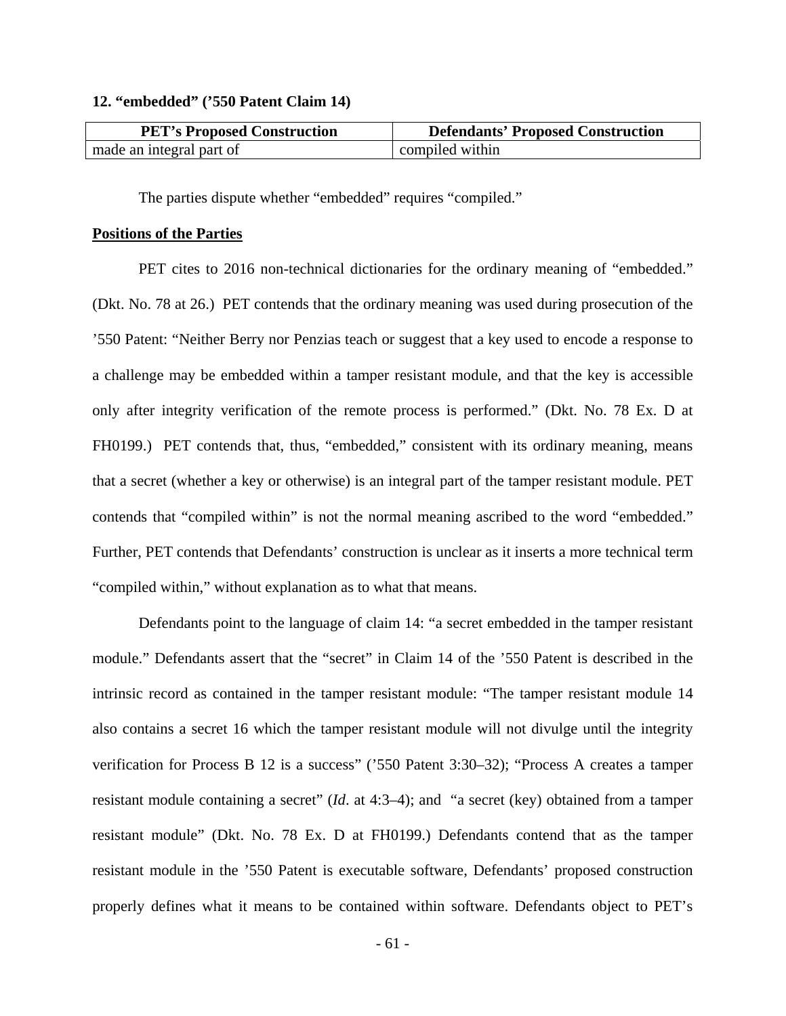#### **12. "embedded" ('550 Patent Claim 14)**

| <b>PET's Proposed Construction</b> | <b>Defendants' Proposed Construction</b> |
|------------------------------------|------------------------------------------|
| made an integral part of           | compiled within                          |

The parties dispute whether "embedded" requires "compiled."

## **Positions of the Parties**

PET cites to 2016 non-technical dictionaries for the ordinary meaning of "embedded." (Dkt. No. 78 at 26.) PET contends that the ordinary meaning was used during prosecution of the '550 Patent: "Neither Berry nor Penzias teach or suggest that a key used to encode a response to a challenge may be embedded within a tamper resistant module, and that the key is accessible only after integrity verification of the remote process is performed." (Dkt. No. 78 Ex. D at FH0199.) PET contends that, thus, "embedded," consistent with its ordinary meaning, means that a secret (whether a key or otherwise) is an integral part of the tamper resistant module. PET contends that "compiled within" is not the normal meaning ascribed to the word "embedded." Further, PET contends that Defendants' construction is unclear as it inserts a more technical term "compiled within," without explanation as to what that means.

Defendants point to the language of claim 14: "a secret embedded in the tamper resistant module." Defendants assert that the "secret" in Claim 14 of the '550 Patent is described in the intrinsic record as contained in the tamper resistant module: "The tamper resistant module 14 also contains a secret 16 which the tamper resistant module will not divulge until the integrity verification for Process B 12 is a success" ('550 Patent 3:30–32); "Process A creates a tamper resistant module containing a secret" (*Id*. at 4:3–4); and "a secret (key) obtained from a tamper resistant module" (Dkt. No. 78 Ex. D at FH0199.) Defendants contend that as the tamper resistant module in the '550 Patent is executable software, Defendants' proposed construction properly defines what it means to be contained within software. Defendants object to PET's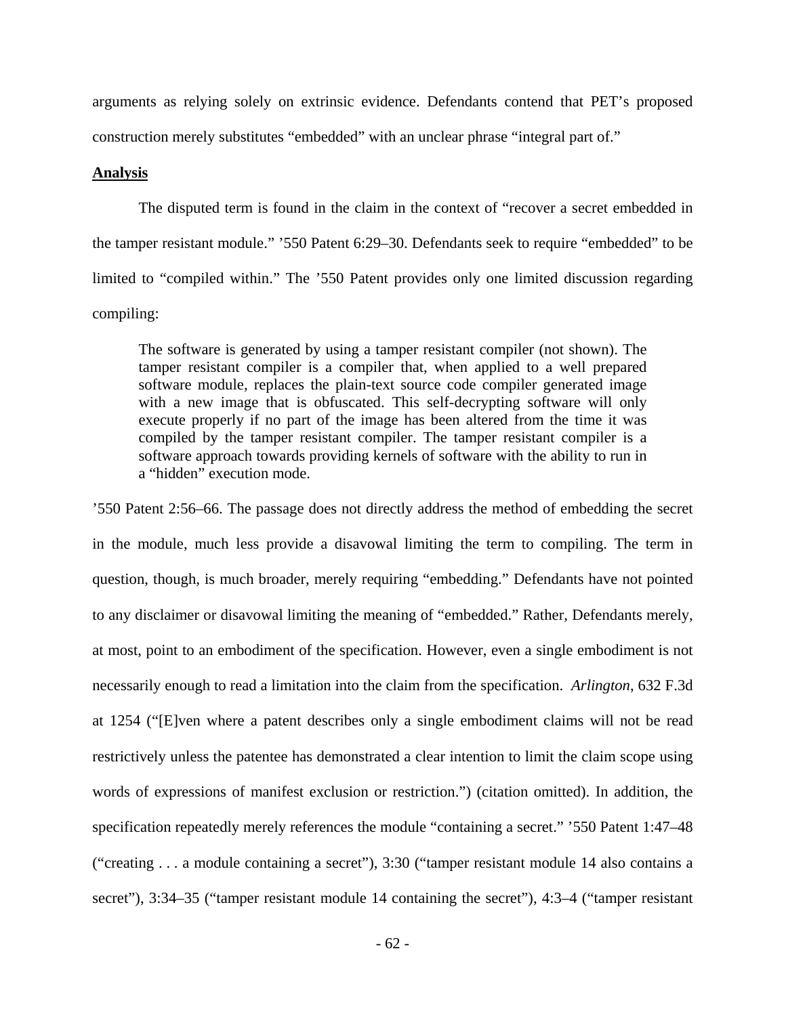arguments as relying solely on extrinsic evidence. Defendants contend that PET's proposed construction merely substitutes "embedded" with an unclear phrase "integral part of."

## **Analysis**

The disputed term is found in the claim in the context of "recover a secret embedded in the tamper resistant module." '550 Patent 6:29–30. Defendants seek to require "embedded" to be limited to "compiled within." The '550 Patent provides only one limited discussion regarding compiling:

The software is generated by using a tamper resistant compiler (not shown). The tamper resistant compiler is a compiler that, when applied to a well prepared software module, replaces the plain-text source code compiler generated image with a new image that is obfuscated. This self-decrypting software will only execute properly if no part of the image has been altered from the time it was compiled by the tamper resistant compiler. The tamper resistant compiler is a software approach towards providing kernels of software with the ability to run in a "hidden" execution mode.

'550 Patent 2:56–66. The passage does not directly address the method of embedding the secret in the module, much less provide a disavowal limiting the term to compiling. The term in question, though, is much broader, merely requiring "embedding." Defendants have not pointed to any disclaimer or disavowal limiting the meaning of "embedded." Rather, Defendants merely, at most, point to an embodiment of the specification. However, even a single embodiment is not necessarily enough to read a limitation into the claim from the specification. *Arlington*, 632 F.3d at 1254 ("[E]ven where a patent describes only a single embodiment claims will not be read restrictively unless the patentee has demonstrated a clear intention to limit the claim scope using words of expressions of manifest exclusion or restriction.") (citation omitted). In addition, the specification repeatedly merely references the module "containing a secret." '550 Patent 1:47–48 ("creating . . . a module containing a secret"), 3:30 ("tamper resistant module 14 also contains a secret"), 3:34–35 ("tamper resistant module 14 containing the secret"), 4:3–4 ("tamper resistant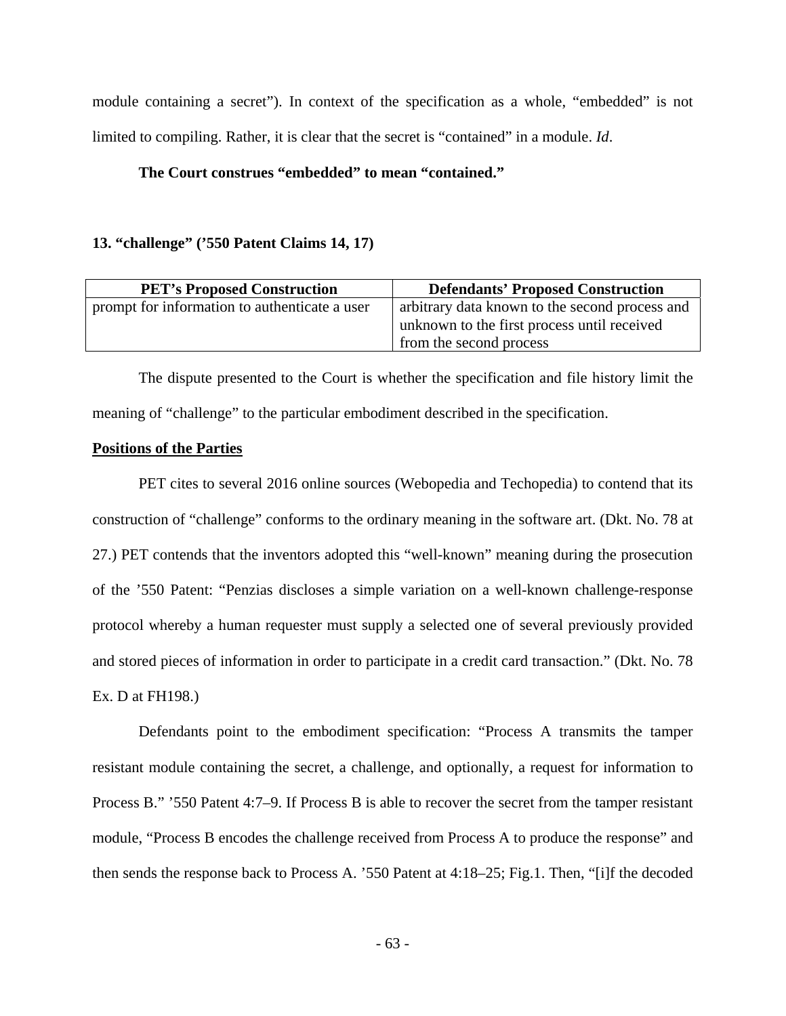module containing a secret"). In context of the specification as a whole, "embedded" is not limited to compiling. Rather, it is clear that the secret is "contained" in a module. *Id*.

# **The Court construes "embedded" to mean "contained."**

# **13. "challenge" ('550 Patent Claims 14, 17)**

| <b>PET's Proposed Construction</b>            | <b>Defendants' Proposed Construction</b>       |
|-----------------------------------------------|------------------------------------------------|
| prompt for information to authenticate a user | arbitrary data known to the second process and |
|                                               | unknown to the first process until received    |
|                                               | from the second process                        |

 The dispute presented to the Court is whether the specification and file history limit the meaning of "challenge" to the particular embodiment described in the specification.

## **Positions of the Parties**

PET cites to several 2016 online sources (Webopedia and Techopedia) to contend that its construction of "challenge" conforms to the ordinary meaning in the software art. (Dkt. No. 78 at 27.) PET contends that the inventors adopted this "well-known" meaning during the prosecution of the '550 Patent: "Penzias discloses a simple variation on a well-known challenge-response protocol whereby a human requester must supply a selected one of several previously provided and stored pieces of information in order to participate in a credit card transaction." (Dkt. No. 78 Ex. D at FH198.)

Defendants point to the embodiment specification: "Process A transmits the tamper resistant module containing the secret, a challenge, and optionally, a request for information to Process B." '550 Patent 4:7–9. If Process B is able to recover the secret from the tamper resistant module, "Process B encodes the challenge received from Process A to produce the response" and then sends the response back to Process A. '550 Patent at 4:18–25; Fig.1. Then, "[i]f the decoded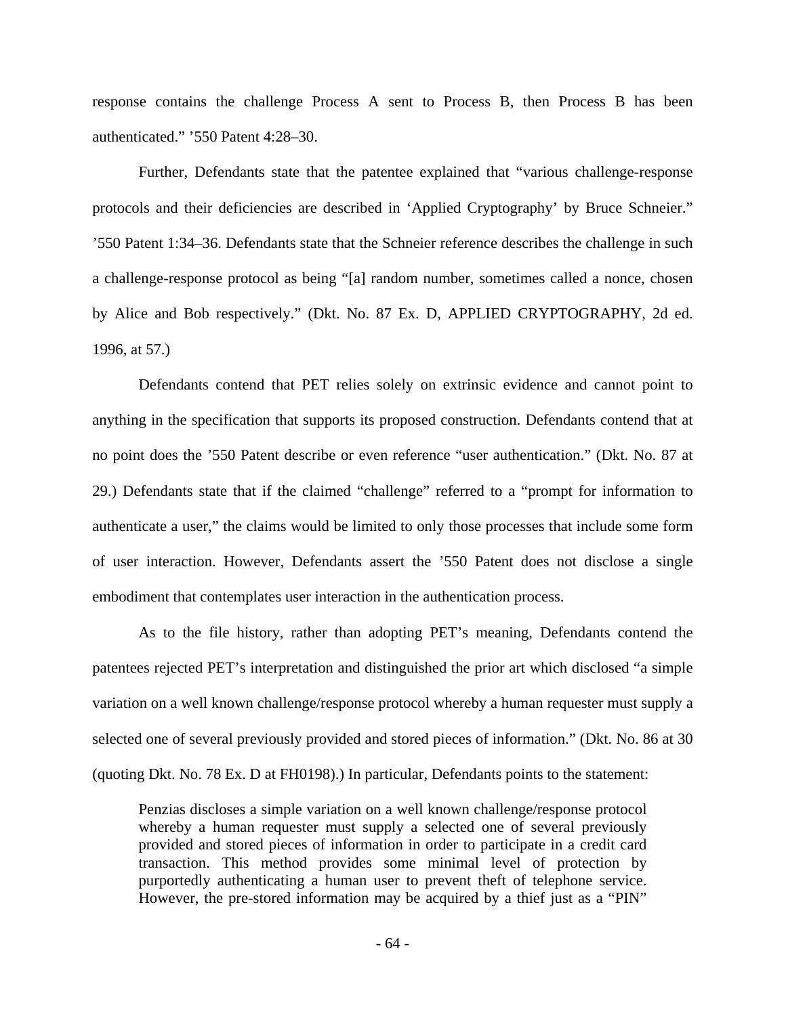response contains the challenge Process A sent to Process B, then Process B has been authenticated." '550 Patent 4:28–30.

Further, Defendants state that the patentee explained that "various challenge-response protocols and their deficiencies are described in 'Applied Cryptography' by Bruce Schneier." '550 Patent 1:34–36. Defendants state that the Schneier reference describes the challenge in such a challenge-response protocol as being "[a] random number, sometimes called a nonce, chosen by Alice and Bob respectively." (Dkt. No. 87 Ex. D, APPLIED CRYPTOGRAPHY, 2d ed. 1996, at 57.)

Defendants contend that PET relies solely on extrinsic evidence and cannot point to anything in the specification that supports its proposed construction. Defendants contend that at no point does the '550 Patent describe or even reference "user authentication." (Dkt. No. 87 at 29.) Defendants state that if the claimed "challenge" referred to a "prompt for information to authenticate a user," the claims would be limited to only those processes that include some form of user interaction. However, Defendants assert the '550 Patent does not disclose a single embodiment that contemplates user interaction in the authentication process.

As to the file history, rather than adopting PET's meaning, Defendants contend the patentees rejected PET's interpretation and distinguished the prior art which disclosed "a simple variation on a well known challenge/response protocol whereby a human requester must supply a selected one of several previously provided and stored pieces of information." (Dkt. No. 86 at 30 (quoting Dkt. No. 78 Ex. D at FH0198).) In particular, Defendants points to the statement:

Penzias discloses a simple variation on a well known challenge/response protocol whereby a human requester must supply a selected one of several previously provided and stored pieces of information in order to participate in a credit card transaction. This method provides some minimal level of protection by purportedly authenticating a human user to prevent theft of telephone service. However, the pre-stored information may be acquired by a thief just as a "PIN"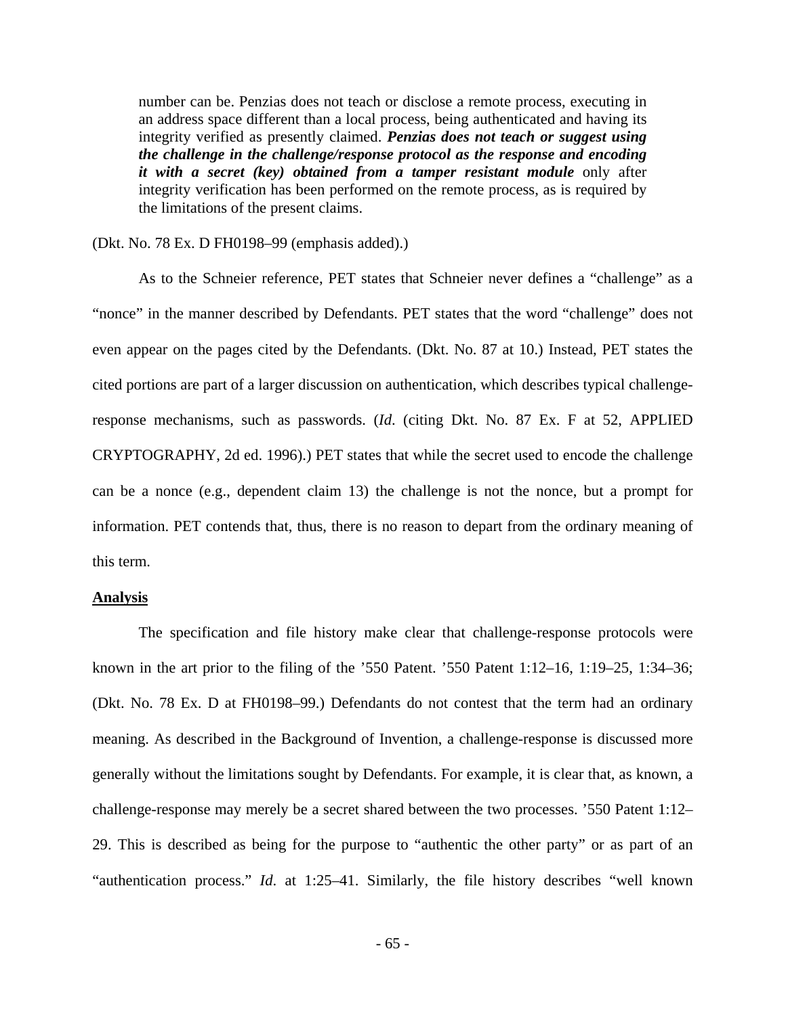number can be. Penzias does not teach or disclose a remote process, executing in an address space different than a local process, being authenticated and having its integrity verified as presently claimed. *Penzias does not teach or suggest using the challenge in the challenge/response protocol as the response and encoding it with a secret (key) obtained from a tamper resistant module* only after integrity verification has been performed on the remote process, as is required by the limitations of the present claims.

# (Dkt. No. 78 Ex. D FH0198–99 (emphasis added).)

As to the Schneier reference, PET states that Schneier never defines a "challenge" as a "nonce" in the manner described by Defendants. PET states that the word "challenge" does not even appear on the pages cited by the Defendants. (Dkt. No. 87 at 10.) Instead, PET states the cited portions are part of a larger discussion on authentication, which describes typical challengeresponse mechanisms, such as passwords. (*Id*. (citing Dkt. No. 87 Ex. F at 52, APPLIED CRYPTOGRAPHY, 2d ed. 1996).) PET states that while the secret used to encode the challenge can be a nonce (e.g., dependent claim 13) the challenge is not the nonce, but a prompt for information. PET contends that, thus, there is no reason to depart from the ordinary meaning of this term.

#### **Analysis**

 The specification and file history make clear that challenge-response protocols were known in the art prior to the filing of the '550 Patent. '550 Patent  $1:12-16$ ,  $1:19-25$ ,  $1:34-36$ ; (Dkt. No. 78 Ex. D at FH0198–99.) Defendants do not contest that the term had an ordinary meaning. As described in the Background of Invention, a challenge-response is discussed more generally without the limitations sought by Defendants. For example, it is clear that, as known, a challenge-response may merely be a secret shared between the two processes. '550 Patent 1:12– 29. This is described as being for the purpose to "authentic the other party" or as part of an "authentication process." *Id*. at 1:25–41. Similarly, the file history describes "well known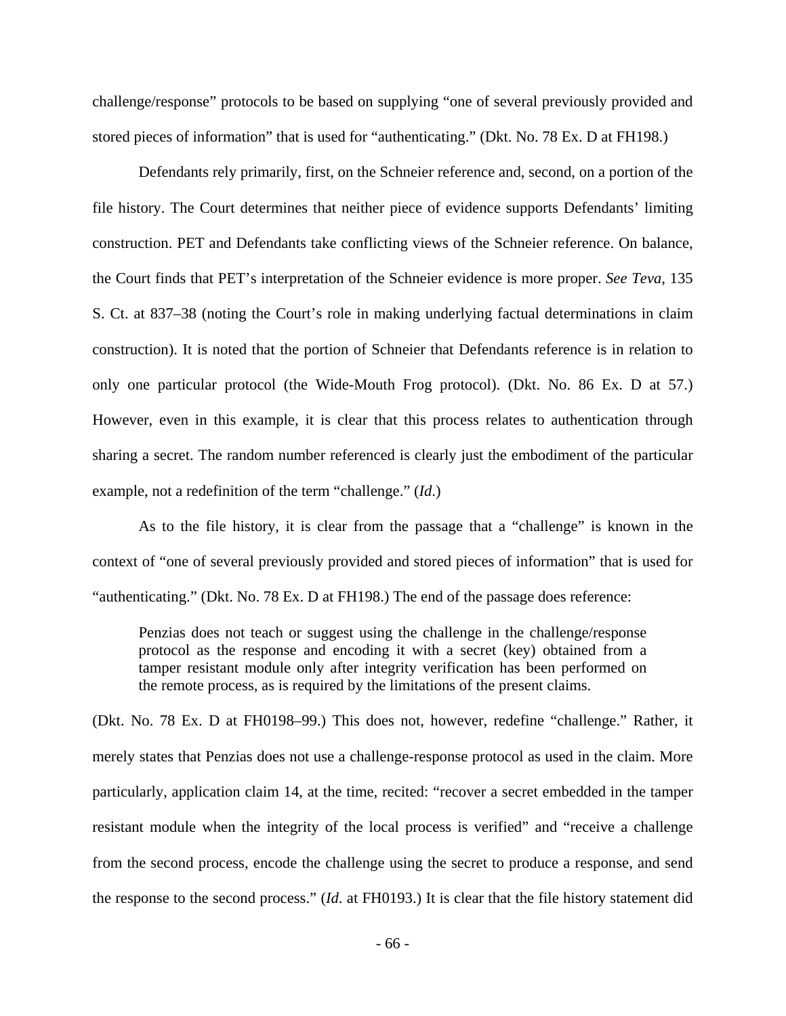challenge/response" protocols to be based on supplying "one of several previously provided and stored pieces of information" that is used for "authenticating." (Dkt. No. 78 Ex. D at FH198.)

Defendants rely primarily, first, on the Schneier reference and, second, on a portion of the file history. The Court determines that neither piece of evidence supports Defendants' limiting construction. PET and Defendants take conflicting views of the Schneier reference. On balance, the Court finds that PET's interpretation of the Schneier evidence is more proper. *See Teva*, 135 S. Ct. at 837–38 (noting the Court's role in making underlying factual determinations in claim construction). It is noted that the portion of Schneier that Defendants reference is in relation to only one particular protocol (the Wide-Mouth Frog protocol). (Dkt. No. 86 Ex. D at 57.) However, even in this example, it is clear that this process relates to authentication through sharing a secret. The random number referenced is clearly just the embodiment of the particular example, not a redefinition of the term "challenge." (*Id*.)

As to the file history, it is clear from the passage that a "challenge" is known in the context of "one of several previously provided and stored pieces of information" that is used for "authenticating." (Dkt. No. 78 Ex. D at FH198.) The end of the passage does reference:

Penzias does not teach or suggest using the challenge in the challenge/response protocol as the response and encoding it with a secret (key) obtained from a tamper resistant module only after integrity verification has been performed on the remote process, as is required by the limitations of the present claims.

(Dkt. No. 78 Ex. D at FH0198–99.) This does not, however, redefine "challenge." Rather, it merely states that Penzias does not use a challenge-response protocol as used in the claim. More particularly, application claim 14, at the time, recited: "recover a secret embedded in the tamper resistant module when the integrity of the local process is verified" and "receive a challenge from the second process, encode the challenge using the secret to produce a response, and send the response to the second process." (*Id*. at FH0193.) It is clear that the file history statement did